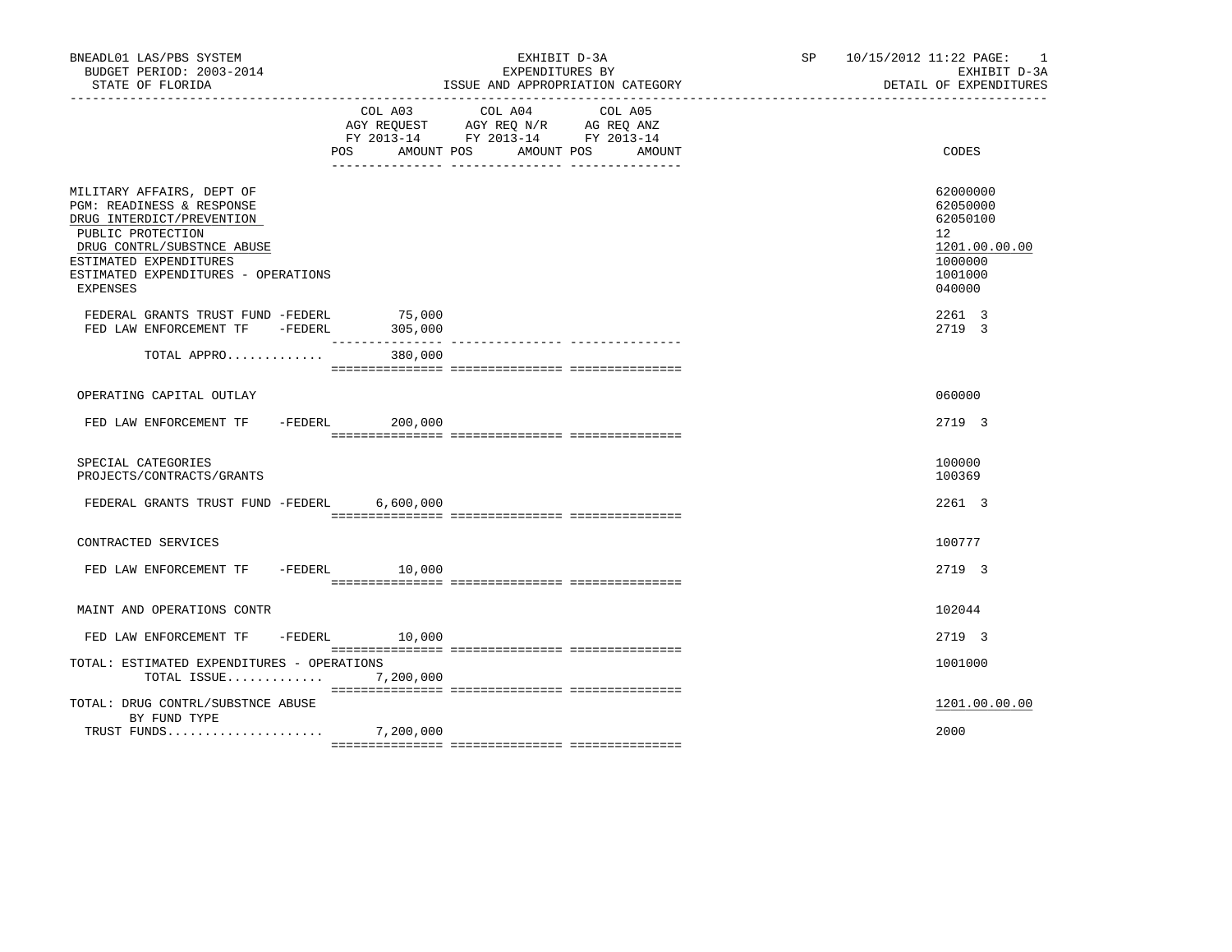| BNEADL01 LAS/PBS SYSTEM<br>BUDGET PERIOD: 2003-2014<br>STATE OF FLORIDA                                                                                                                                             |     |                                       | EXHIBIT D-3A<br>EXPENDITURES BY<br>ISSUE AND APPROPRIATION CATEGORY                             |                   |  | SP 10/15/2012 11:22 PAGE: 1<br>EXHIBIT D-3A<br>DETAIL OF EXPENDITURES                   |
|---------------------------------------------------------------------------------------------------------------------------------------------------------------------------------------------------------------------|-----|---------------------------------------|-------------------------------------------------------------------------------------------------|-------------------|--|-----------------------------------------------------------------------------------------|
|                                                                                                                                                                                                                     | POS | COL A03<br>AMOUNT POS                 | COL A04<br>AGY REQUEST AGY REQ N/R AG REQ ANZ<br>FY 2013-14 FY 2013-14 FY 2013-14<br>AMOUNT POS | COL A05<br>AMOUNT |  | CODES                                                                                   |
| MILITARY AFFAIRS, DEPT OF<br>PGM: READINESS & RESPONSE<br>DRUG INTERDICT/PREVENTION<br>PUBLIC PROTECTION<br>DRUG CONTRL/SUBSTNCE ABUSE<br>ESTIMATED EXPENDITURES<br>ESTIMATED EXPENDITURES - OPERATIONS<br>EXPENSES |     |                                       |                                                                                                 |                   |  | 62000000<br>62050000<br>62050100<br>12<br>1201.00.00.00<br>1000000<br>1001000<br>040000 |
| FEDERAL GRANTS TRUST FUND -FEDERL<br>FED LAW ENFORCEMENT TF - FEDERL                                                                                                                                                |     | 75,000<br>305,000<br>________________ |                                                                                                 |                   |  | 2261 3<br>2719 3                                                                        |
| TOTAL APPRO                                                                                                                                                                                                         |     | 380,000                               |                                                                                                 |                   |  |                                                                                         |
| OPERATING CAPITAL OUTLAY                                                                                                                                                                                            |     |                                       |                                                                                                 |                   |  | 060000                                                                                  |
| FED LAW ENFORCEMENT TF - FEDERL                                                                                                                                                                                     |     | 200,000                               |                                                                                                 |                   |  | 2719 3                                                                                  |
| SPECIAL CATEGORIES<br>PROJECTS/CONTRACTS/GRANTS                                                                                                                                                                     |     |                                       |                                                                                                 |                   |  | 100000<br>100369                                                                        |
| FEDERAL GRANTS TRUST FUND -FEDERL 6,600,000                                                                                                                                                                         |     |                                       |                                                                                                 |                   |  | 2261 3                                                                                  |
| CONTRACTED SERVICES                                                                                                                                                                                                 |     |                                       |                                                                                                 |                   |  | 100777                                                                                  |
| FED LAW ENFORCEMENT TF -FEDERL 10,000                                                                                                                                                                               |     |                                       |                                                                                                 |                   |  | 2719 3                                                                                  |
| MAINT AND OPERATIONS CONTR                                                                                                                                                                                          |     |                                       |                                                                                                 |                   |  | 102044                                                                                  |
| FED LAW ENFORCEMENT TF -FEDERL 10,000                                                                                                                                                                               |     |                                       |                                                                                                 |                   |  | 2719 3                                                                                  |
| TOTAL: ESTIMATED EXPENDITURES - OPERATIONS<br>TOTAL ISSUE                                                                                                                                                           |     | 7,200,000                             |                                                                                                 |                   |  | 1001000                                                                                 |
| TOTAL: DRUG CONTRL/SUBSTNCE ABUSE<br>BY FUND TYPE                                                                                                                                                                   |     |                                       |                                                                                                 |                   |  | 1201.00.00.00                                                                           |
|                                                                                                                                                                                                                     |     |                                       |                                                                                                 |                   |  | 2000                                                                                    |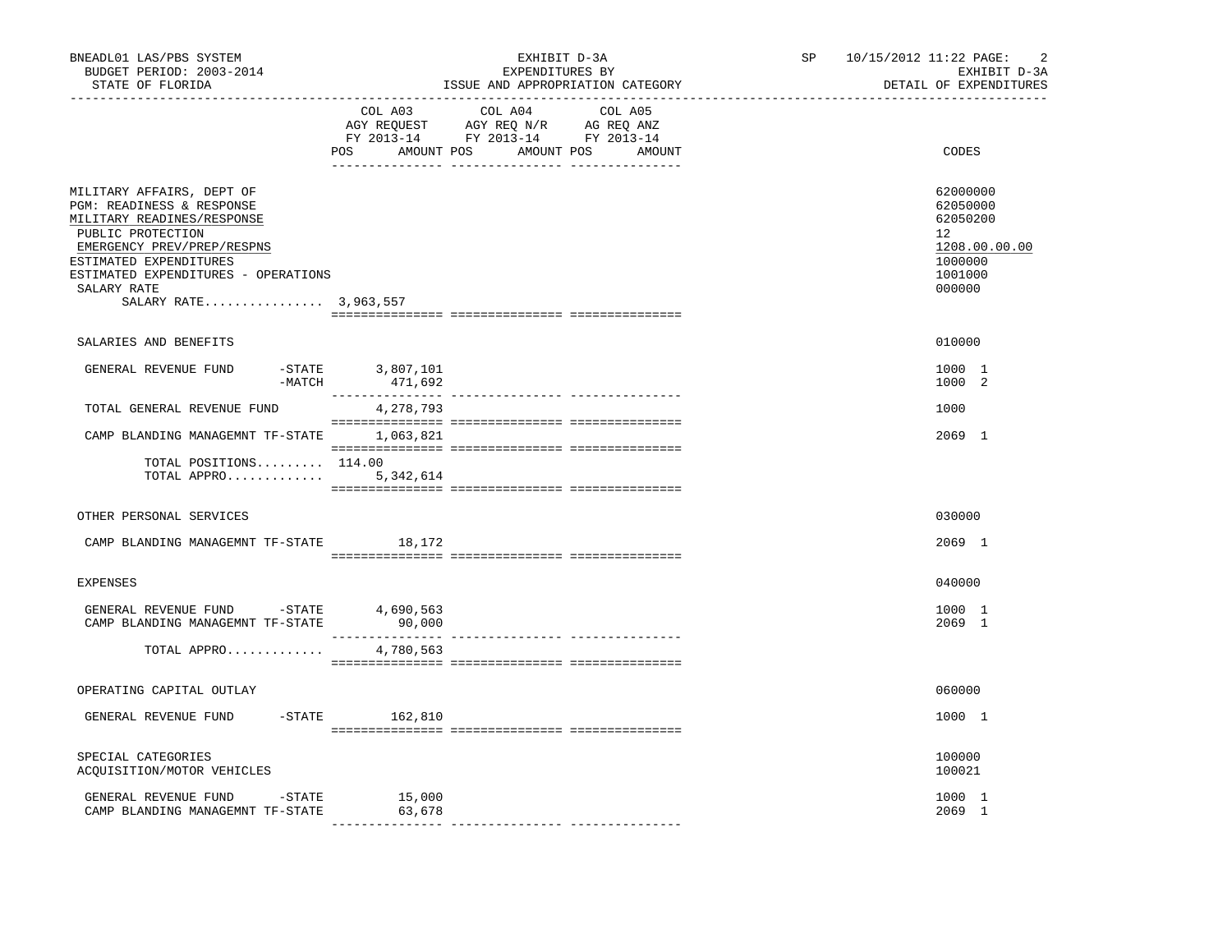| BNEADL01 LAS/PBS SYSTEM<br>BUDGET PERIOD: 2003-2014<br>STATE OF FLORIDA                                                                                                                                                                          |                                                           | EXHIBIT D-3A<br>EXPENDITURES BY<br>ISSUE AND APPROPRIATION CATEGORY | SP and the set of the set of the set of the set of the set of the set of the set of the set of the set of the set of the set of the set of the set of the set of the set of the set of the set of the set of the set of the se | 10/15/2012 11:22 PAGE: | $\overline{2}$<br>EXHIBIT D-3A<br>DETAIL OF EXPENDITURES                                             |
|--------------------------------------------------------------------------------------------------------------------------------------------------------------------------------------------------------------------------------------------------|-----------------------------------------------------------|---------------------------------------------------------------------|--------------------------------------------------------------------------------------------------------------------------------------------------------------------------------------------------------------------------------|------------------------|------------------------------------------------------------------------------------------------------|
|                                                                                                                                                                                                                                                  | COL A03                                                   | COL A04<br>COL A05<br>POS AMOUNT POS AMOUNT POS<br>AMOUNT           |                                                                                                                                                                                                                                |                        | CODES                                                                                                |
| MILITARY AFFAIRS, DEPT OF<br>PGM: READINESS & RESPONSE<br>MILITARY READINES/RESPONSE<br>PUBLIC PROTECTION<br>EMERGENCY PREV/PREP/RESPNS<br>ESTIMATED EXPENDITURES<br>ESTIMATED EXPENDITURES - OPERATIONS<br>SALARY RATE<br>SALARY RATE 3,963,557 |                                                           |                                                                     |                                                                                                                                                                                                                                |                        | 62000000<br>62050000<br>62050200<br>12 <sup>°</sup><br>1208.00.00.00<br>1000000<br>1001000<br>000000 |
| SALARIES AND BENEFITS                                                                                                                                                                                                                            |                                                           |                                                                     |                                                                                                                                                                                                                                |                        | 010000                                                                                               |
| GENERAL REVENUE FUND<br>$-MATCH$                                                                                                                                                                                                                 | $-STATE$ 3,807,101<br>471,692<br>$\overline{\phantom{a}}$ |                                                                     |                                                                                                                                                                                                                                |                        | 1000 1<br>1000 2                                                                                     |
| TOTAL GENERAL REVENUE FUND                                                                                                                                                                                                                       | 4,278,793                                                 |                                                                     |                                                                                                                                                                                                                                |                        | 1000                                                                                                 |
| CAMP BLANDING MANAGEMNT TF-STATE                                                                                                                                                                                                                 | 1,063,821                                                 |                                                                     |                                                                                                                                                                                                                                |                        | 2069 1                                                                                               |
| TOTAL POSITIONS 114.00<br>TOTAL APPRO                                                                                                                                                                                                            | 5,342,614                                                 |                                                                     |                                                                                                                                                                                                                                |                        |                                                                                                      |
| OTHER PERSONAL SERVICES                                                                                                                                                                                                                          |                                                           |                                                                     |                                                                                                                                                                                                                                |                        | 030000                                                                                               |
| CAMP BLANDING MANAGEMNT TF-STATE                                                                                                                                                                                                                 | 18,172                                                    |                                                                     |                                                                                                                                                                                                                                |                        | 2069 1                                                                                               |
| <b>EXPENSES</b>                                                                                                                                                                                                                                  |                                                           |                                                                     |                                                                                                                                                                                                                                |                        | 040000                                                                                               |
| GENERAL REVENUE FUND -STATE 4,690,563<br>CAMP BLANDING MANAGEMNT TF-STATE                                                                                                                                                                        | 90,000                                                    |                                                                     |                                                                                                                                                                                                                                |                        | 1000 1<br>2069 1                                                                                     |
| TOTAL APPRO                                                                                                                                                                                                                                      | 4,780,563                                                 |                                                                     |                                                                                                                                                                                                                                |                        |                                                                                                      |
| OPERATING CAPITAL OUTLAY                                                                                                                                                                                                                         |                                                           |                                                                     |                                                                                                                                                                                                                                |                        | 060000                                                                                               |
| $-$ STATE<br>GENERAL REVENUE FUND                                                                                                                                                                                                                | 162,810                                                   |                                                                     |                                                                                                                                                                                                                                |                        | 1000 1                                                                                               |
| SPECIAL CATEGORIES<br>ACOUISITION/MOTOR VEHICLES                                                                                                                                                                                                 |                                                           |                                                                     |                                                                                                                                                                                                                                |                        | 100000<br>100021                                                                                     |
| GENERAL REVENUE FUND<br>$-$ STATE<br>CAMP BLANDING MANAGEMNT TF-STATE                                                                                                                                                                            | 15,000<br>63,678                                          |                                                                     |                                                                                                                                                                                                                                |                        | 1000 1<br>2069 1                                                                                     |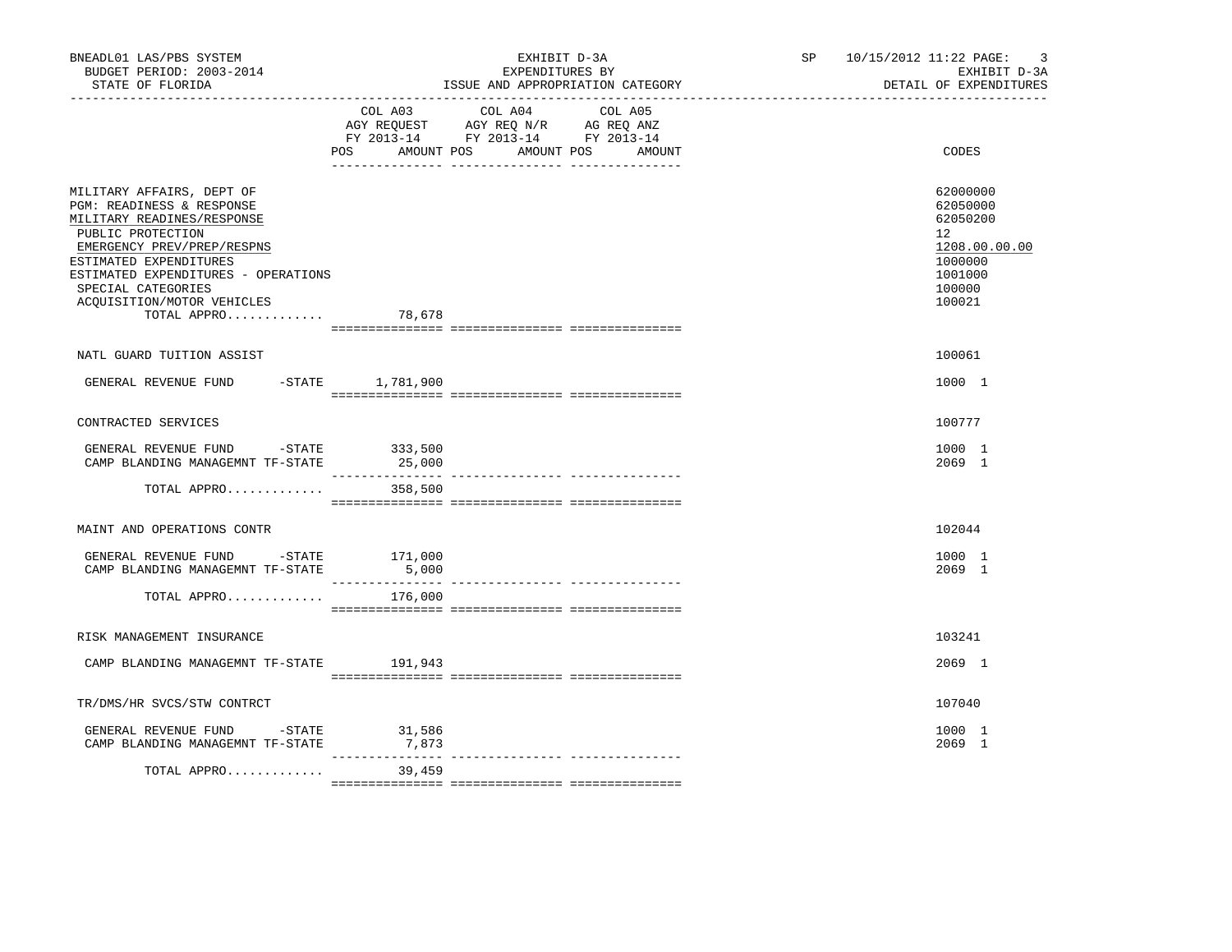| BNEADL01 LAS/PBS SYSTEM<br>BUDGET PERIOD: 2003-2014<br>STATE OF FLORIDA                                                                                                                                                                                                            |                   | EXHIBIT D-3A<br>EXPENDITURES BY<br>ISSUE AND APPROPRIATION CATEGORY                                                       | SP <sub>2</sub> | 10/15/2012 11:22 PAGE:<br>$\overline{3}$<br>EXHIBIT D-3A<br>DETAIL OF EXPENDITURES                |
|------------------------------------------------------------------------------------------------------------------------------------------------------------------------------------------------------------------------------------------------------------------------------------|-------------------|---------------------------------------------------------------------------------------------------------------------------|-----------------|---------------------------------------------------------------------------------------------------|
|                                                                                                                                                                                                                                                                                    | POS<br>AMOUNT POS | COL A03 COL A04 COL A05<br>AGY REQUEST AGY REQ N/R AG REQ ANZ<br>FY 2013-14 FY 2013-14 FY 2013-14<br>AMOUNT POS<br>AMOUNT |                 | CODES                                                                                             |
| MILITARY AFFAIRS, DEPT OF<br>PGM: READINESS & RESPONSE<br>MILITARY READINES/RESPONSE<br>PUBLIC PROTECTION<br>EMERGENCY PREV/PREP/RESPNS<br>ESTIMATED EXPENDITURES<br>ESTIMATED EXPENDITURES - OPERATIONS<br>SPECIAL CATEGORIES<br>ACQUISITION/MOTOR VEHICLES<br>TOTAL APPRO 78,678 |                   |                                                                                                                           |                 | 62000000<br>62050000<br>62050200<br>12<br>1208.00.00.00<br>1000000<br>1001000<br>100000<br>100021 |
| NATL GUARD TUITION ASSIST                                                                                                                                                                                                                                                          |                   |                                                                                                                           |                 | 100061                                                                                            |
| GENERAL REVENUE FUND -STATE 1,781,900                                                                                                                                                                                                                                              |                   |                                                                                                                           |                 | 1000 1                                                                                            |
| CONTRACTED SERVICES                                                                                                                                                                                                                                                                |                   |                                                                                                                           |                 | 100777                                                                                            |
| GENERAL REVENUE FUND -STATE 333,500<br>CAMP BLANDING MANAGEMNT TF-STATE                                                                                                                                                                                                            | 25,000            |                                                                                                                           |                 | 1000 1<br>2069 1                                                                                  |
| TOTAL APPRO                                                                                                                                                                                                                                                                        | 358,500           |                                                                                                                           |                 |                                                                                                   |
| MAINT AND OPERATIONS CONTR                                                                                                                                                                                                                                                         |                   |                                                                                                                           |                 | 102044                                                                                            |
| GENERAL REVENUE FUND $-$ STATE 171,000<br>CAMP BLANDING MANAGEMNT TF-STATE                                                                                                                                                                                                         | 5,000             |                                                                                                                           |                 | 1000 1<br>2069 1                                                                                  |
| TOTAL APPRO                                                                                                                                                                                                                                                                        | 176,000           |                                                                                                                           |                 |                                                                                                   |
| RISK MANAGEMENT INSURANCE                                                                                                                                                                                                                                                          |                   |                                                                                                                           |                 | 103241                                                                                            |
| CAMP BLANDING MANAGEMNT TF-STATE 191,943                                                                                                                                                                                                                                           |                   |                                                                                                                           |                 | 2069 1                                                                                            |
| TR/DMS/HR SVCS/STW CONTRCT                                                                                                                                                                                                                                                         |                   |                                                                                                                           |                 | 107040                                                                                            |
| GENERAL REVENUE FUND -STATE<br>CAMP BLANDING MANAGEMNT TF-STATE                                                                                                                                                                                                                    | 31,586<br>7,873   |                                                                                                                           |                 | 1000 1<br>2069 1                                                                                  |
| TOTAL APPRO                                                                                                                                                                                                                                                                        | 39,459            |                                                                                                                           |                 |                                                                                                   |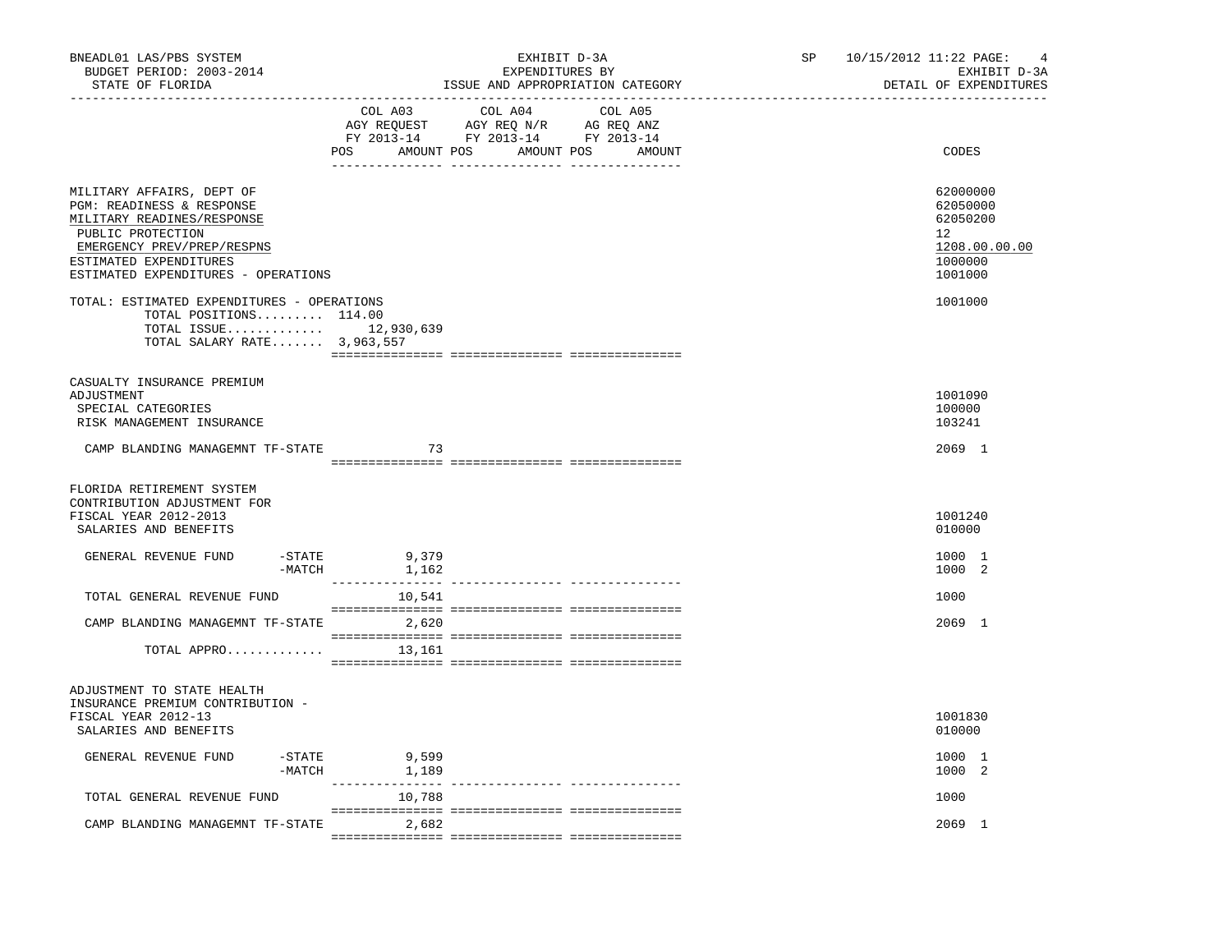| BNEADL01 LAS/PBS SYSTEM<br>BUDGET PERIOD: 2003-2014<br>STATE OF FLORIDA                                                                                                                                  | EXHIBIT D-3A<br>EXPENDITURES BY<br>ISSUE AND APPROPRIATION CATEGORY                                                                         | SP<br>10/15/2012 11:22 PAGE:<br>4<br>EXHIBIT D-3A<br>DETAIL OF EXPENDITURES   |
|----------------------------------------------------------------------------------------------------------------------------------------------------------------------------------------------------------|---------------------------------------------------------------------------------------------------------------------------------------------|-------------------------------------------------------------------------------|
|                                                                                                                                                                                                          | COL A03<br>COL A04<br>COL A05<br>AGY REQUEST AGY REQ N/R AG REQ ANZ<br>FY 2013-14 FY 2013-14 FY 2013-14<br>POS AMOUNT POS AMOUNT POS AMOUNT | CODES                                                                         |
| MILITARY AFFAIRS, DEPT OF<br>PGM: READINESS & RESPONSE<br>MILITARY READINES/RESPONSE<br>PUBLIC PROTECTION<br>EMERGENCY PREV/PREP/RESPNS<br>ESTIMATED EXPENDITURES<br>ESTIMATED EXPENDITURES - OPERATIONS |                                                                                                                                             | 62000000<br>62050000<br>62050200<br>12<br>1208.00.00.00<br>1000000<br>1001000 |
| TOTAL: ESTIMATED EXPENDITURES - OPERATIONS<br>TOTAL POSITIONS 114.00<br>TOTAL ISSUE 12,930,639<br>TOTAL SALARY RATE 3,963,557                                                                            |                                                                                                                                             | 1001000                                                                       |
| CASUALTY INSURANCE PREMIUM<br>ADJUSTMENT<br>SPECIAL CATEGORIES<br>RISK MANAGEMENT INSURANCE                                                                                                              |                                                                                                                                             | 1001090<br>100000<br>103241                                                   |
| CAMP BLANDING MANAGEMNT TF-STATE                                                                                                                                                                         | 73                                                                                                                                          | 2069 1                                                                        |
| FLORIDA RETIREMENT SYSTEM<br>CONTRIBUTION ADJUSTMENT FOR<br>FISCAL YEAR 2012-2013<br>SALARIES AND BENEFITS                                                                                               |                                                                                                                                             | 1001240<br>010000                                                             |
| -STATE<br>GENERAL REVENUE FUND<br>-MATCH                                                                                                                                                                 | $9,379$<br>$1,162$                                                                                                                          | 1000 1<br>1000 2                                                              |
| TOTAL GENERAL REVENUE FUND                                                                                                                                                                               | 10,541                                                                                                                                      | 1000                                                                          |
| CAMP BLANDING MANAGEMNT TF-STATE 2,620<br>TOTAL APPRO                                                                                                                                                    | 13,161                                                                                                                                      | 2069 1                                                                        |
| ADJUSTMENT TO STATE HEALTH<br>INSURANCE PREMIUM CONTRIBUTION -<br>FISCAL YEAR 2012-13<br>SALARIES AND BENEFITS                                                                                           |                                                                                                                                             | 1001830<br>010000                                                             |
| GENERAL REVENUE FUND                                                                                                                                                                                     | $-STATE$<br>9,599<br>$-MATCH$ 1,189                                                                                                         | 1000 1<br>1000 2                                                              |
| TOTAL GENERAL REVENUE FUND                                                                                                                                                                               | 10,788                                                                                                                                      | 1000                                                                          |
| CAMP BLANDING MANAGEMNT TF-STATE                                                                                                                                                                         | 2,682                                                                                                                                       | 2069 1                                                                        |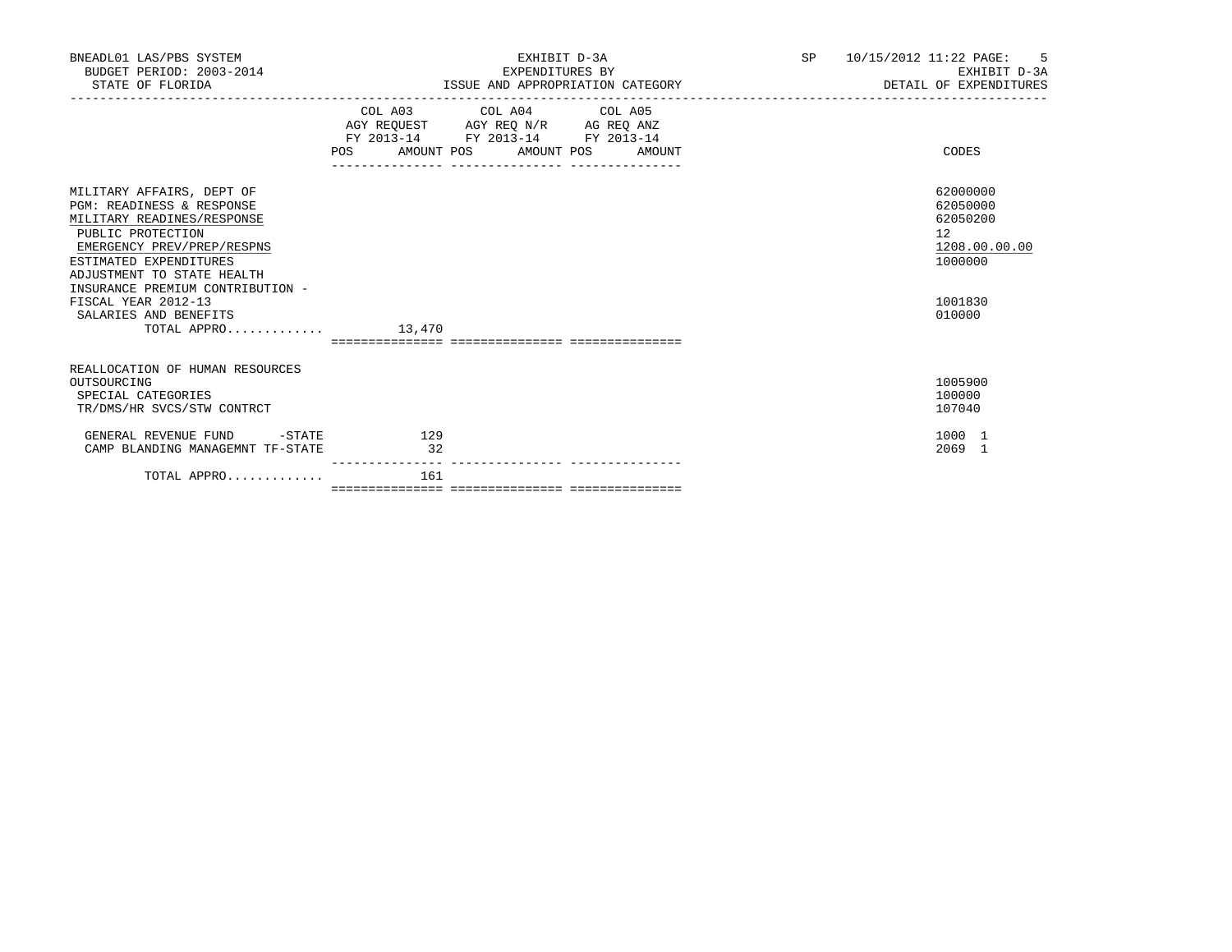| BNEADL01 LAS/PBS SYSTEM<br>BUDGET PERIOD: 2003-2014<br>STATE OF FLORIDA                                                                                                                                                                                                                                                |           | EXHIBIT D-3A<br>EXPENDITURES BY<br>ISSUE AND APPROPRIATION CATEGORY                                                                                                            | <b>SP</b><br>10/15/2012 11:22 PAGE: 5<br>EXHIBIT D-3A<br>DETAIL OF EXPENDITURES |                                                                                         |  |  |
|------------------------------------------------------------------------------------------------------------------------------------------------------------------------------------------------------------------------------------------------------------------------------------------------------------------------|-----------|--------------------------------------------------------------------------------------------------------------------------------------------------------------------------------|---------------------------------------------------------------------------------|-----------------------------------------------------------------------------------------|--|--|
|                                                                                                                                                                                                                                                                                                                        |           | COL A03 COL A04 COL A05<br>AGY REQUEST AGY REO N/R AG REO ANZ<br>FY 2013-14 FY 2013-14 FY 2013-14<br>POS AMOUNT POS AMOUNT POS AMOUNT<br>_____________________________________ |                                                                                 | CODES                                                                                   |  |  |
| MILITARY AFFAIRS, DEPT OF<br><b>PGM: READINESS &amp; RESPONSE</b><br>MILITARY READINES/RESPONSE<br>PUBLIC PROTECTION<br>EMERGENCY PREV/PREP/RESPNS<br>ESTIMATED EXPENDITURES<br>ADJUSTMENT TO STATE HEALTH<br>INSURANCE PREMIUM CONTRIBUTION -<br>FISCAL YEAR 2012-13<br>SALARIES AND BENEFITS<br>TOTAL APPRO $13.470$ |           |                                                                                                                                                                                |                                                                                 | 62000000<br>62050000<br>62050200<br>12<br>1208.00.00.00<br>1000000<br>1001830<br>010000 |  |  |
| REALLOCATION OF HUMAN RESOURCES<br>OUTSOURCING<br>SPECIAL CATEGORIES<br>TR/DMS/HR SVCS/STW CONTRCT                                                                                                                                                                                                                     |           |                                                                                                                                                                                |                                                                                 | 1005900<br>100000<br>107040                                                             |  |  |
| GENERAL REVENUE FUND<br>$-STATE$<br>CAMP BLANDING MANAGEMNT TF-STATE                                                                                                                                                                                                                                                   | 129<br>32 |                                                                                                                                                                                |                                                                                 | 1000 1<br>2069 1                                                                        |  |  |
| TOTAL APPRO                                                                                                                                                                                                                                                                                                            | 161       |                                                                                                                                                                                |                                                                                 |                                                                                         |  |  |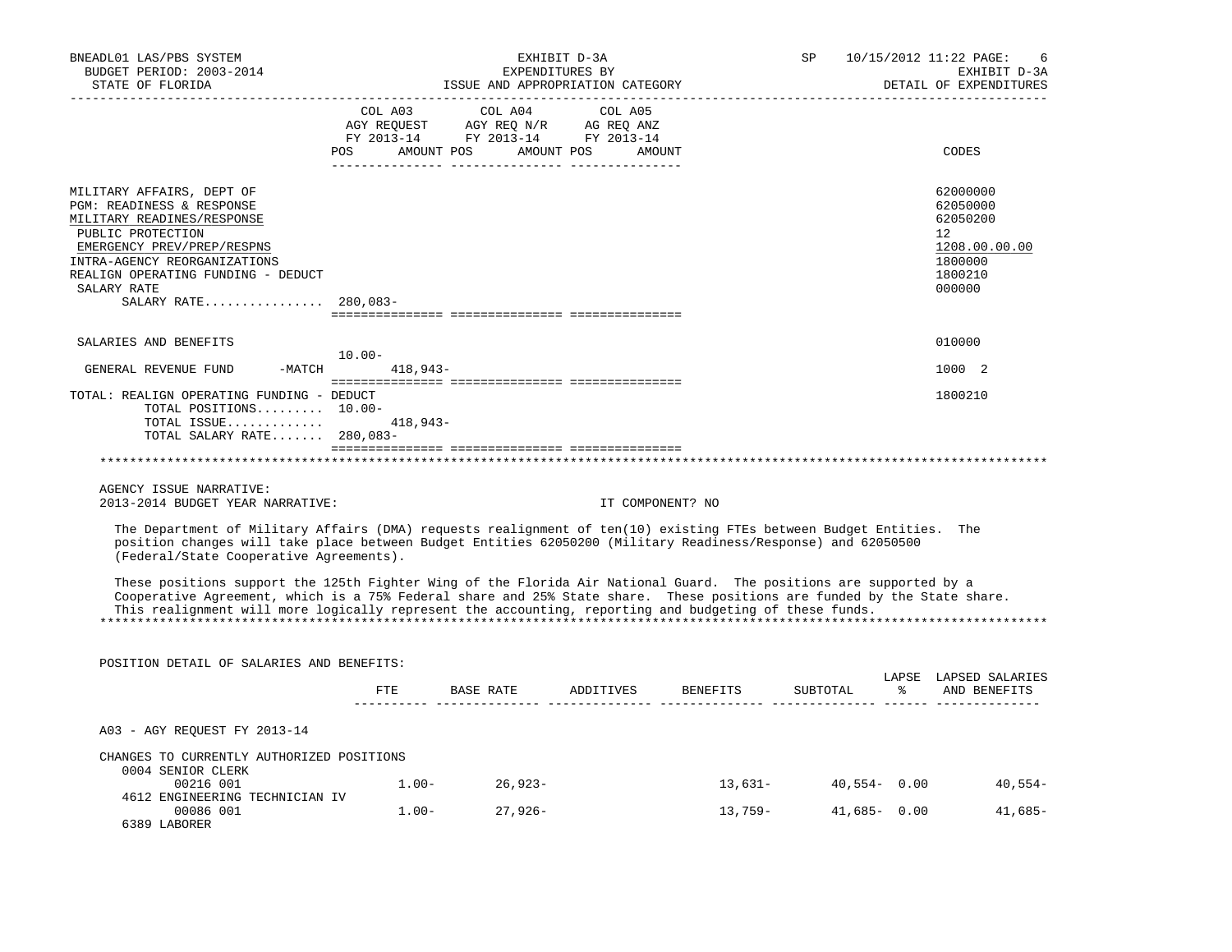| BNEADL01 LAS/PBS SYSTEM<br>BUDGET PERIOD: 2003-2014<br>STATE OF FLORIDA                                                                                                                                                                                                                                                                                 |                         | EXHIBIT D-3A<br>EXPENDITURES BY<br>ISSUE AND APPROPRIATION CATEGORY                                                                                                                                                                                                                                   |                  |          | SP              | 10/15/2012 11:22 PAGE:<br>6<br>EXHIBIT D-3A<br>DETAIL OF EXPENDITURES                             |
|---------------------------------------------------------------------------------------------------------------------------------------------------------------------------------------------------------------------------------------------------------------------------------------------------------------------------------------------------------|-------------------------|-------------------------------------------------------------------------------------------------------------------------------------------------------------------------------------------------------------------------------------------------------------------------------------------------------|------------------|----------|-----------------|---------------------------------------------------------------------------------------------------|
|                                                                                                                                                                                                                                                                                                                                                         | COL A03                 | COL A04<br>$\begin{tabular}{lllllllll} \bf AGY \,\, &\bf REQUEST \,\, &\bf AGY \,\, &\bf REQ \,\, &\bf N/R \,\, &\bf AG \,\, &\bf REQ \,\, &\bf ANZ \,\, \\ \bf FY \,\, &\bf 2013-14 \,\, &\bf FY \,\, &\bf 2013-14 \,\, &\bf FY \,\, &\bf 2013-14 \end{tabular}$<br>POS AMOUNT POS AMOUNT POS AMOUNT | COL A05          |          |                 | CODES                                                                                             |
| MILITARY AFFAIRS, DEPT OF<br>PGM: READINESS & RESPONSE<br>MILITARY READINES/RESPONSE<br>PUBLIC PROTECTION<br>EMERGENCY PREV/PREP/RESPNS<br>INTRA-AGENCY REORGANIZATIONS<br>REALIGN OPERATING FUNDING - DEDUCT<br>SALARY RATE<br>SALARY RATE 280,083-                                                                                                    |                         |                                                                                                                                                                                                                                                                                                       |                  |          |                 | 62000000<br>62050000<br>62050200<br>$12^{\circ}$<br>1208.00.00.00<br>1800000<br>1800210<br>000000 |
| SALARIES AND BENEFITS                                                                                                                                                                                                                                                                                                                                   |                         |                                                                                                                                                                                                                                                                                                       |                  |          |                 | 010000                                                                                            |
| $-MATCH$<br>GENERAL REVENUE FUND                                                                                                                                                                                                                                                                                                                        | $10.00 -$<br>$418,943-$ |                                                                                                                                                                                                                                                                                                       |                  |          |                 | 1000 2                                                                                            |
| TOTAL: REALIGN OPERATING FUNDING - DEDUCT<br>TOTAL POSITIONS 10.00-<br>TOTAL ISSUE<br>TOTAL SALARY RATE 280,083-                                                                                                                                                                                                                                        | 418,943-                |                                                                                                                                                                                                                                                                                                       |                  |          |                 | 1800210                                                                                           |
|                                                                                                                                                                                                                                                                                                                                                         |                         |                                                                                                                                                                                                                                                                                                       |                  |          |                 |                                                                                                   |
| AGENCY ISSUE NARRATIVE:<br>2013-2014 BUDGET YEAR NARRATIVE:                                                                                                                                                                                                                                                                                             |                         |                                                                                                                                                                                                                                                                                                       | IT COMPONENT? NO |          |                 |                                                                                                   |
| The Department of Military Affairs (DMA) requests realignment of ten(10) existing FTEs between Budget Entities. The<br>position changes will take place between Budget Entities 62050200 (Military Readiness/Response) and 62050500<br>(Federal/State Cooperative Agreements).                                                                          |                         |                                                                                                                                                                                                                                                                                                       |                  |          |                 |                                                                                                   |
| These positions support the 125th Fighter Wing of the Florida Air National Guard. The positions are supported by a<br>Cooperative Agreement, which is a 75% Federal share and 25% State share. These positions are funded by the State share.<br>This realignment will more logically represent the accounting, reporting and budgeting of these funds. |                         |                                                                                                                                                                                                                                                                                                       |                  |          |                 |                                                                                                   |
| POSITION DETAIL OF SALARIES AND BENEFITS:                                                                                                                                                                                                                                                                                                               |                         |                                                                                                                                                                                                                                                                                                       |                  |          |                 |                                                                                                   |
|                                                                                                                                                                                                                                                                                                                                                         | ETE                     | BASE RATE                                                                                                                                                                                                                                                                                             | ADDITIVES        | BENEFITS | SUBTOTAL        | LAPSE LAPSED SALARIES<br>AND BENEFITS                                                             |
| A03 - AGY REQUEST FY 2013-14                                                                                                                                                                                                                                                                                                                            |                         |                                                                                                                                                                                                                                                                                                       |                  |          |                 |                                                                                                   |
| CHANGES TO CURRENTLY AUTHORIZED POSITIONS                                                                                                                                                                                                                                                                                                               |                         |                                                                                                                                                                                                                                                                                                       |                  |          |                 |                                                                                                   |
| 0004 SENIOR CLERK<br>00216 001                                                                                                                                                                                                                                                                                                                          | $1.00 -$                | $26,923-$                                                                                                                                                                                                                                                                                             |                  | 13,631-  | $40,554 - 0.00$ | $40,554-$                                                                                         |
| 4612 ENGINEERING TECHNICIAN IV<br>00086 001<br>6389 LABORER                                                                                                                                                                                                                                                                                             | $1.00-$                 | $27,926-$                                                                                                                                                                                                                                                                                             |                  | 13,759-  | $41,685 - 0.00$ | $41,685-$                                                                                         |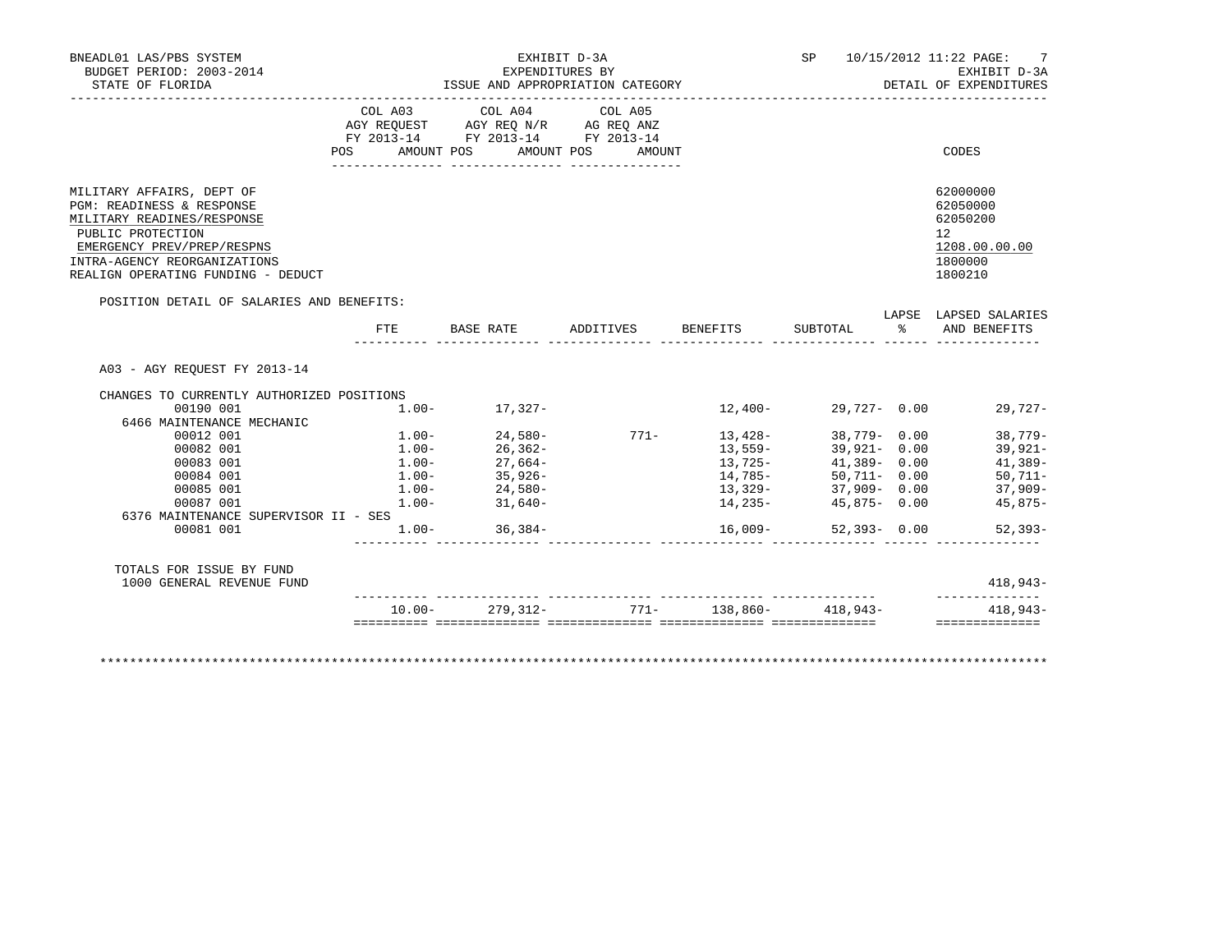| BUDGET PERIOD: 2003-2014<br>STATE OF FLORIDA                                                                                                                                                                                                                                    |                                                    | EXHIBIT D-3A<br>ISSUE AND APPROPRIATION CATEGORY                                                                                                                                                                                                                                                                                                          | EXPENDITURES BY  |                                                                                 |                                                                                                                      | SP 10/15/2012 11:22 PAGE: 7<br>EXHIBIT D-3A<br>DETAIL OF EXPENDITURES                                                                         |
|---------------------------------------------------------------------------------------------------------------------------------------------------------------------------------------------------------------------------------------------------------------------------------|----------------------------------------------------|-----------------------------------------------------------------------------------------------------------------------------------------------------------------------------------------------------------------------------------------------------------------------------------------------------------------------------------------------------------|------------------|---------------------------------------------------------------------------------|----------------------------------------------------------------------------------------------------------------------|-----------------------------------------------------------------------------------------------------------------------------------------------|
|                                                                                                                                                                                                                                                                                 |                                                    | $\begin{tabular}{lllllllllll} &\multicolumn{4}{c}{\text{COL A03}} &\multicolumn{4}{c}{\text{COL A04}} &\multicolumn{4}{c}{\text{COL A05}} \\ \multicolumn{4}{c}{\text{AGY REQUEST}} &\multicolumn{4}{c}{\text{AGY REQ N/R}} &\multicolumn{4}{c}{\text{AG REQ ANZ}} \end{tabular}$<br>FY 2013-14 FY 2013-14 FY 2013-14<br>POS AMOUNT POS AMOUNT POS AMOUNT |                  |                                                                                 |                                                                                                                      | CODES                                                                                                                                         |
| MILITARY AFFAIRS, DEPT OF<br>PGM: READINESS & RESPONSE<br>MILITARY READINES/RESPONSE<br>PUBLIC PROTECTION<br>EMERGENCY PREV/PREP/RESPNS<br>INTRA-AGENCY REORGANIZATIONS<br>REALIGN OPERATING FUNDING - DEDUCT                                                                   |                                                    |                                                                                                                                                                                                                                                                                                                                                           |                  |                                                                                 |                                                                                                                      | 62000000<br>62050000<br>62050200<br>12<br>1208.00.00.00<br>1800000<br>1800210                                                                 |
| POSITION DETAIL OF SALARIES AND BENEFITS:                                                                                                                                                                                                                                       | FTE                                                | BASE RATE ADDITIVES BENEFITS SUBTOTAL $\frac{2}{3}$ AND BENEFITS                                                                                                                                                                                                                                                                                          |                  |                                                                                 |                                                                                                                      | LAPSE LAPSED SALARIES                                                                                                                         |
| A03 - AGY REOUEST FY 2013-14                                                                                                                                                                                                                                                    |                                                    |                                                                                                                                                                                                                                                                                                                                                           |                  |                                                                                 |                                                                                                                      |                                                                                                                                               |
| CHANGES TO CURRENTLY AUTHORIZED POSITIONS<br>00190 001<br>6466 MAINTENANCE MECHANIC<br>00012 001<br>00082 001<br>00083 001<br>00084 001<br>00085 001<br>00087 001<br>6376 MAINTENANCE SUPERVISOR II - SES<br>00081 001<br>TOTALS FOR ISSUE BY FUND<br>1000 GENERAL REVENUE FUND | $1.00 - 24,580 -$<br>$1.00 -$<br>$1.00 - 36,384 -$ | $1.00 - 17,327 -$<br>$1.00 - 24,580 -$<br>$1.00 -$<br>$1.00 -$<br>$26.362 -$<br>$27.664 -$<br>$35.926 -$<br>$31,640-$                                                                                                                                                                                                                                     | $771 - 13,428 -$ | $12,400-$<br>$13,559-$<br>13,725-<br>14,785-<br>13,329-<br>14,235-<br>$16,009-$ | 29,727- 0.00<br>$39,921 - 0.00$<br>$41,389 - 0.00$<br>50,711- 0.00<br>37,909-0.00<br>45,875- 0.00<br>$52,393 - 0.00$ | $29,727-$<br>38,779- 0.00 38,779-<br>$39,921-$<br>41,389-<br>$50, 711 -$<br>$37,909-$<br>45,875-<br>$52,393-$<br>$418,943-$<br>-------------- |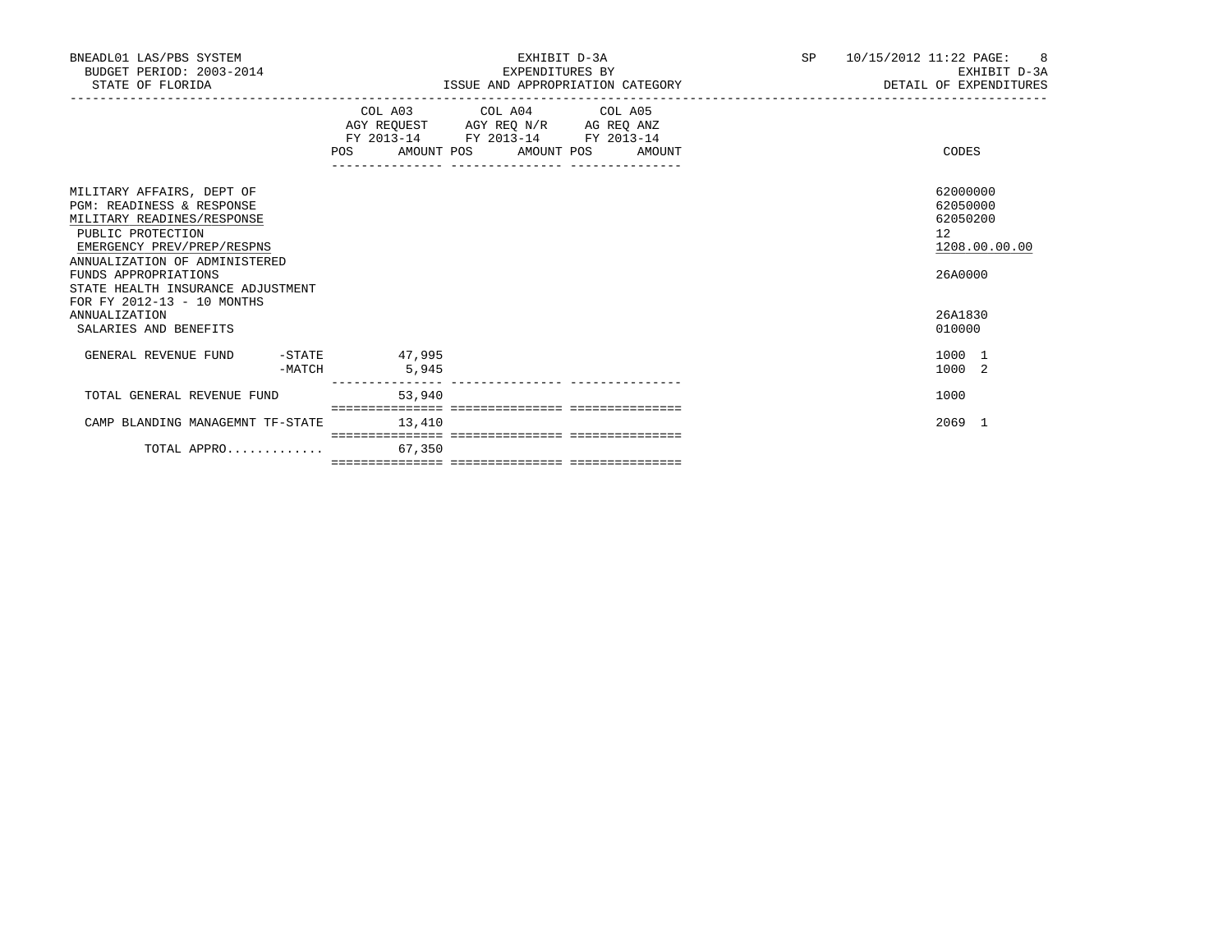| BNEADL01 LAS/PBS SYSTEM<br>BUDGET PERIOD: 2003-2014<br>STATE OF FLORIDA                                                                                                                                                                                                        |        |        | ISSUE AND APPROPRIATION CATEGORY                                                                                                                                                                                                                           | EXHIBIT D-3A<br>EXPENDITURES BY | 10/15/2012 11:22 PAGE: 8<br>SP <sub>2</sub><br>EXHIBIT D-3A<br>DETAIL OF EXPENDITURES |                                                                    |  |  |
|--------------------------------------------------------------------------------------------------------------------------------------------------------------------------------------------------------------------------------------------------------------------------------|--------|--------|------------------------------------------------------------------------------------------------------------------------------------------------------------------------------------------------------------------------------------------------------------|---------------------------------|---------------------------------------------------------------------------------------|--------------------------------------------------------------------|--|--|
|                                                                                                                                                                                                                                                                                |        |        | COL A03 COL A04 COL A05<br>$\begin{tabular}{lllllll} \bf AGY \,\, REQUEST \,\, &\bf AGY \,\, REQ \,\, N/R &\bf AG \,\, REQ \,\, ANZ \\ \bf FY \,\, 2013-14 &\bf FY \,\, 2013-14 &\bf FY \,\, 2013-14 \\ \end{tabular}$<br>POS AMOUNT POS AMOUNT POS AMOUNT |                                 |                                                                                       | CODES                                                              |  |  |
| MILITARY AFFAIRS, DEPT OF<br><b>PGM: READINESS &amp; RESPONSE</b><br>MILITARY READINES/RESPONSE<br>PUBLIC PROTECTION<br>EMERGENCY PREV/PREP/RESPNS<br>ANNUALIZATION OF ADMINISTERED<br>FUNDS APPROPRIATIONS<br>STATE HEALTH INSURANCE ADJUSTMENT<br>FOR FY 2012-13 - 10 MONTHS |        |        |                                                                                                                                                                                                                                                            |                                 |                                                                                       | 62000000<br>62050000<br>62050200<br>12<br>1208.00.00.00<br>26A0000 |  |  |
| ANNUALIZATION<br>SALARIES AND BENEFITS                                                                                                                                                                                                                                         |        |        |                                                                                                                                                                                                                                                            |                                 |                                                                                       | 26A1830<br>010000                                                  |  |  |
| GENERAL REVENUE FUND -STATE 47,995                                                                                                                                                                                                                                             | -MATCH | 5,945  |                                                                                                                                                                                                                                                            |                                 |                                                                                       | 1000 1<br>1000 2                                                   |  |  |
| TOTAL GENERAL REVENUE FUND                                                                                                                                                                                                                                                     |        | 53,940 |                                                                                                                                                                                                                                                            |                                 |                                                                                       | 1000                                                               |  |  |
| CAMP BLANDING MANAGEMNT TF-STATE                                                                                                                                                                                                                                               |        | 13,410 |                                                                                                                                                                                                                                                            |                                 |                                                                                       | 2069 1                                                             |  |  |
| TOTAL APPRO                                                                                                                                                                                                                                                                    |        | 67,350 |                                                                                                                                                                                                                                                            |                                 |                                                                                       |                                                                    |  |  |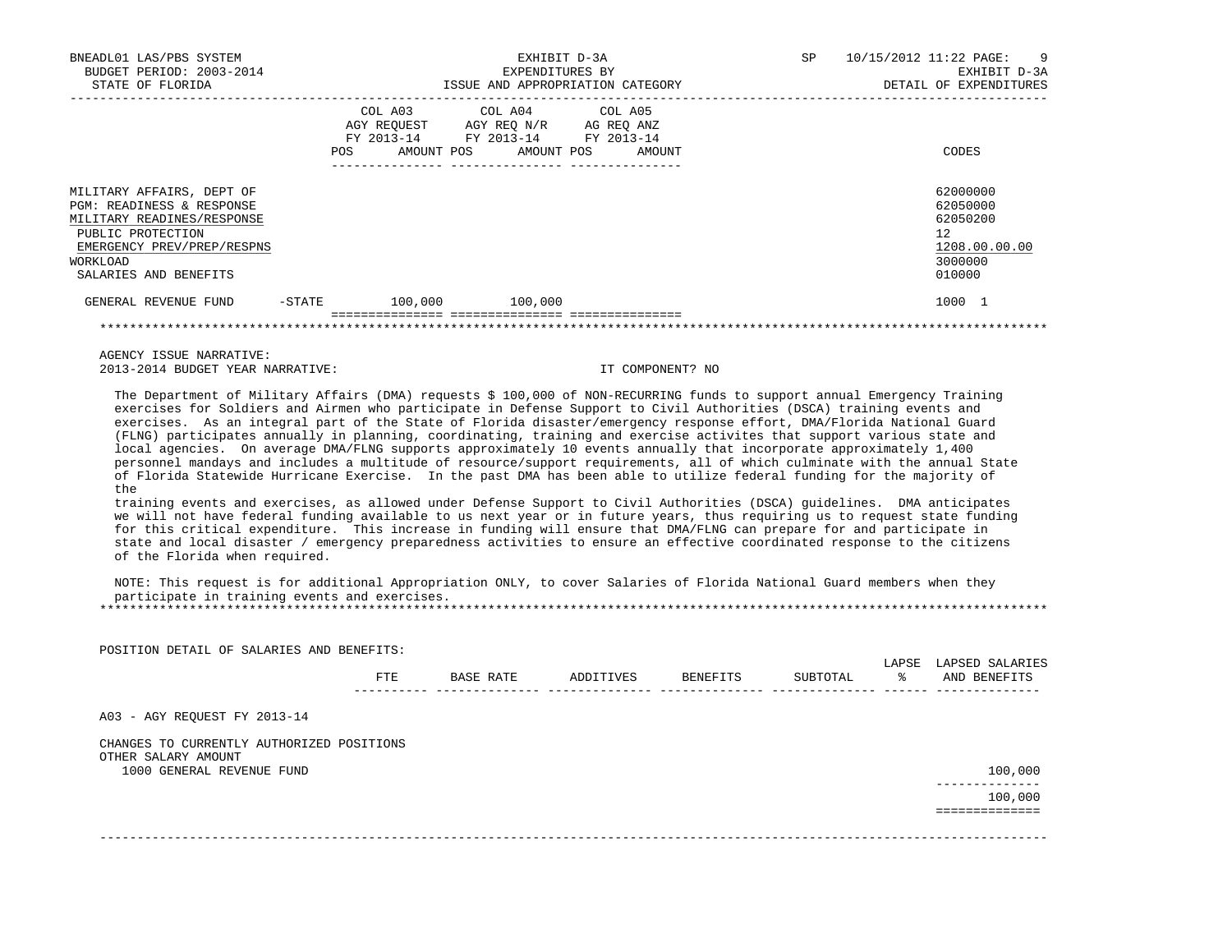| BNEADL01 LAS/PBS SYSTEM<br>BUDGET PERIOD: 2003-2014<br>STATE OF FLORIDA                                                                                                                 |           | EXPENDITURES BY<br>ISSUE AND APPROPRIATION CATEGORY                                                                        | EXHIBIT D-3A |        | SP | 10/15/2012 11:22 PAGE: 9<br>EXHIBIT D-3A<br>DETAIL OF EXPENDITURES           |
|-----------------------------------------------------------------------------------------------------------------------------------------------------------------------------------------|-----------|----------------------------------------------------------------------------------------------------------------------------|--------------|--------|----|------------------------------------------------------------------------------|
|                                                                                                                                                                                         | POS       | COL A03 COL A04 COL A05<br>AGY REQUEST AGY REQ N/R AG REQ ANZ<br>FY 2013-14 FY 2013-14 FY 2013-14<br>AMOUNT POS AMOUNT POS |              | AMOUNT |    | CODES                                                                        |
| MILITARY AFFAIRS, DEPT OF<br><b>PGM: READINESS &amp; RESPONSE</b><br>MILITARY READINES/RESPONSE<br>PUBLIC PROTECTION<br>EMERGENCY PREV/PREP/RESPNS<br>WORKLOAD<br>SALARIES AND BENEFITS |           |                                                                                                                            |              |        |    | 62000000<br>62050000<br>62050200<br>12<br>1208.00.00.00<br>3000000<br>010000 |
| GENERAL REVENUE FUND                                                                                                                                                                    | $-$ STATE | 100,000 100,000                                                                                                            |              |        |    | 1000 1                                                                       |
|                                                                                                                                                                                         |           |                                                                                                                            |              |        |    |                                                                              |

 AGENCY ISSUE NARRATIVE: 2013-2014 BUDGET YEAR NARRATIVE: IT COMPONENT? NO

 The Department of Military Affairs (DMA) requests \$ 100,000 of NON-RECURRING funds to support annual Emergency Training exercises for Soldiers and Airmen who participate in Defense Support to Civil Authorities (DSCA) training events and exercises. As an integral part of the State of Florida disaster/emergency response effort, DMA/Florida National Guard (FLNG) participates annually in planning, coordinating, training and exercise activites that support various state and local agencies. On average DMA/FLNG supports approximately 10 events annually that incorporate approximately 1,400 personnel mandays and includes a multitude of resource/support requirements, all of which culminate with the annual State of Florida Statewide Hurricane Exercise. In the past DMA has been able to utilize federal funding for the majority of the

 training events and exercises, as allowed under Defense Support to Civil Authorities (DSCA) guidelines. DMA anticipates we will not have federal funding available to us next year or in future years, thus requiring us to request state funding for this critical expenditure. This increase in funding will ensure that DMA/FLNG can prepare for and participate in state and local disaster / emergency preparedness activities to ensure an effective coordinated response to the citizens of the Florida when required.

 NOTE: This request is for additional Appropriation ONLY, to cover Salaries of Florida National Guard members when they participate in training events and exercises. \*\*\*\*\*\*\*\*\*\*\*\*\*\*\*\*\*\*\*\*\*\*\*\*\*\*\*\*\*\*\*\*\*\*\*\*\*\*\*\*\*\*\*\*\*\*\*\*\*\*\*\*\*\*\*\*\*\*\*\*\*\*\*\*\*\*\*\*\*\*\*\*\*\*\*\*\*\*\*\*\*\*\*\*\*\*\*\*\*\*\*\*\*\*\*\*\*\*\*\*\*\*\*\*\*\*\*\*\*\*\*\*\*\*\*\*\*\*\*\*\*\*\*\*\*\*\*

| POSITION DETAIL OF SALARIES AND BENEFITS:        |     |           |           |          |          |             |                                 |
|--------------------------------------------------|-----|-----------|-----------|----------|----------|-------------|---------------------------------|
|                                                  | FTE | BASE RATE | ADDITIVES | BENEFITS | SUBTOTAL | LAPSE<br>ႜၟ | LAPSED SALARIES<br>AND BENEFITS |
| A03 - AGY REQUEST FY 2013-14                     |     |           |           |          |          |             |                                 |
| CHANGES TO CURRENTLY AUTHORIZED POSITIONS        |     |           |           |          |          |             |                                 |
| OTHER SALARY AMOUNT<br>1000 GENERAL REVENUE FUND |     |           |           |          |          |             | 100,000                         |
|                                                  |     |           |           |          |          |             | -----------<br>100,000          |
|                                                  |     |           |           |          |          |             | ---------                       |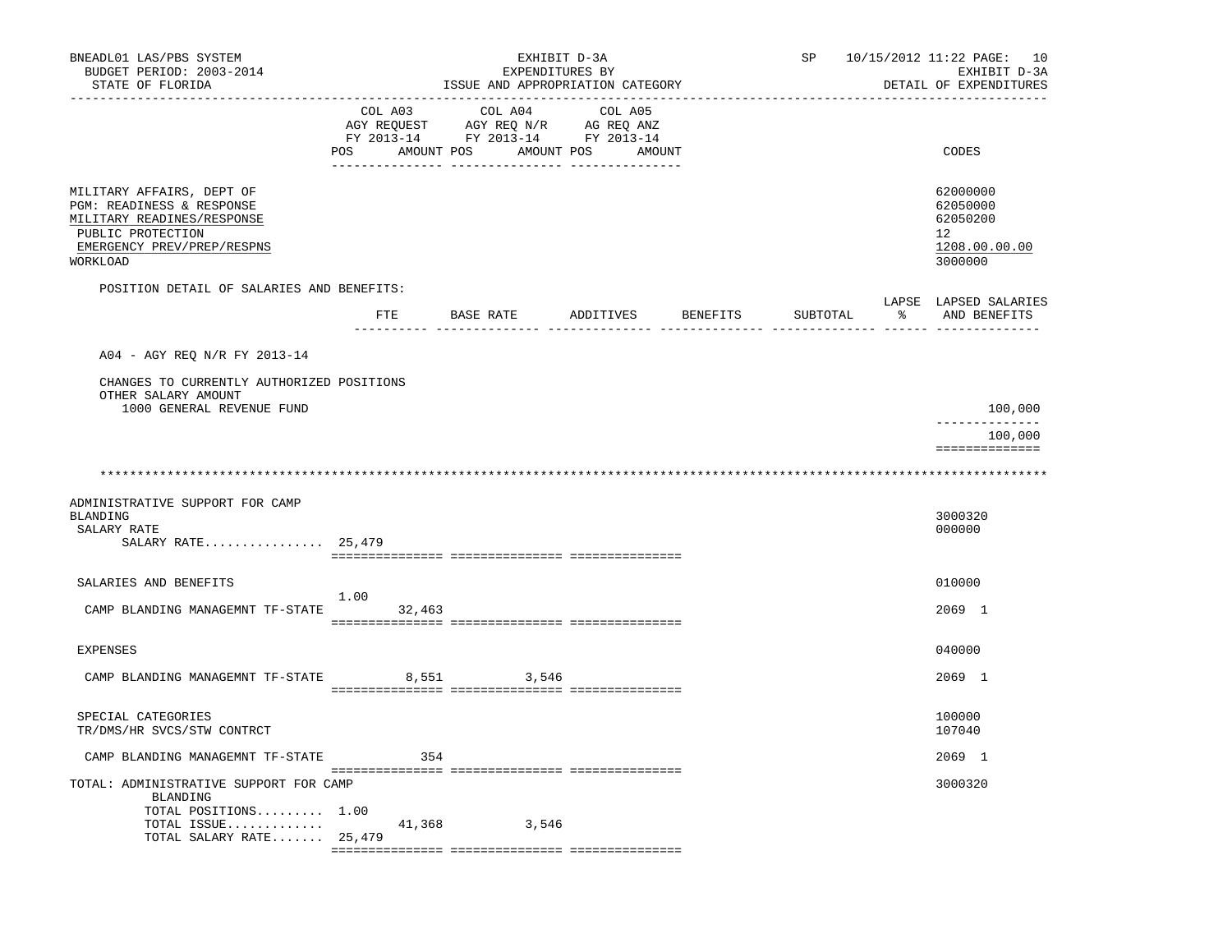| BNEADL01 LAS/PBS SYSTEM<br>BUDGET PERIOD: 2003-2014<br>STATE OF FLORIDA                                                                             |                           | EXHIBIT D-3A<br>EXPENDITURES BY<br>ISSUE AND APPROPRIATION CATEGORY               |                                 | SP       | 10/15/2012 11:22 PAGE: 10<br>EXHIBIT D-3A<br>DETAIL OF EXPENDITURES |
|-----------------------------------------------------------------------------------------------------------------------------------------------------|---------------------------|-----------------------------------------------------------------------------------|---------------------------------|----------|---------------------------------------------------------------------|
|                                                                                                                                                     | COL A03<br>POS AMOUNT POS | COL A04<br>AGY REQUEST AGY REQ N/R AG REQ ANZ<br>FY 2013-14 FY 2013-14 FY 2013-14 | COL A05<br>AMOUNT POS<br>AMOUNT |          | CODES                                                               |
| MILITARY AFFAIRS, DEPT OF<br>PGM: READINESS & RESPONSE<br>MILITARY READINES/RESPONSE<br>PUBLIC PROTECTION<br>EMERGENCY PREV/PREP/RESPNS<br>WORKLOAD |                           |                                                                                   |                                 |          | 62000000<br>62050000<br>62050200<br>12<br>1208.00.00.00<br>3000000  |
| POSITION DETAIL OF SALARIES AND BENEFITS:                                                                                                           |                           |                                                                                   |                                 |          | LAPSE LAPSED SALARIES                                               |
|                                                                                                                                                     |                           | FTE BASE RATE ADDITIVES BENEFITS                                                  |                                 | SUBTOTAL | % AND BENEFITS                                                      |
| A04 - AGY REO N/R FY 2013-14                                                                                                                        |                           |                                                                                   |                                 |          |                                                                     |
| CHANGES TO CURRENTLY AUTHORIZED POSITIONS<br>OTHER SALARY AMOUNT<br>1000 GENERAL REVENUE FUND                                                       |                           |                                                                                   |                                 |          | 100,000                                                             |
|                                                                                                                                                     |                           |                                                                                   |                                 |          | --------------<br>100,000                                           |
|                                                                                                                                                     |                           |                                                                                   |                                 |          | ==============                                                      |
| ADMINISTRATIVE SUPPORT FOR CAMP<br>BLANDING<br>SALARY RATE                                                                                          |                           |                                                                                   |                                 |          | 3000320<br>000000                                                   |
| SALARY RATE $25,479$                                                                                                                                |                           |                                                                                   |                                 |          |                                                                     |
| SALARIES AND BENEFITS                                                                                                                               |                           |                                                                                   |                                 |          | 010000                                                              |
| CAMP BLANDING MANAGEMNT TF-STATE                                                                                                                    | 1.00<br>32,463            |                                                                                   |                                 |          | 2069 1                                                              |
| <b>EXPENSES</b>                                                                                                                                     |                           |                                                                                   |                                 |          | 040000                                                              |
| CAMP BLANDING MANAGEMNT TF-STATE                                                                                                                    |                           | 8,551 3,546                                                                       |                                 |          | 2069 1                                                              |
| SPECIAL CATEGORIES<br>TR/DMS/HR SVCS/STW CONTRCT                                                                                                    |                           |                                                                                   |                                 |          | 100000<br>107040                                                    |
| CAMP BLANDING MANAGEMNT TF-STATE                                                                                                                    | 354                       |                                                                                   |                                 |          | 2069 1                                                              |
| TOTAL: ADMINISTRATIVE SUPPORT FOR CAMP<br>BLANDING<br>TOTAL POSITIONS 1.00                                                                          |                           |                                                                                   |                                 |          | 3000320                                                             |
| TOTAL ISSUE<br>TOTAL SALARY RATE 25,479                                                                                                             | 41,368                    | 3,546                                                                             |                                 |          |                                                                     |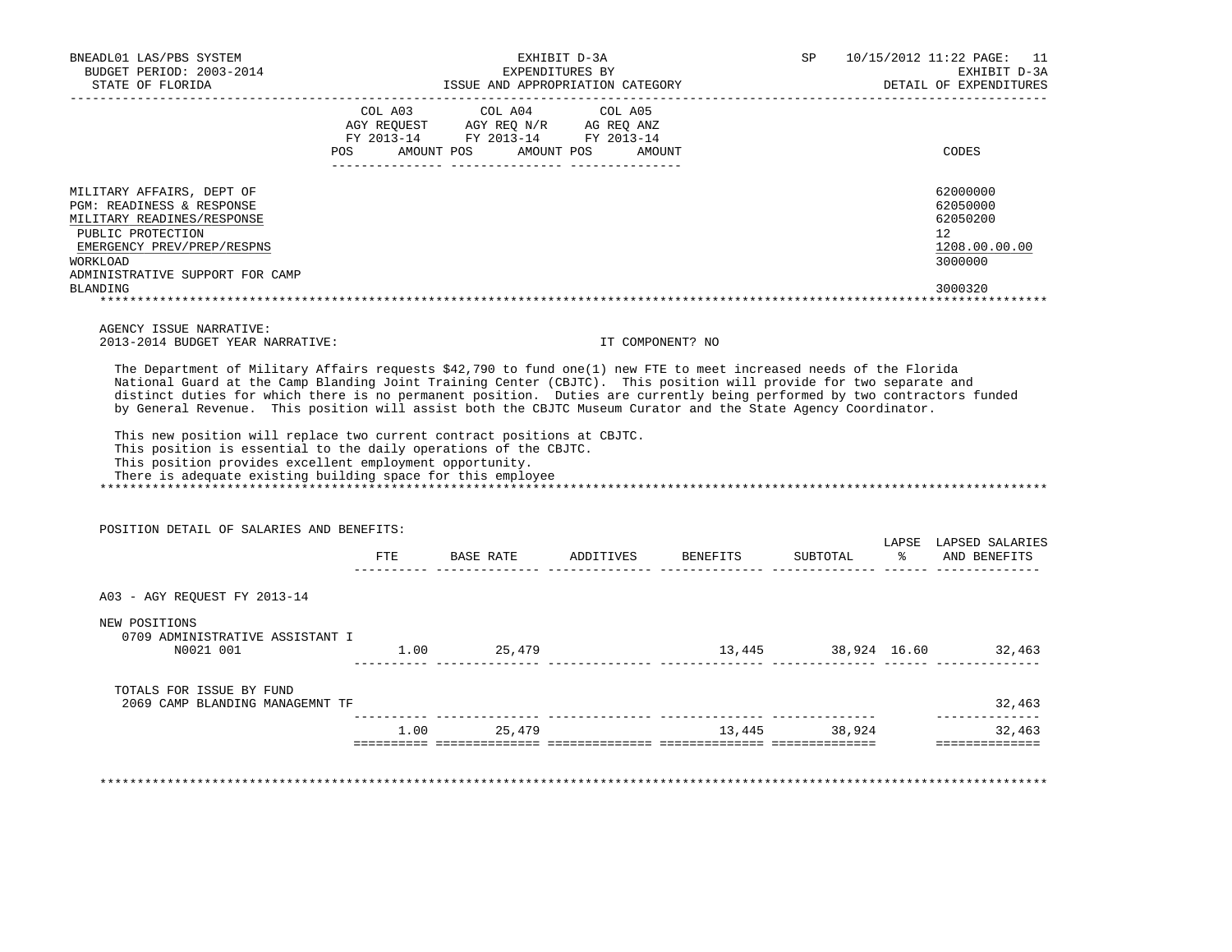| STATE OF FLORIDA                                                                                                                                                                                                                                                                                                                                                                                                                                                                                                                                                           |     | ISSUE AND APPROPRIATION CATEGORY                                                                                                                                                                                             | EXHIBIT D-3A<br>EXPENDITURES BY |                            | SP            | 10/15/2012 11:22 PAGE: 11<br>EXHIBIT D-3A<br>DETAIL OF EXPENDITURES           |
|----------------------------------------------------------------------------------------------------------------------------------------------------------------------------------------------------------------------------------------------------------------------------------------------------------------------------------------------------------------------------------------------------------------------------------------------------------------------------------------------------------------------------------------------------------------------------|-----|------------------------------------------------------------------------------------------------------------------------------------------------------------------------------------------------------------------------------|---------------------------------|----------------------------|---------------|-------------------------------------------------------------------------------|
|                                                                                                                                                                                                                                                                                                                                                                                                                                                                                                                                                                            |     | COL A03 COL A04 COL A05<br>$\begin{tabular}{lllllll} \bf AGY \;\; RegUEST & \tt AGY \;\; REG \;\; N/R & \tt AG \;\; REG \;\; ANZ \\ \hline \tt FY \;\; 2013-14 & \tt FY \;\; 2013-14 & \tt FY \;\; 2013-14 \\ \end{tabular}$ |                                 |                            |               |                                                                               |
| POS                                                                                                                                                                                                                                                                                                                                                                                                                                                                                                                                                                        |     | AMOUNT POS                                                                                                                                                                                                                   | AMOUNT POS<br>AMOUNT            |                            |               | CODES                                                                         |
| MILITARY AFFAIRS, DEPT OF<br>PGM: READINESS & RESPONSE<br>MILITARY READINES/RESPONSE<br>PUBLIC PROTECTION<br>EMERGENCY PREV/PREP/RESPNS<br>WORKLOAD<br>ADMINISTRATIVE SUPPORT FOR CAMP                                                                                                                                                                                                                                                                                                                                                                                     |     |                                                                                                                                                                                                                              |                                 |                            |               | 62000000<br>62050000<br>62050200<br>12<br>1208.00.00.00<br>3000000<br>3000320 |
| BLANDING                                                                                                                                                                                                                                                                                                                                                                                                                                                                                                                                                                   |     |                                                                                                                                                                                                                              |                                 |                            |               |                                                                               |
| AGENCY ISSUE NARRATIVE:                                                                                                                                                                                                                                                                                                                                                                                                                                                                                                                                                    |     |                                                                                                                                                                                                                              |                                 |                            |               |                                                                               |
| 2013-2014 BUDGET YEAR NARRATIVE:                                                                                                                                                                                                                                                                                                                                                                                                                                                                                                                                           |     |                                                                                                                                                                                                                              | IT COMPONENT? NO                |                            |               |                                                                               |
| National Guard at the Camp Blanding Joint Training Center (CBJTC). This position will provide for two separate and<br>distinct duties for which there is no permanent position. Duties are currently being performed by two contractors funded<br>by General Revenue. This position will assist both the CBJTC Museum Curator and the State Agency Coordinator.<br>This new position will replace two current contract positions at CBJTC.<br>This position is essential to the daily operations of the CBJTC.<br>This position provides excellent employment opportunity. |     |                                                                                                                                                                                                                              |                                 |                            |               |                                                                               |
| There is adequate existing building space for this employee                                                                                                                                                                                                                                                                                                                                                                                                                                                                                                                |     |                                                                                                                                                                                                                              |                                 |                            |               |                                                                               |
| POSITION DETAIL OF SALARIES AND BENEFITS:                                                                                                                                                                                                                                                                                                                                                                                                                                                                                                                                  | FTE | BASE RATE ADDITIVES BENEFITS                                                                                                                                                                                                 |                                 |                            | SUBTOTAL      | AND BENEFITS                                                                  |
| A03 - AGY REQUEST FY 2013-14<br>NEW POSITIONS<br>0709 ADMINISTRATIVE ASSISTANT I<br>N0021 001                                                                                                                                                                                                                                                                                                                                                                                                                                                                              |     | 1.00 25,479                                                                                                                                                                                                                  |                                 |                            |               |                                                                               |
|                                                                                                                                                                                                                                                                                                                                                                                                                                                                                                                                                                            |     | , coordinational correspondence coordinational coordinations coordinations                                                                                                                                                   |                                 | 13,445 38,924 16.60 32,463 |               |                                                                               |
| TOTALS FOR ISSUE BY FUND<br>2069 CAMP BLANDING MANAGEMNT TF                                                                                                                                                                                                                                                                                                                                                                                                                                                                                                                |     |                                                                                                                                                                                                                              |                                 |                            |               | 32,463                                                                        |
|                                                                                                                                                                                                                                                                                                                                                                                                                                                                                                                                                                            |     | 1.00 25,479                                                                                                                                                                                                                  |                                 |                            | 13,445 38,924 | LAPSE LAPSED SALARIES<br>--------------<br>32,463                             |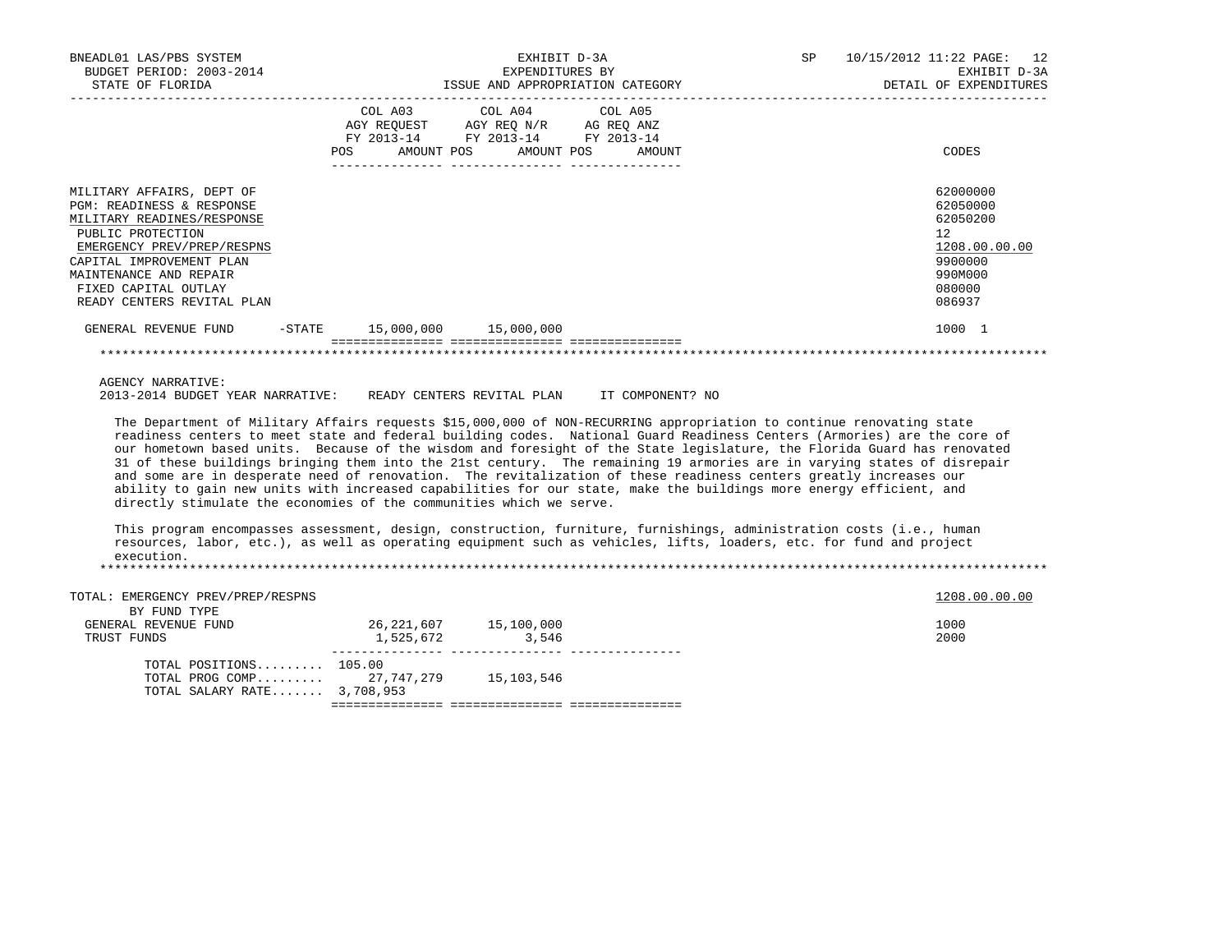| BNEADL01 LAS/PBS SYSTEM<br>BUDGET PERIOD: 2003-2014<br>STATE OF FLORIDA                                                                                                                                                                             | EXHIBIT D-3A<br>EXPENDITURES BY<br>ISSUE AND APPROPRIATION CATEGORY |                                                                                                                                      |  | 12<br>10/15/2012 11:22 PAGE:<br>EXHIBIT D-3A<br>DETAIL OF EXPENDITURES                            |
|-----------------------------------------------------------------------------------------------------------------------------------------------------------------------------------------------------------------------------------------------------|---------------------------------------------------------------------|--------------------------------------------------------------------------------------------------------------------------------------|--|---------------------------------------------------------------------------------------------------|
|                                                                                                                                                                                                                                                     | POS                                                                 | COL A03 COL A04 COL A05<br>AGY REQUEST AGY REO N/R AG REO ANZ<br>FY 2013-14 FY 2013-14 FY 2013-14<br>AMOUNT POS AMOUNT POS<br>AMOUNT |  | CODES                                                                                             |
| MILITARY AFFAIRS, DEPT OF<br>PGM: READINESS & RESPONSE<br>MILITARY READINES/RESPONSE<br>PUBLIC PROTECTION<br>EMERGENCY PREV/PREP/RESPNS<br>CAPITAL IMPROVEMENT PLAN<br>MAINTENANCE AND REPAIR<br>FIXED CAPITAL OUTLAY<br>READY CENTERS REVITAL PLAN |                                                                     |                                                                                                                                      |  | 62000000<br>62050000<br>62050200<br>12<br>1208.00.00.00<br>9900000<br>990M000<br>080000<br>086937 |
| GENERAL REVENUE FUND                                                                                                                                                                                                                                | -STATE                                                              |                                                                                                                                      |  | 1000 1                                                                                            |
|                                                                                                                                                                                                                                                     |                                                                     |                                                                                                                                      |  |                                                                                                   |

AGENCY NARRATIVE:

2013-2014 BUDGET YEAR NARRATIVE: READY CENTERS REVITAL PLAN IT COMPONENT? NO

 The Department of Military Affairs requests \$15,000,000 of NON-RECURRING appropriation to continue renovating state readiness centers to meet state and federal building codes. National Guard Readiness Centers (Armories) are the core of our hometown based units. Because of the wisdom and foresight of the State legislature, the Florida Guard has renovated 31 of these buildings bringing them into the 21st century. The remaining 19 armories are in varying states of disrepair and some are in desperate need of renovation. The revitalization of these readiness centers greatly increases our ability to gain new units with increased capabilities for our state, make the buildings more energy efficient, and directly stimulate the economies of the communities which we serve.

 This program encompasses assessment, design, construction, furniture, furnishings, administration costs (i.e., human resources, labor, etc.), as well as operating equipment such as vehicles, lifts, loaders, etc. for fund and project execution. \*\*\*\*\*\*\*\*\*\*\*\*\*\*\*\*\*\*\*\*\*\*\*\*\*\*\*\*\*\*\*\*\*\*\*\*\*\*\*\*\*\*\*\*\*\*\*\*\*\*\*\*\*\*\*\*\*\*\*\*\*\*\*\*\*\*\*\*\*\*\*\*\*\*\*\*\*\*\*\*\*\*\*\*\*\*\*\*\*\*\*\*\*\*\*\*\*\*\*\*\*\*\*\*\*\*\*\*\*\*\*\*\*\*\*\*\*\*\*\*\*\*\*\*\*\*\*

| TOTAL: EMERGENCY PREV/PREP/RESPNS |           |                           | 1208.00.00.00 |  |
|-----------------------------------|-----------|---------------------------|---------------|--|
| BY FUND TYPE                      |           |                           |               |  |
| GENERAL REVENUE FUND              |           | 26, 221, 607 15, 100, 000 | 1000          |  |
| TRUST FUNDS                       | 1,525,672 | 3,546                     | 2000          |  |
|                                   |           |                           |               |  |
| TOTAL POSITIONS $105.00$          |           |                           |               |  |
| TOTAL PROG COMP 27,747,279        |           | 15,103,546                |               |  |
| TOTAL SALARY RATE 3,708,953       |           |                           |               |  |
|                                   |           |                           |               |  |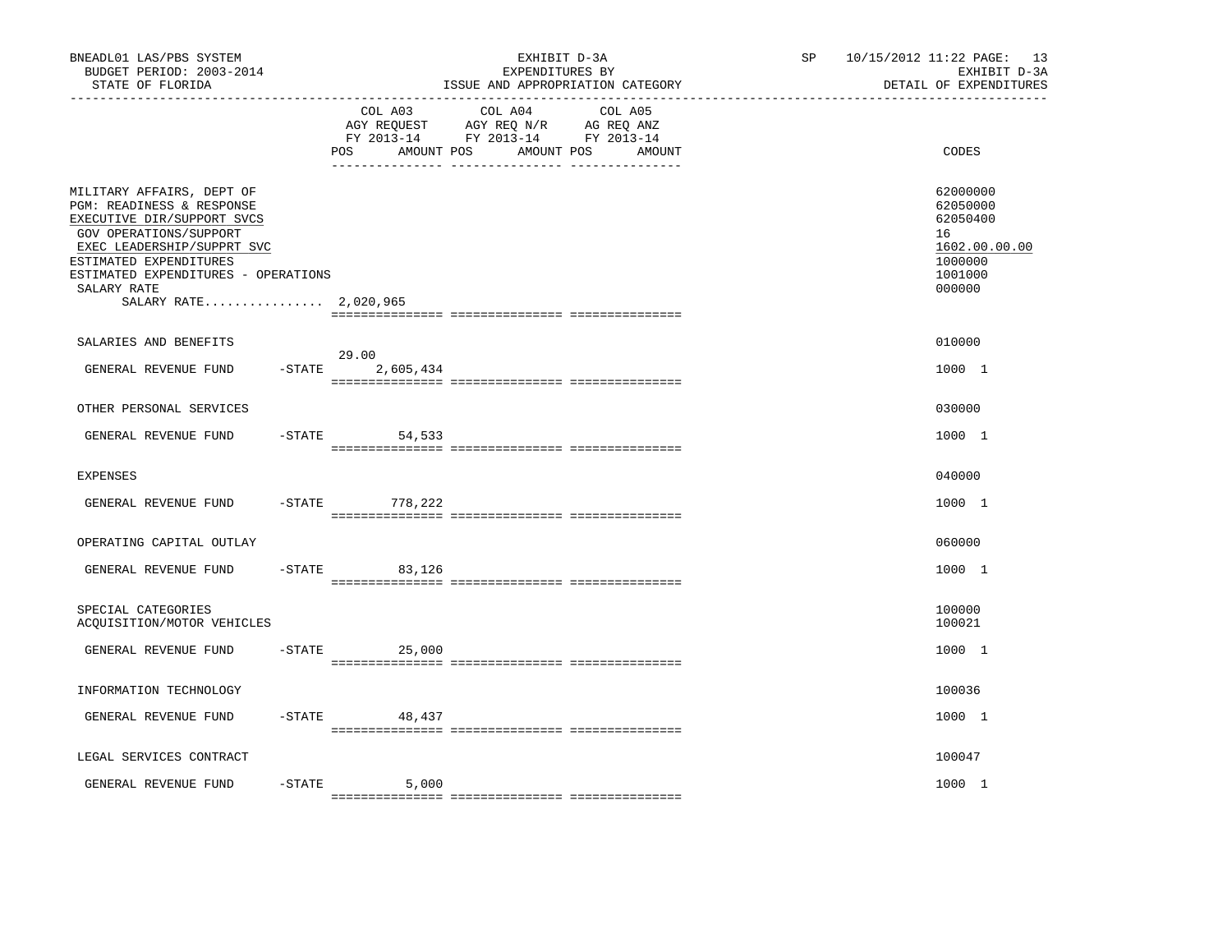| COL A04<br>COL A05<br>COL A03<br>AGY REQUEST AGY REQ N/R AG REQ ANZ<br>FY 2013-14 FY 2013-14 FY 2013-14<br>AMOUNT POS<br>AMOUNT POS<br>POS.<br>AMOUNT<br>MILITARY AFFAIRS, DEPT OF<br>PGM: READINESS & RESPONSE<br>EXECUTIVE DIR/SUPPORT SVCS<br>GOV OPERATIONS/SUPPORT<br>16<br>EXEC LEADERSHIP/SUPPRT SVC<br>ESTIMATED EXPENDITURES<br>ESTIMATED EXPENDITURES - OPERATIONS<br>SALARY RATE<br>SALARY RATE 2,020,965 | EXHIBIT D-3A<br>DETAIL OF EXPENDITURES                                            |
|----------------------------------------------------------------------------------------------------------------------------------------------------------------------------------------------------------------------------------------------------------------------------------------------------------------------------------------------------------------------------------------------------------------------|-----------------------------------------------------------------------------------|
|                                                                                                                                                                                                                                                                                                                                                                                                                      | CODES                                                                             |
|                                                                                                                                                                                                                                                                                                                                                                                                                      | 62000000<br>62050000<br>62050400<br>1602.00.00.00<br>1000000<br>1001000<br>000000 |
| SALARIES AND BENEFITS                                                                                                                                                                                                                                                                                                                                                                                                | 010000                                                                            |
| 29.00<br>GENERAL REVENUE FUND<br>$-$ STATE<br>2,605,434                                                                                                                                                                                                                                                                                                                                                              | 1000 1                                                                            |
| OTHER PERSONAL SERVICES                                                                                                                                                                                                                                                                                                                                                                                              | 030000                                                                            |
| $-STATE$<br>GENERAL REVENUE FUND<br>54,533                                                                                                                                                                                                                                                                                                                                                                           | 1000 1                                                                            |
| <b>EXPENSES</b>                                                                                                                                                                                                                                                                                                                                                                                                      | 040000                                                                            |
| $-$ STATE<br>GENERAL REVENUE FUND<br>778,222                                                                                                                                                                                                                                                                                                                                                                         | 1000 1                                                                            |
| OPERATING CAPITAL OUTLAY                                                                                                                                                                                                                                                                                                                                                                                             | 060000                                                                            |
| GENERAL REVENUE FUND<br>$-$ STATE<br>83,126                                                                                                                                                                                                                                                                                                                                                                          | 1000 1                                                                            |
| SPECIAL CATEGORIES<br>ACQUISITION/MOTOR VEHICLES                                                                                                                                                                                                                                                                                                                                                                     | 100000<br>100021                                                                  |
| GENERAL REVENUE FUND<br>$-STATE$<br>25,000                                                                                                                                                                                                                                                                                                                                                                           | 1000 1                                                                            |
| INFORMATION TECHNOLOGY                                                                                                                                                                                                                                                                                                                                                                                               | 100036                                                                            |
| GENERAL REVENUE FUND<br>$-$ STATE<br>48,437                                                                                                                                                                                                                                                                                                                                                                          | 1000 1                                                                            |
| LEGAL SERVICES CONTRACT                                                                                                                                                                                                                                                                                                                                                                                              | 100047                                                                            |
| $-STATE$<br>GENERAL REVENUE FUND<br>5,000                                                                                                                                                                                                                                                                                                                                                                            | 1000 1                                                                            |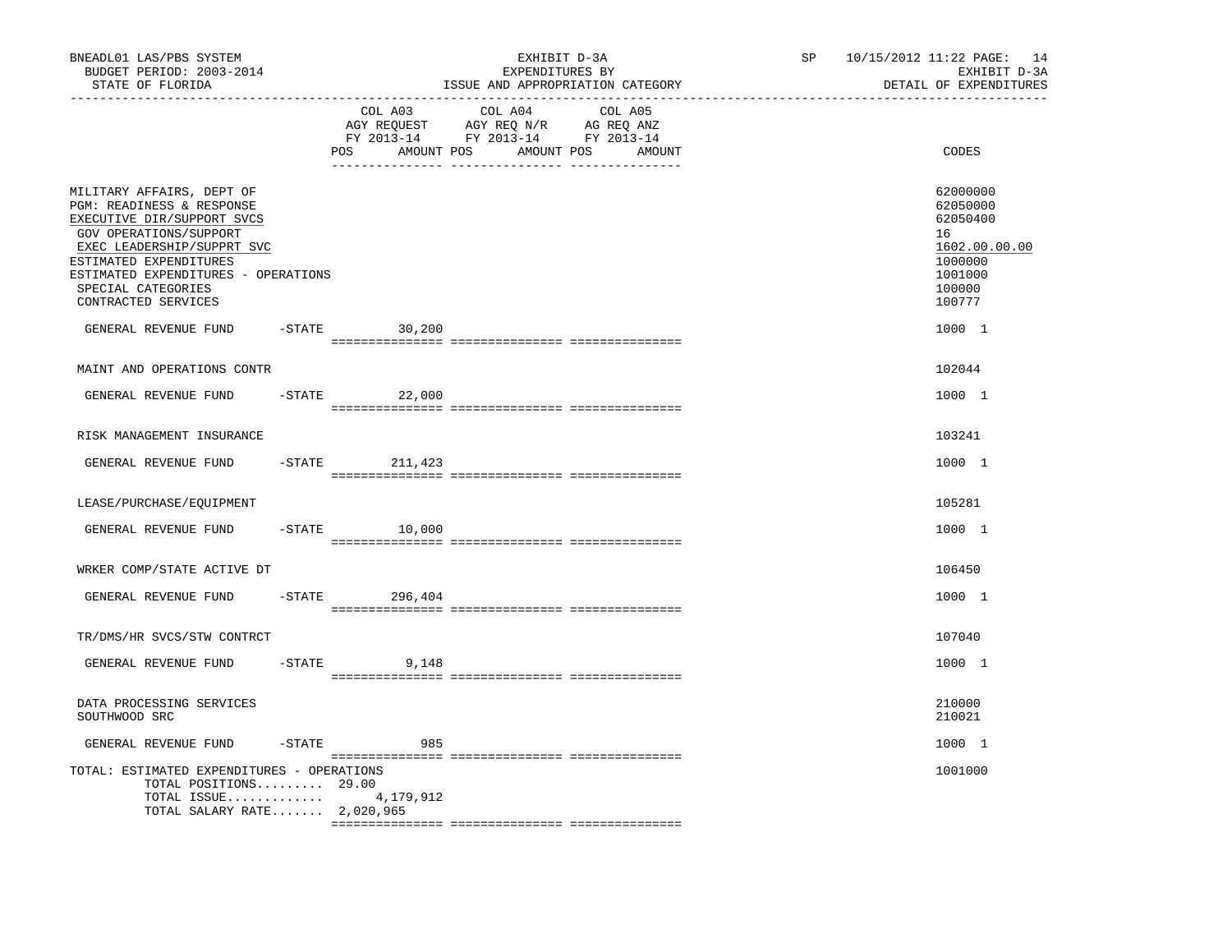| BNEADL01 LAS/PBS SYSTEM<br>BUDGET PERIOD: 2003-2014<br>STATE OF FLORIDA<br>-----------------                                                                                                                                                               |           |                              | EXHIBIT D-3A<br>EXPENDITURES BY<br>ISSUE AND APPROPRIATION CATEGORY                                                                                                                                                                                                                | SP<br>------------------------------- | 10/15/2012 11:22 PAGE: 14<br>EXHIBIT D-3A<br>DETAIL OF EXPENDITURES                               |
|------------------------------------------------------------------------------------------------------------------------------------------------------------------------------------------------------------------------------------------------------------|-----------|------------------------------|------------------------------------------------------------------------------------------------------------------------------------------------------------------------------------------------------------------------------------------------------------------------------------|---------------------------------------|---------------------------------------------------------------------------------------------------|
|                                                                                                                                                                                                                                                            |           | COL A03<br>AMOUNT POS<br>POS | COL A04<br>COL A05<br>$\begin{tabular}{lllllll} \bf AGY \;\; RegUEST \hspace{1cm} AGY \;\; REG \;\; N/R \hspace{1cm} \bf AG \;\; REG \;\; ANZ \end{tabular}$ $\begin{tabular}{lllllllllll} \bf FY \;\; 2013-14 \hspace{1cm} FY \;\; 2013-14 \end{tabular}$<br>AMOUNT POS<br>AMOUNT |                                       | CODES                                                                                             |
| MILITARY AFFAIRS, DEPT OF<br>PGM: READINESS & RESPONSE<br>EXECUTIVE DIR/SUPPORT SVCS<br>GOV OPERATIONS/SUPPORT<br>EXEC LEADERSHIP/SUPPRT SVC<br>ESTIMATED EXPENDITURES<br>ESTIMATED EXPENDITURES - OPERATIONS<br>SPECIAL CATEGORIES<br>CONTRACTED SERVICES |           |                              |                                                                                                                                                                                                                                                                                    |                                       | 62000000<br>62050000<br>62050400<br>16<br>1602.00.00.00<br>1000000<br>1001000<br>100000<br>100777 |
| GENERAL REVENUE FUND                                                                                                                                                                                                                                       |           | $-STATE$ 30,200              |                                                                                                                                                                                                                                                                                    |                                       | 1000 1                                                                                            |
| MAINT AND OPERATIONS CONTR                                                                                                                                                                                                                                 |           |                              |                                                                                                                                                                                                                                                                                    |                                       | 102044                                                                                            |
| GENERAL REVENUE FUND                                                                                                                                                                                                                                       |           | $-$ STATE 22,000             |                                                                                                                                                                                                                                                                                    |                                       | 1000 1                                                                                            |
| RISK MANAGEMENT INSURANCE                                                                                                                                                                                                                                  |           |                              |                                                                                                                                                                                                                                                                                    |                                       | 103241                                                                                            |
| GENERAL REVENUE FUND                                                                                                                                                                                                                                       | $-$ STATE | 211,423                      |                                                                                                                                                                                                                                                                                    |                                       | 1000 1                                                                                            |
| LEASE/PURCHASE/EQUIPMENT                                                                                                                                                                                                                                   |           |                              |                                                                                                                                                                                                                                                                                    |                                       | 105281                                                                                            |
| GENERAL REVENUE FUND                                                                                                                                                                                                                                       |           | $-STATE$ 10,000              |                                                                                                                                                                                                                                                                                    |                                       | 1000 1                                                                                            |
| WRKER COMP/STATE ACTIVE DT                                                                                                                                                                                                                                 |           |                              |                                                                                                                                                                                                                                                                                    |                                       | 106450                                                                                            |
| GENERAL REVENUE FUND                                                                                                                                                                                                                                       |           | $-$ STATE 296, 404           |                                                                                                                                                                                                                                                                                    |                                       | 1000 1                                                                                            |
| TR/DMS/HR SVCS/STW CONTRCT                                                                                                                                                                                                                                 |           |                              |                                                                                                                                                                                                                                                                                    |                                       | 107040                                                                                            |
| GENERAL REVENUE FUND                                                                                                                                                                                                                                       | $-$ STATE | 9,148                        |                                                                                                                                                                                                                                                                                    |                                       | 1000 1                                                                                            |
| DATA PROCESSING SERVICES<br>SOUTHWOOD SRC                                                                                                                                                                                                                  |           |                              |                                                                                                                                                                                                                                                                                    |                                       | 210000<br>210021                                                                                  |
| GENERAL REVENUE FUND                                                                                                                                                                                                                                       | -STATE    | 985                          |                                                                                                                                                                                                                                                                                    |                                       | 1000 1                                                                                            |
| TOTAL: ESTIMATED EXPENDITURES - OPERATIONS<br>TOTAL POSITIONS 29.00<br>TOTAL ISSUE $4,179,912$<br>TOTAL SALARY RATE 2,020,965                                                                                                                              |           |                              |                                                                                                                                                                                                                                                                                    |                                       | 1001000                                                                                           |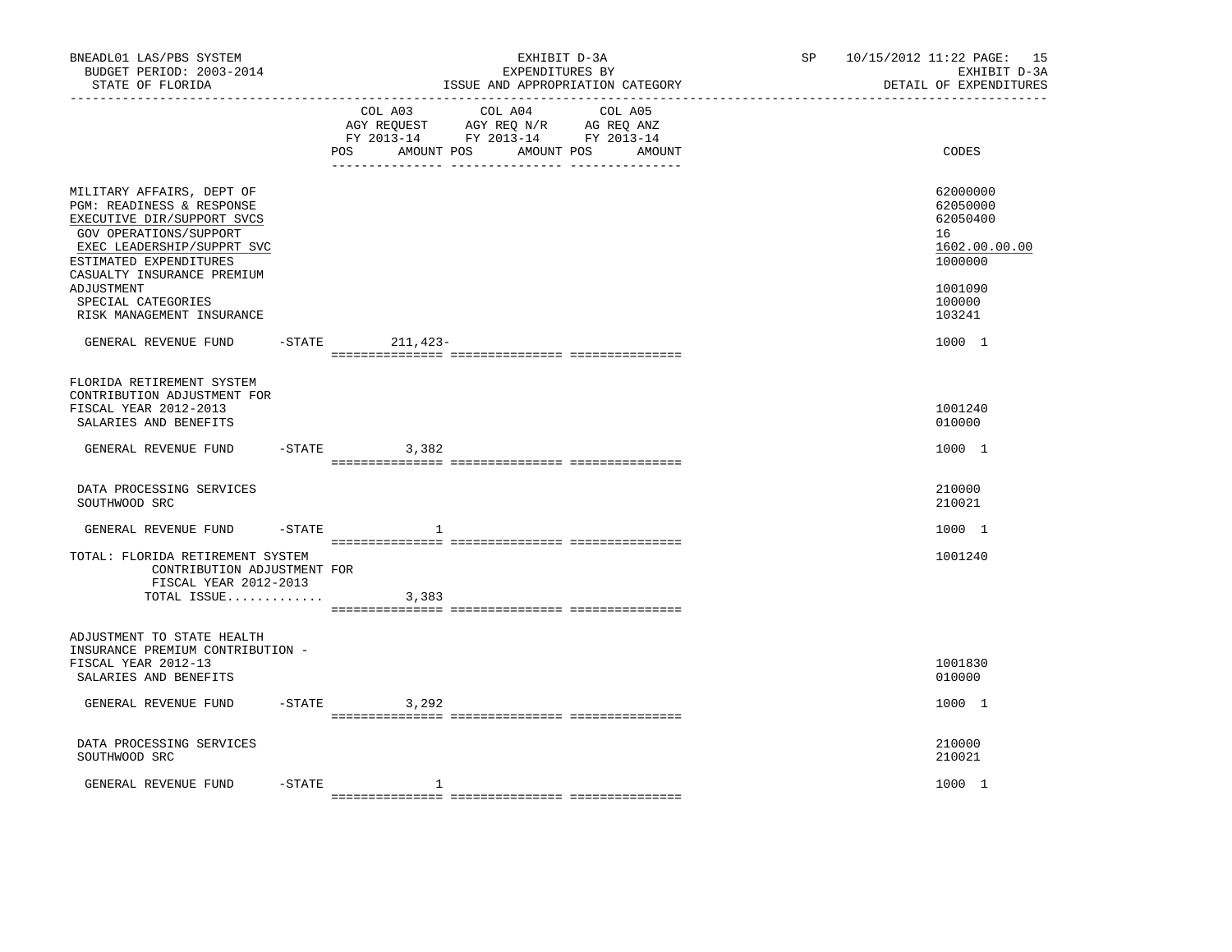| BNEADL01 LAS/PBS SYSTEM<br>BUDGET PERIOD: 2003-2014<br>STATE OF FLORIDA                                                                                                                                                                                                                       |        |                   | EXHIBIT D-3A<br>EXPENDITURES BY<br>ISSUE AND APPROPRIATION CATEGORY                                                       | SP | 10/15/2012 11:22 PAGE: 15<br>EXHIBIT D-3A<br>DETAIL OF EXPENDITURES                                         |
|-----------------------------------------------------------------------------------------------------------------------------------------------------------------------------------------------------------------------------------------------------------------------------------------------|--------|-------------------|---------------------------------------------------------------------------------------------------------------------------|----|-------------------------------------------------------------------------------------------------------------|
|                                                                                                                                                                                                                                                                                               |        | AMOUNT POS<br>POS | COL A03 COL A04 COL A05<br>AGY REQUEST AGY REQ N/R AG REQ ANZ<br>FY 2013-14 FY 2013-14 FY 2013-14<br>AMOUNT POS<br>AMOUNT |    | CODES                                                                                                       |
| MILITARY AFFAIRS, DEPT OF<br>PGM: READINESS & RESPONSE<br>EXECUTIVE DIR/SUPPORT SVCS<br>GOV OPERATIONS/SUPPORT<br>EXEC LEADERSHIP/SUPPRT SVC<br>ESTIMATED EXPENDITURES<br>CASUALTY INSURANCE PREMIUM<br>ADJUSTMENT<br>SPECIAL CATEGORIES<br>RISK MANAGEMENT INSURANCE<br>GENERAL REVENUE FUND |        | -STATE 211, 423-  |                                                                                                                           |    | 62000000<br>62050000<br>62050400<br>16<br>1602.00.00.00<br>1000000<br>1001090<br>100000<br>103241<br>1000 1 |
| FLORIDA RETIREMENT SYSTEM<br>CONTRIBUTION ADJUSTMENT FOR<br>FISCAL YEAR 2012-2013<br>SALARIES AND BENEFITS                                                                                                                                                                                    |        |                   |                                                                                                                           |    | 1001240<br>010000                                                                                           |
| GENERAL REVENUE FUND                                                                                                                                                                                                                                                                          |        | $-$ STATE 3, 382  |                                                                                                                           |    | 1000 1                                                                                                      |
| DATA PROCESSING SERVICES<br>SOUTHWOOD SRC                                                                                                                                                                                                                                                     |        |                   |                                                                                                                           |    | 210000<br>210021                                                                                            |
| GENERAL REVENUE FUND -STATE                                                                                                                                                                                                                                                                   |        | 1                 |                                                                                                                           |    | 1000 1                                                                                                      |
| TOTAL: FLORIDA RETIREMENT SYSTEM<br>CONTRIBUTION ADJUSTMENT FOR<br>FISCAL YEAR 2012-2013<br>TOTAL ISSUE $3,383$                                                                                                                                                                               |        |                   |                                                                                                                           |    | 1001240                                                                                                     |
| ADJUSTMENT TO STATE HEALTH<br>INSURANCE PREMIUM CONTRIBUTION -<br>FISCAL YEAR 2012-13<br>SALARIES AND BENEFITS                                                                                                                                                                                |        |                   |                                                                                                                           |    | 1001830<br>010000                                                                                           |
| GENERAL REVENUE FUND                                                                                                                                                                                                                                                                          |        | $-STATE$ 3, 292   |                                                                                                                           |    | 1000 1                                                                                                      |
| DATA PROCESSING SERVICES<br>SOUTHWOOD SRC                                                                                                                                                                                                                                                     |        |                   |                                                                                                                           |    | 210000<br>210021                                                                                            |
| GENERAL REVENUE FUND                                                                                                                                                                                                                                                                          | -STATE | $\mathbf{1}$      |                                                                                                                           |    | 1000 1                                                                                                      |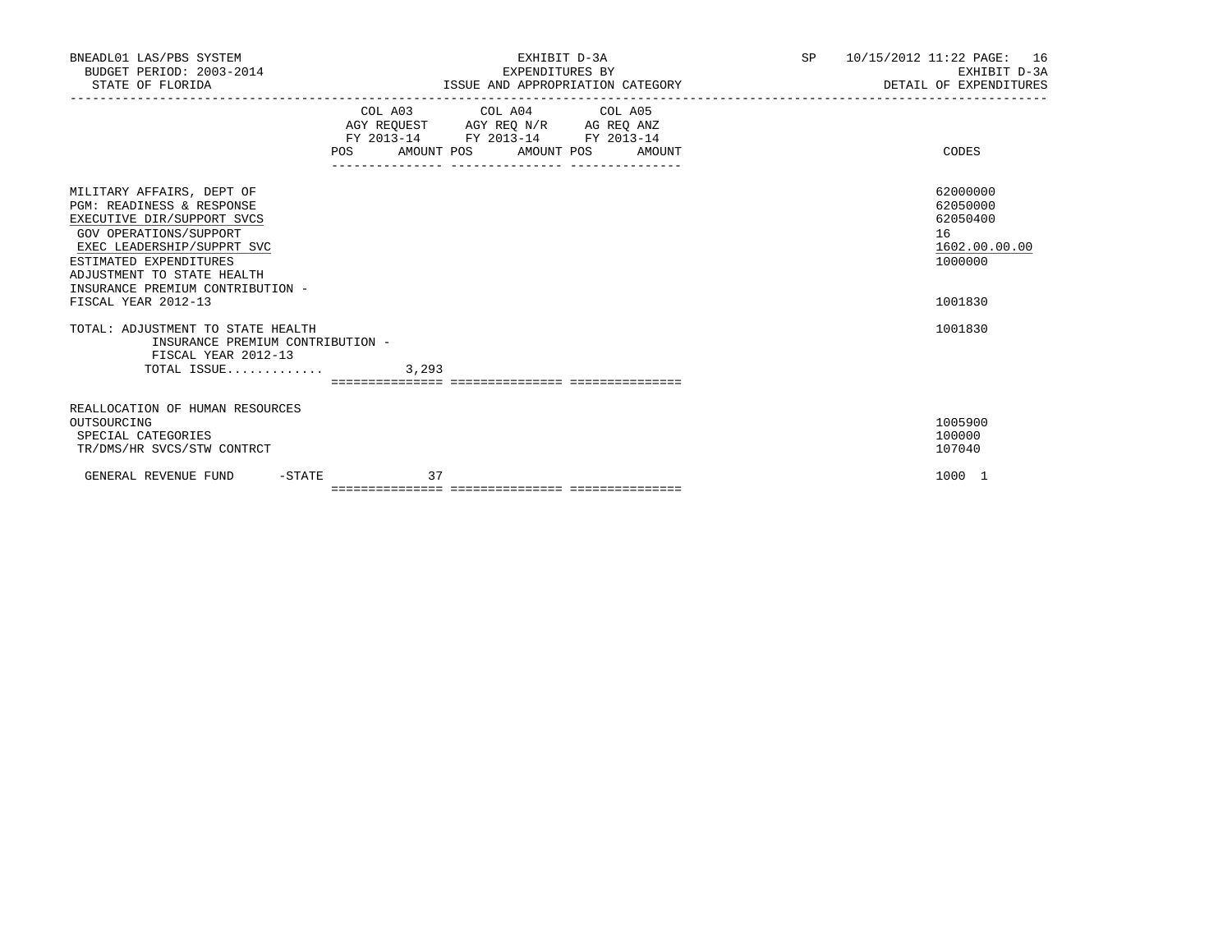| BNEADL01 LAS/PBS SYSTEM<br>BUDGET PERIOD: 2003-2014<br>STATE OF FLORIDA                                                                                                                                                                                                                                                                                                                | EXHIBIT D-3A<br>EXPENDITURES BY<br>ISSUE AND APPROPRIATION CATEGORY |                                                                                                                                       |  | SP 10/15/2012 11:22 PAGE: 16<br>EXHIBIT D-3A<br>DETAIL OF EXPENDITURES                   |
|----------------------------------------------------------------------------------------------------------------------------------------------------------------------------------------------------------------------------------------------------------------------------------------------------------------------------------------------------------------------------------------|---------------------------------------------------------------------|---------------------------------------------------------------------------------------------------------------------------------------|--|------------------------------------------------------------------------------------------|
|                                                                                                                                                                                                                                                                                                                                                                                        |                                                                     | COL A03 COL A04 COL A05<br>AGY REQUEST AGY REQ N/R AG REQ ANZ<br>FY 2013-14 FY 2013-14 FY 2013-14<br>POS AMOUNT POS AMOUNT POS AMOUNT |  | CODES                                                                                    |
| MILITARY AFFAIRS, DEPT OF<br>PGM: READINESS & RESPONSE<br>EXECUTIVE DIR/SUPPORT SVCS<br>GOV OPERATIONS/SUPPORT<br>EXEC LEADERSHIP/SUPPRT SVC<br>ESTIMATED EXPENDITURES<br>ADJUSTMENT TO STATE HEALTH<br>INSURANCE PREMIUM CONTRIBUTION -<br>FISCAL YEAR 2012-13<br>TOTAL: ADJUSTMENT TO STATE HEALTH<br>INSURANCE PREMIUM CONTRIBUTION -<br>FISCAL YEAR 2012-13<br>$TOTAL$ ISSUE 3,293 |                                                                     |                                                                                                                                       |  | 62000000<br>62050000<br>62050400<br>16<br>1602.00.00.00<br>1000000<br>1001830<br>1001830 |
|                                                                                                                                                                                                                                                                                                                                                                                        |                                                                     |                                                                                                                                       |  |                                                                                          |
| REALLOCATION OF HUMAN RESOURCES<br>OUTSOURCING<br>SPECIAL CATEGORIES<br>TR/DMS/HR SVCS/STW CONTRCT                                                                                                                                                                                                                                                                                     |                                                                     |                                                                                                                                       |  | 1005900<br>100000<br>107040                                                              |
| GENERAL REVENUE FUND<br>$-$ STATE                                                                                                                                                                                                                                                                                                                                                      |                                                                     | 37                                                                                                                                    |  | 1000 1                                                                                   |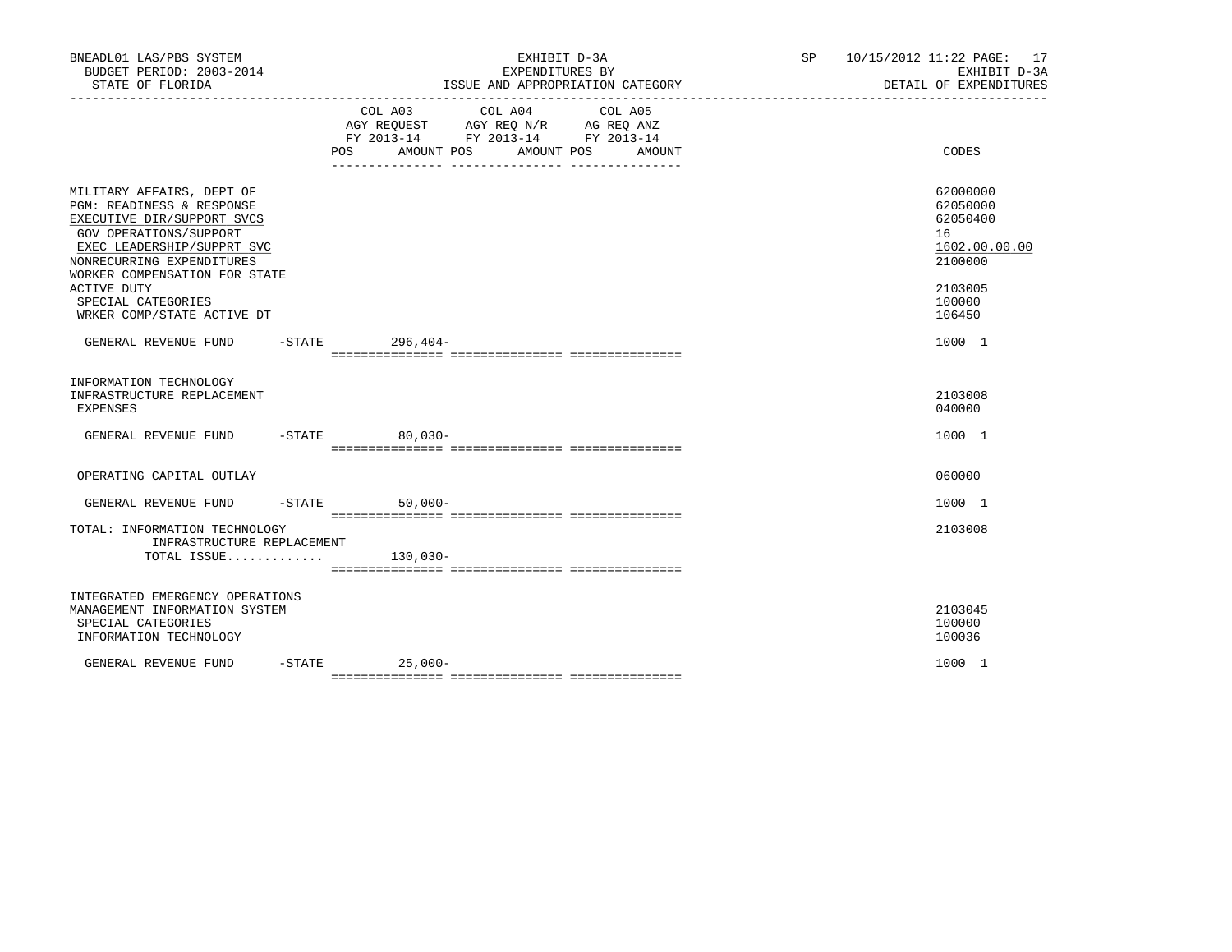| BNEADL01 LAS/PBS SYSTEM<br>BUDGET PERIOD: 2003-2014<br>STATE OF FLORIDA                                                                                                                                                                                                                  | EXHIBIT D-3A<br>EXPENDITURES BY<br>ISSUE AND APPROPRIATION CATEGORY                                                                      | SP 10/15/2012 11:22 PAGE: 17<br>EXHIBIT D-3A<br>DETAIL OF EXPENDITURES                            |
|------------------------------------------------------------------------------------------------------------------------------------------------------------------------------------------------------------------------------------------------------------------------------------------|------------------------------------------------------------------------------------------------------------------------------------------|---------------------------------------------------------------------------------------------------|
|                                                                                                                                                                                                                                                                                          | COL A03 COL A04 COL A05<br>AGY REQUEST AGY REQ N/R AG REQ ANZ<br>FY 2013-14 FY 2013-14 FY 2013-14<br>AMOUNT POS AMOUNT POS AMOUNT<br>POS | CODES                                                                                             |
| MILITARY AFFAIRS, DEPT OF<br><b>PGM: READINESS &amp; RESPONSE</b><br>EXECUTIVE DIR/SUPPORT SVCS<br>GOV OPERATIONS/SUPPORT<br>EXEC LEADERSHIP/SUPPRT SVC<br>NONRECURRING EXPENDITURES<br>WORKER COMPENSATION FOR STATE<br>ACTIVE DUTY<br>SPECIAL CATEGORIES<br>WRKER COMP/STATE ACTIVE DT |                                                                                                                                          | 62000000<br>62050000<br>62050400<br>16<br>1602.00.00.00<br>2100000<br>2103005<br>100000<br>106450 |
| GENERAL REVENUE FUND -STATE 296,404-                                                                                                                                                                                                                                                     |                                                                                                                                          | 1000 1                                                                                            |
| INFORMATION TECHNOLOGY<br>INFRASTRUCTURE REPLACEMENT<br>EXPENSES                                                                                                                                                                                                                         |                                                                                                                                          | 2103008<br>040000                                                                                 |
| GENERAL REVENUE FUND                                                                                                                                                                                                                                                                     | $-STATE$<br>$80,030-$                                                                                                                    | 1000 1                                                                                            |
| OPERATING CAPITAL OUTLAY                                                                                                                                                                                                                                                                 |                                                                                                                                          | 060000                                                                                            |
| GENERAL REVENUE FUND -STATE                                                                                                                                                                                                                                                              | $50,000-$                                                                                                                                | 1000 1                                                                                            |
| TOTAL: INFORMATION TECHNOLOGY<br>INFRASTRUCTURE REPLACEMENT<br>TOTAL ISSUE                                                                                                                                                                                                               | 130,030-                                                                                                                                 | 2103008                                                                                           |
| INTEGRATED EMERGENCY OPERATIONS<br>MANAGEMENT INFORMATION SYSTEM<br>SPECIAL CATEGORIES<br>INFORMATION TECHNOLOGY                                                                                                                                                                         |                                                                                                                                          | 2103045<br>100000<br>100036                                                                       |
| GENERAL REVENUE FUND                                                                                                                                                                                                                                                                     | $-$ STATE 25,000 -                                                                                                                       | 1000 1                                                                                            |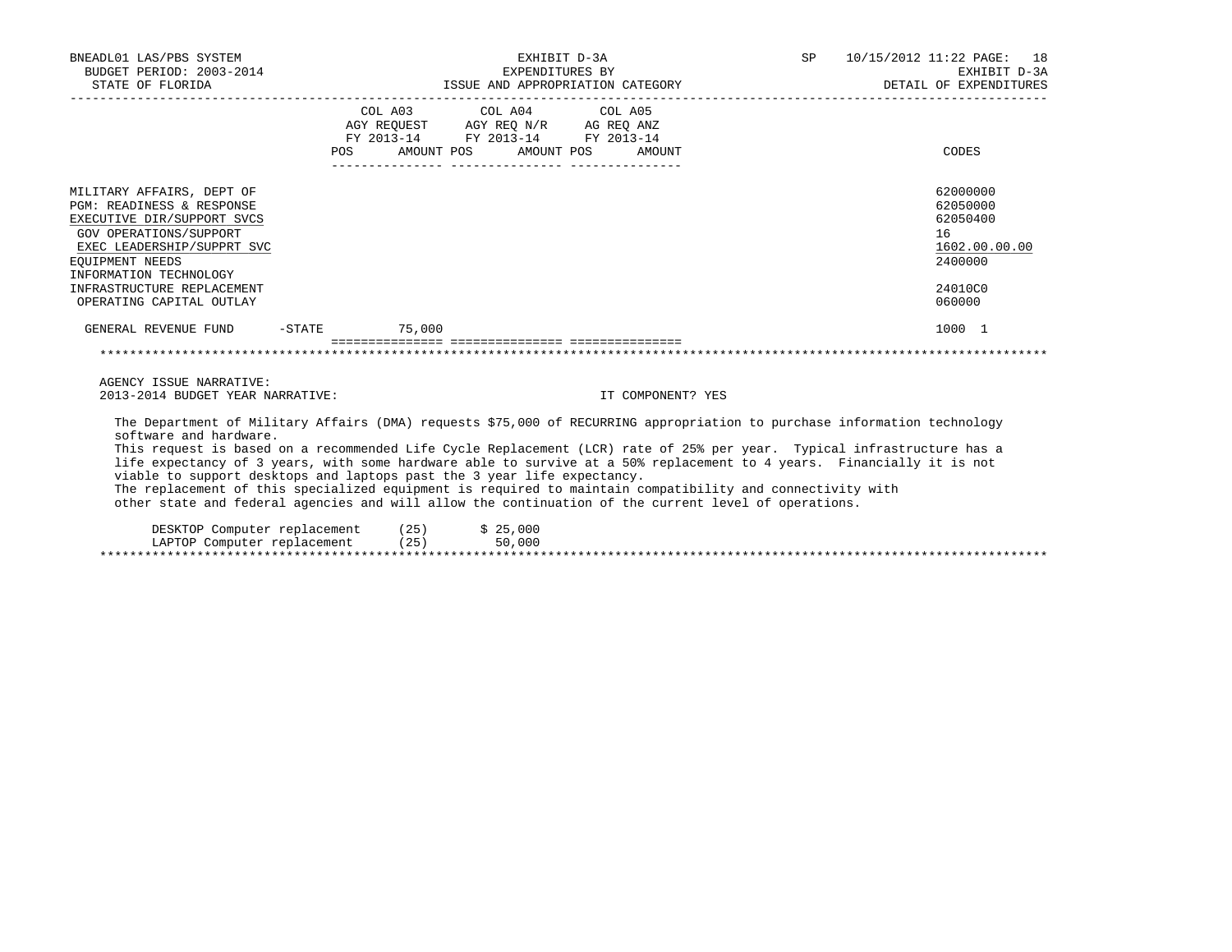| BNEADL01 LAS/PBS SYSTEM<br>BUDGET PERIOD: 2003-2014<br>STATE OF FLORIDA                                                                                                                   |                                                                                                                | ISSUE AND APPROPRIATION CATEGORY                                                                                                  | EXHIBIT D-3A<br>EXPENDITURES BY | SP 10/15/2012 11:22 PAGE: 18<br>EXHIBIT D-3A<br>DETAIL OF EXPENDITURES |
|-------------------------------------------------------------------------------------------------------------------------------------------------------------------------------------------|----------------------------------------------------------------------------------------------------------------|-----------------------------------------------------------------------------------------------------------------------------------|---------------------------------|------------------------------------------------------------------------|
|                                                                                                                                                                                           | POS FOR THE POST OF THE STATE STATE STATE STATE STATE STATE STATE STATE STATE STATE STATE STATE STATE STATE ST | COL A03 COL A04 COL A05<br>AGY REQUEST AGY REQ N/R AG REQ ANZ<br>FY 2013-14 FY 2013-14 FY 2013-14<br>AMOUNT POS AMOUNT POS AMOUNT |                                 | CODES                                                                  |
| MILITARY AFFAIRS, DEPT OF<br>PGM: READINESS & RESPONSE<br>EXECUTIVE DIR/SUPPORT SVCS<br>GOV OPERATIONS/SUPPORT<br>EXEC LEADERSHIP/SUPPRT SVC<br>EOUIPMENT NEEDS<br>INFORMATION TECHNOLOGY |                                                                                                                |                                                                                                                                   |                                 | 62000000<br>62050000<br>62050400<br>16<br>1602.00.00.00<br>2400000     |
| INFRASTRUCTURE REPLACEMENT<br>OPERATING CAPITAL OUTLAY                                                                                                                                    |                                                                                                                |                                                                                                                                   |                                 | 24010C0<br>060000                                                      |
| GENERAL REVENUE FUND -STATE 75,000                                                                                                                                                        |                                                                                                                |                                                                                                                                   |                                 | 1000 1                                                                 |
|                                                                                                                                                                                           |                                                                                                                |                                                                                                                                   |                                 |                                                                        |
| AGENCY ISSUE NARRATIVE:                                                                                                                                                                   |                                                                                                                |                                                                                                                                   |                                 |                                                                        |

2013-2014 BUDGET YEAR NARRATIVE: IT COMPONENT? YES

 The Department of Military Affairs (DMA) requests \$75,000 of RECURRING appropriation to purchase information technology software and hardware.

 This request is based on a recommended Life Cycle Replacement (LCR) rate of 25% per year. Typical infrastructure has a life expectancy of 3 years, with some hardware able to survive at a 50% replacement to 4 years. Financially it is not viable to support desktops and laptops past the 3 year life expectancy.

 The replacement of this specialized equipment is required to maintain compatibility and connectivity with other state and federal agencies and will allow the continuation of the current level of operations.

| DESKTOP Computer replacement | (25) | \$25,000 |
|------------------------------|------|----------|
| LAPTOP Computer replacement  | (25) | 50,000   |
|                              |      |          |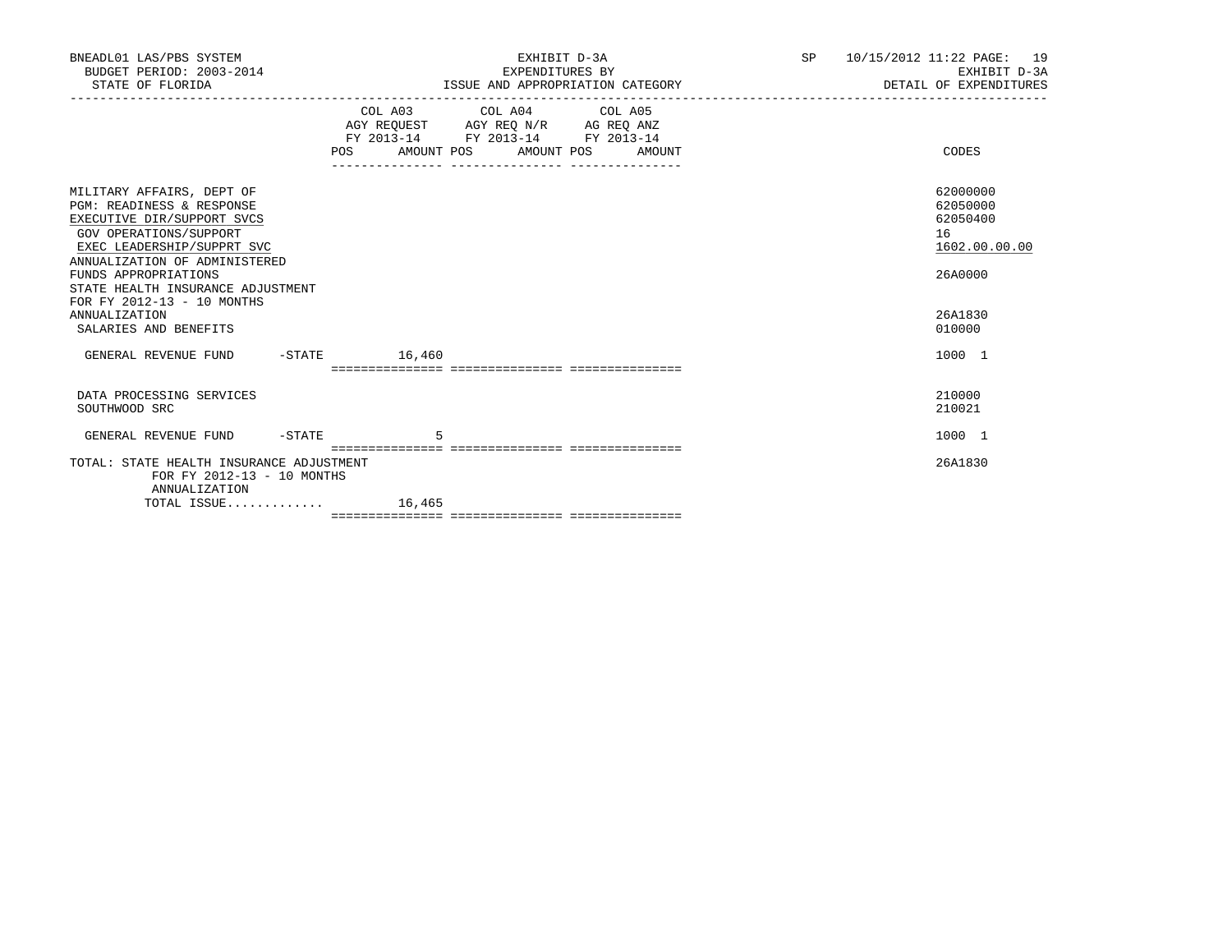| BNEADL01 LAS/PBS SYSTEM<br>BUDGET PERIOD: 2003-2014<br>STATE OF FLORIDA                                                                                                                                                                                                                                            | EXHIBIT D-3A<br>EXPENDITURES BY<br>ISSUE AND APPROPRIATION CATEGORY                                                                   | SP 10/15/2012 11:22 PAGE: 19<br>EXHIBIT D-3A<br>DETAIL OF EXPENDITURES |                                                                                         |  |
|--------------------------------------------------------------------------------------------------------------------------------------------------------------------------------------------------------------------------------------------------------------------------------------------------------------------|---------------------------------------------------------------------------------------------------------------------------------------|------------------------------------------------------------------------|-----------------------------------------------------------------------------------------|--|
|                                                                                                                                                                                                                                                                                                                    | COL A03 COL A04 COL A05<br>AGY REQUEST AGY REQ N/R AG REQ ANZ<br>FY 2013-14 FY 2013-14 FY 2013-14<br>POS AMOUNT POS AMOUNT POS AMOUNT |                                                                        | CODES                                                                                   |  |
| MILITARY AFFAIRS, DEPT OF<br>PGM: READINESS & RESPONSE<br>EXECUTIVE DIR/SUPPORT SVCS<br>GOV OPERATIONS/SUPPORT<br>EXEC LEADERSHIP/SUPPRT SVC<br>ANNUALIZATION OF ADMINISTERED<br>FUNDS APPROPRIATIONS<br>STATE HEALTH INSURANCE ADJUSTMENT<br>FOR FY 2012-13 - 10 MONTHS<br>ANNUALIZATION<br>SALARIES AND BENEFITS |                                                                                                                                       |                                                                        | 62000000<br>62050000<br>62050400<br>16<br>1602.00.00.00<br>26A0000<br>26A1830<br>010000 |  |
| GENERAL REVENUE FUND -STATE 16,460                                                                                                                                                                                                                                                                                 |                                                                                                                                       |                                                                        | 1000 1                                                                                  |  |
| DATA PROCESSING SERVICES<br>SOUTHWOOD SRC<br>GENERAL REVENUE FUND -STATE                                                                                                                                                                                                                                           |                                                                                                                                       |                                                                        | 210000<br>210021<br>1000 1                                                              |  |
| TOTAL: STATE HEALTH INSURANCE ADJUSTMENT<br>FOR FY 2012-13 - 10 MONTHS<br>ANNUALIZATION                                                                                                                                                                                                                            |                                                                                                                                       |                                                                        | 26A1830                                                                                 |  |
| TOTAL ISSUE $16,465$                                                                                                                                                                                                                                                                                               |                                                                                                                                       |                                                                        |                                                                                         |  |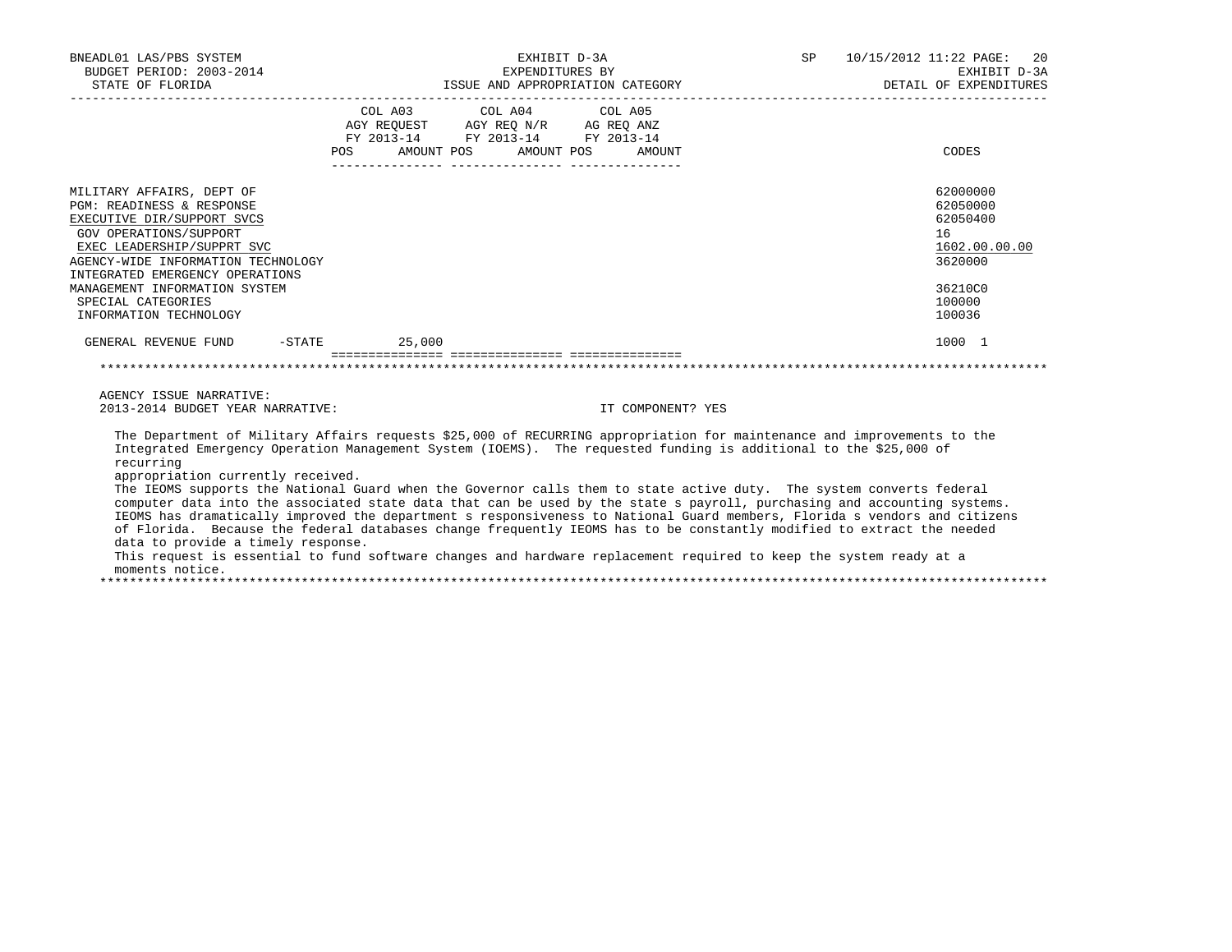| BNEADL01 LAS/PBS SYSTEM<br>BUDGET PERIOD: 2003-2014<br>STATE OF FLORIDA                                                                                                                                                                                                                                                                                                                                                                                                                                                                                                                                                                                                                                                                                                                                                                       | EXPENDITURES BY                                                                                                                | EXHIBIT D-3A<br>ISSUE AND APPROPRIATION CATEGORY | in the state of the SP state of the SP state of the SP. | 10/15/2012 11:22 PAGE:<br>20<br>EXHIBIT D-3A<br>DETAIL OF EXPENDITURES                            |
|-----------------------------------------------------------------------------------------------------------------------------------------------------------------------------------------------------------------------------------------------------------------------------------------------------------------------------------------------------------------------------------------------------------------------------------------------------------------------------------------------------------------------------------------------------------------------------------------------------------------------------------------------------------------------------------------------------------------------------------------------------------------------------------------------------------------------------------------------|--------------------------------------------------------------------------------------------------------------------------------|--------------------------------------------------|---------------------------------------------------------|---------------------------------------------------------------------------------------------------|
|                                                                                                                                                                                                                                                                                                                                                                                                                                                                                                                                                                                                                                                                                                                                                                                                                                               | COL A03 COL A04 COL A05<br>AGY REQUEST AGY REQ N/R AG REQ ANZ<br>FY 2013-14 FY 2013-14 FY 2013-14<br>POS AMOUNT POS AMOUNT POS | AMOUNT                                           |                                                         | CODES                                                                                             |
| MILITARY AFFAIRS, DEPT OF<br>PGM: READINESS & RESPONSE<br>EXECUTIVE DIR/SUPPORT SVCS<br>GOV OPERATIONS/SUPPORT<br>EXEC LEADERSHIP/SUPPRT SVC<br>AGENCY-WIDE INFORMATION TECHNOLOGY<br>INTEGRATED EMERGENCY OPERATIONS<br>MANAGEMENT INFORMATION SYSTEM<br>SPECIAL CATEGORIES<br>INFORMATION TECHNOLOGY                                                                                                                                                                                                                                                                                                                                                                                                                                                                                                                                        |                                                                                                                                |                                                  |                                                         | 62000000<br>62050000<br>62050400<br>16<br>1602.00.00.00<br>3620000<br>36210C0<br>100000<br>100036 |
| GENERAL REVENUE FUND -STATE 25,000                                                                                                                                                                                                                                                                                                                                                                                                                                                                                                                                                                                                                                                                                                                                                                                                            |                                                                                                                                |                                                  |                                                         | 1000 1                                                                                            |
|                                                                                                                                                                                                                                                                                                                                                                                                                                                                                                                                                                                                                                                                                                                                                                                                                                               |                                                                                                                                |                                                  |                                                         |                                                                                                   |
| AGENCY ISSUE NARRATIVE:<br>2013-2014 BUDGET YEAR NARRATIVE:                                                                                                                                                                                                                                                                                                                                                                                                                                                                                                                                                                                                                                                                                                                                                                                   |                                                                                                                                | IT COMPONENT? YES                                |                                                         |                                                                                                   |
| The Department of Military Affairs requests \$25,000 of RECURRING appropriation for maintenance and improvements to the<br>Integrated Emergency Operation Management System (IOEMS). The requested funding is additional to the \$25,000 of<br>recurring<br>appropriation currently received.<br>The IEOMS supports the National Guard when the Governor calls them to state active duty. The system converts federal<br>computer data into the associated state data that can be used by the state s payroll, purchasing and accounting systems.<br>IEOMS has dramatically improved the department s responsiveness to National Guard members, Florida s vendors and citizens<br>of Florida. Because the federal databases change frequently IEOMS has to be constantly modified to extract the needed<br>data to provide a timely response. | the contract of the contract of the contract of                                                                                |                                                  |                                                         |                                                                                                   |

 This request is essential to fund software changes and hardware replacement required to keep the system ready at a moments notice.

\*\*\*\*\*\*\*\*\*\*\*\*\*\*\*\*\*\*\*\*\*\*\*\*\*\*\*\*\*\*\*\*\*\*\*\*\*\*\*\*\*\*\*\*\*\*\*\*\*\*\*\*\*\*\*\*\*\*\*\*\*\*\*\*\*\*\*\*\*\*\*\*\*\*\*\*\*\*\*\*\*\*\*\*\*\*\*\*\*\*\*\*\*\*\*\*\*\*\*\*\*\*\*\*\*\*\*\*\*\*\*\*\*\*\*\*\*\*\*\*\*\*\*\*\*\*\*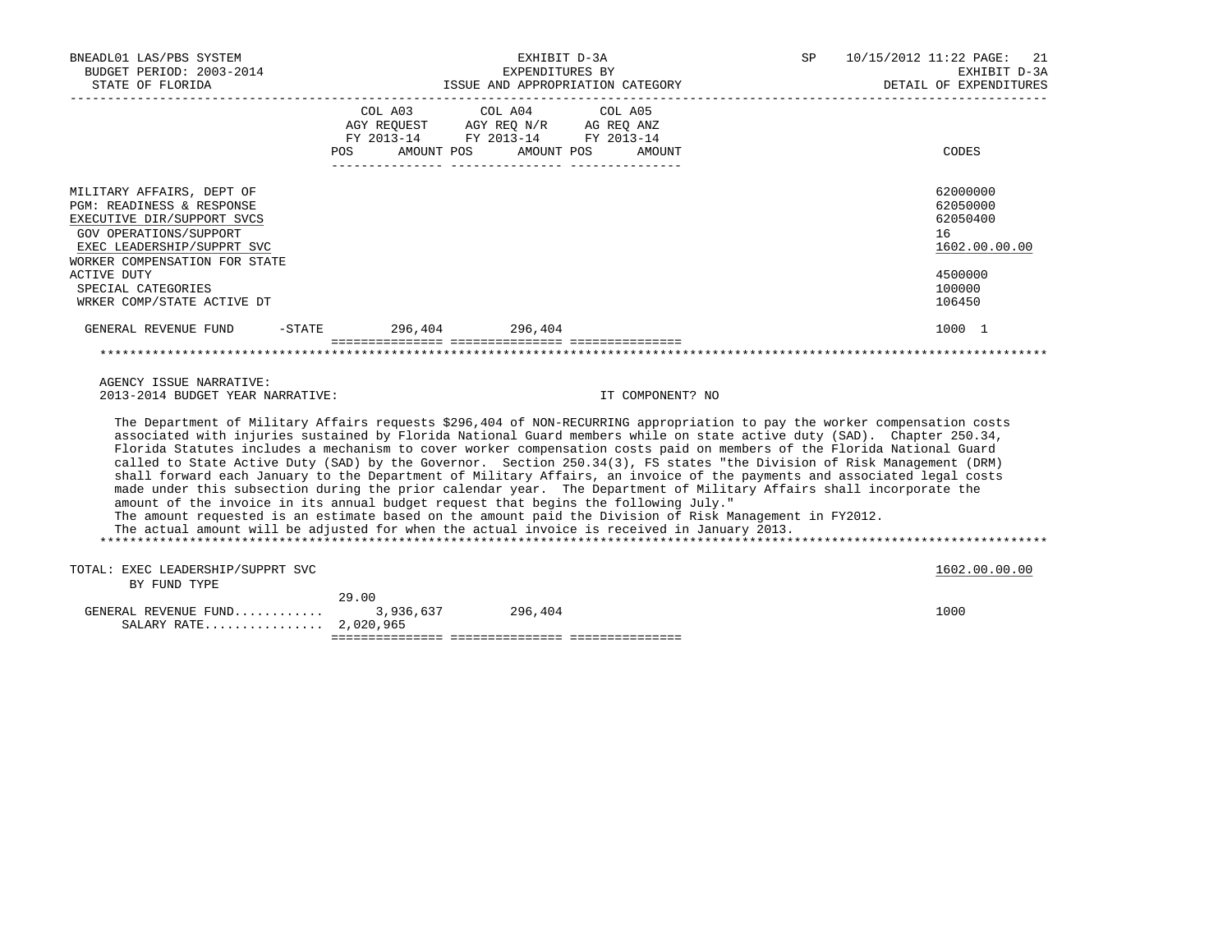| BNEADL01 LAS/PBS SYSTEM<br>BUDGET PERIOD: 2003-2014<br>STATE OF FLORIDA                                                                                                                                                                                                                                                                                                                                                                                                                                                                                                                                                                                                                                                                                                                                                                                                                                                                                                                                                                                    |                        | EXHIBIT D-3A<br>EXPENDITURES BY                                                                                                                                                                                                                                                                                                                                                                                                                     | ISSUE AND APPROPRIATION CATEGORY | SP 10/15/2012 11:22 PAGE: 21<br>EXHIBIT D-3A<br>DETAIL OF EXPENDITURES                 |
|------------------------------------------------------------------------------------------------------------------------------------------------------------------------------------------------------------------------------------------------------------------------------------------------------------------------------------------------------------------------------------------------------------------------------------------------------------------------------------------------------------------------------------------------------------------------------------------------------------------------------------------------------------------------------------------------------------------------------------------------------------------------------------------------------------------------------------------------------------------------------------------------------------------------------------------------------------------------------------------------------------------------------------------------------------|------------------------|-----------------------------------------------------------------------------------------------------------------------------------------------------------------------------------------------------------------------------------------------------------------------------------------------------------------------------------------------------------------------------------------------------------------------------------------------------|----------------------------------|----------------------------------------------------------------------------------------|
|                                                                                                                                                                                                                                                                                                                                                                                                                                                                                                                                                                                                                                                                                                                                                                                                                                                                                                                                                                                                                                                            |                        | COL A03 COL A04 COL A05<br>$\begin{tabular}{lllllll} \bf AGY \,\, & & & & & & & \\ \bf AGY \,\, & & & & & & & \\ \bf FY \,\, & & 2013-14 \,\, & & & & & \\ \bf FY \,\, & 2013-14 \,\, & & & & & \\ \bf FY \,\, & 2013-14 \,\, & & & & \\ \bf FY \,\, & 2013-14 \,\, & & & & \\ \bf FY \,\, & 2013-14 \,\, & & & & \\ \bf FY \,\, & 2013-14 \,\, & & & & \\ \bf FY \,\, & 2013-14 \,\, & & & & \\ \bf FY \,\, &$<br>POS AMOUNT POS AMOUNT POS AMOUNT |                                  | CODES                                                                                  |
| MILITARY AFFAIRS, DEPT OF<br>PGM: READINESS & RESPONSE<br>EXECUTIVE DIR/SUPPORT SVCS<br>GOV OPERATIONS/SUPPORT<br>EXEC LEADERSHIP/SUPPRT SVC<br>WORKER COMPENSATION FOR STATE<br><b>ACTIVE DUTY</b><br>SPECIAL CATEGORIES<br>WRKER COMP/STATE ACTIVE DT                                                                                                                                                                                                                                                                                                                                                                                                                                                                                                                                                                                                                                                                                                                                                                                                    |                        |                                                                                                                                                                                                                                                                                                                                                                                                                                                     |                                  | 62000000<br>62050000<br>62050400<br>16<br>1602.00.00.00<br>4500000<br>100000<br>106450 |
| GENERAL REVENUE FUND                                                                                                                                                                                                                                                                                                                                                                                                                                                                                                                                                                                                                                                                                                                                                                                                                                                                                                                                                                                                                                       | -STATE 296,404 296,404 |                                                                                                                                                                                                                                                                                                                                                                                                                                                     |                                  | 1000 1                                                                                 |
|                                                                                                                                                                                                                                                                                                                                                                                                                                                                                                                                                                                                                                                                                                                                                                                                                                                                                                                                                                                                                                                            |                        |                                                                                                                                                                                                                                                                                                                                                                                                                                                     |                                  |                                                                                        |
| AGENCY ISSUE NARRATIVE:<br>2013-2014 BUDGET YEAR NARRATIVE:                                                                                                                                                                                                                                                                                                                                                                                                                                                                                                                                                                                                                                                                                                                                                                                                                                                                                                                                                                                                |                        |                                                                                                                                                                                                                                                                                                                                                                                                                                                     | IT COMPONENT? NO                 |                                                                                        |
| The Department of Military Affairs requests \$296,404 of NON-RECURRING appropriation to pay the worker compensation costs<br>associated with injuries sustained by Florida National Guard members while on state active duty (SAD). Chapter 250.34,<br>Florida Statutes includes a mechanism to cover worker compensation costs paid on members of the Florida National Guard<br>called to State Active Duty (SAD) by the Governor. Section 250.34(3), FS states "the Division of Risk Management (DRM)<br>shall forward each January to the Department of Military Affairs, an invoice of the payments and associated legal costs<br>made under this subsection during the prior calendar year. The Department of Military Affairs shall incorporate the<br>amount of the invoice in its annual budget request that begins the following July."<br>The amount requested is an estimate based on the amount paid the Division of Risk Management in FY2012.<br>The actual amount will be adjusted for when the actual invoice is received in January 2013. |                        |                                                                                                                                                                                                                                                                                                                                                                                                                                                     |                                  |                                                                                        |
| TOTAL: EXEC LEADERSHIP/SUPPRT SVC<br>BY FUND TYPE                                                                                                                                                                                                                                                                                                                                                                                                                                                                                                                                                                                                                                                                                                                                                                                                                                                                                                                                                                                                          |                        |                                                                                                                                                                                                                                                                                                                                                                                                                                                     |                                  | 1602.00.00.00                                                                          |
| GENERAL REVENUE FUND<br>SALARY RATE 2,020,965                                                                                                                                                                                                                                                                                                                                                                                                                                                                                                                                                                                                                                                                                                                                                                                                                                                                                                                                                                                                              | 29.00<br>3,936,637     | 296,404                                                                                                                                                                                                                                                                                                                                                                                                                                             |                                  | 1000                                                                                   |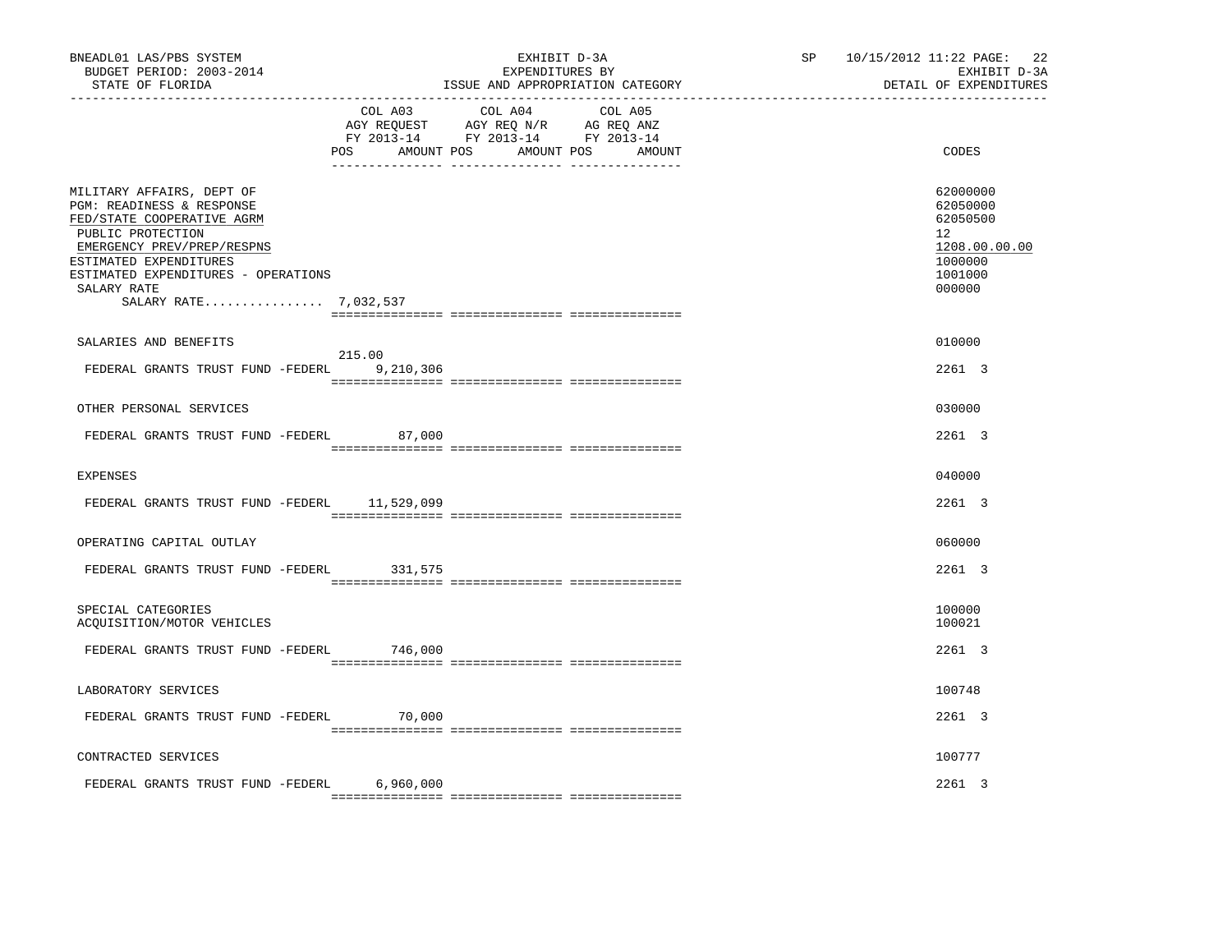| BNEADL01 LAS/PBS SYSTEM<br>BUDGET PERIOD: 2003-2014<br>STATE OF FLORIDA                                                                                                                                                                          |                     | EXHIBIT D-3A<br>EXPENDITURES BY<br>ISSUE AND APPROPRIATION CATEGORY                                                               | SP <sub>2</sub> | 10/15/2012 11:22 PAGE:<br>22<br>EXHIBIT D-3A<br>DETAIL OF EXPENDITURES                  |
|--------------------------------------------------------------------------------------------------------------------------------------------------------------------------------------------------------------------------------------------------|---------------------|-----------------------------------------------------------------------------------------------------------------------------------|-----------------|-----------------------------------------------------------------------------------------|
|                                                                                                                                                                                                                                                  | <b>POS</b>          | COL A03 COL A04 COL A05<br>AGY REQUEST AGY REQ N/R AG REQ ANZ<br>FY 2013-14 FY 2013-14 FY 2013-14<br>AMOUNT POS AMOUNT POS AMOUNT |                 | CODES                                                                                   |
| MILITARY AFFAIRS, DEPT OF<br>PGM: READINESS & RESPONSE<br>FED/STATE COOPERATIVE AGRM<br>PUBLIC PROTECTION<br>EMERGENCY PREV/PREP/RESPNS<br>ESTIMATED EXPENDITURES<br>ESTIMATED EXPENDITURES - OPERATIONS<br>SALARY RATE<br>SALARY RATE 7,032,537 |                     |                                                                                                                                   |                 | 62000000<br>62050000<br>62050500<br>12<br>1208.00.00.00<br>1000000<br>1001000<br>000000 |
|                                                                                                                                                                                                                                                  |                     |                                                                                                                                   |                 |                                                                                         |
| SALARIES AND BENEFITS                                                                                                                                                                                                                            |                     |                                                                                                                                   |                 | 010000                                                                                  |
| FEDERAL GRANTS TRUST FUND -FEDERL                                                                                                                                                                                                                | 215.00<br>9,210,306 |                                                                                                                                   |                 | 2261 3                                                                                  |
| OTHER PERSONAL SERVICES                                                                                                                                                                                                                          |                     |                                                                                                                                   |                 | 030000                                                                                  |
| FEDERAL GRANTS TRUST FUND -FEDERL                                                                                                                                                                                                                | 87,000              |                                                                                                                                   |                 | 2261 3                                                                                  |
| <b>EXPENSES</b>                                                                                                                                                                                                                                  |                     |                                                                                                                                   |                 | 040000                                                                                  |
| FEDERAL GRANTS TRUST FUND -FEDERL                                                                                                                                                                                                                | 11,529,099          |                                                                                                                                   |                 | 2261 3                                                                                  |
| OPERATING CAPITAL OUTLAY                                                                                                                                                                                                                         |                     |                                                                                                                                   |                 | 060000                                                                                  |
| FEDERAL GRANTS TRUST FUND -FEDERL                                                                                                                                                                                                                | 331,575             |                                                                                                                                   |                 | 2261 3                                                                                  |
| SPECIAL CATEGORIES<br>ACQUISITION/MOTOR VEHICLES                                                                                                                                                                                                 |                     |                                                                                                                                   |                 | 100000<br>100021                                                                        |
| FEDERAL GRANTS TRUST FUND -FEDERL                                                                                                                                                                                                                | 746,000             |                                                                                                                                   |                 | $2261$ 3                                                                                |
| LABORATORY SERVICES                                                                                                                                                                                                                              |                     |                                                                                                                                   |                 | 100748                                                                                  |
| FEDERAL GRANTS TRUST FUND -FEDERL 70,000                                                                                                                                                                                                         |                     |                                                                                                                                   |                 | 2261 3                                                                                  |
| CONTRACTED SERVICES                                                                                                                                                                                                                              |                     |                                                                                                                                   |                 | 100777                                                                                  |
| FEDERAL GRANTS TRUST FUND -FEDERL                                                                                                                                                                                                                | 6,960,000           |                                                                                                                                   |                 | 2261 3                                                                                  |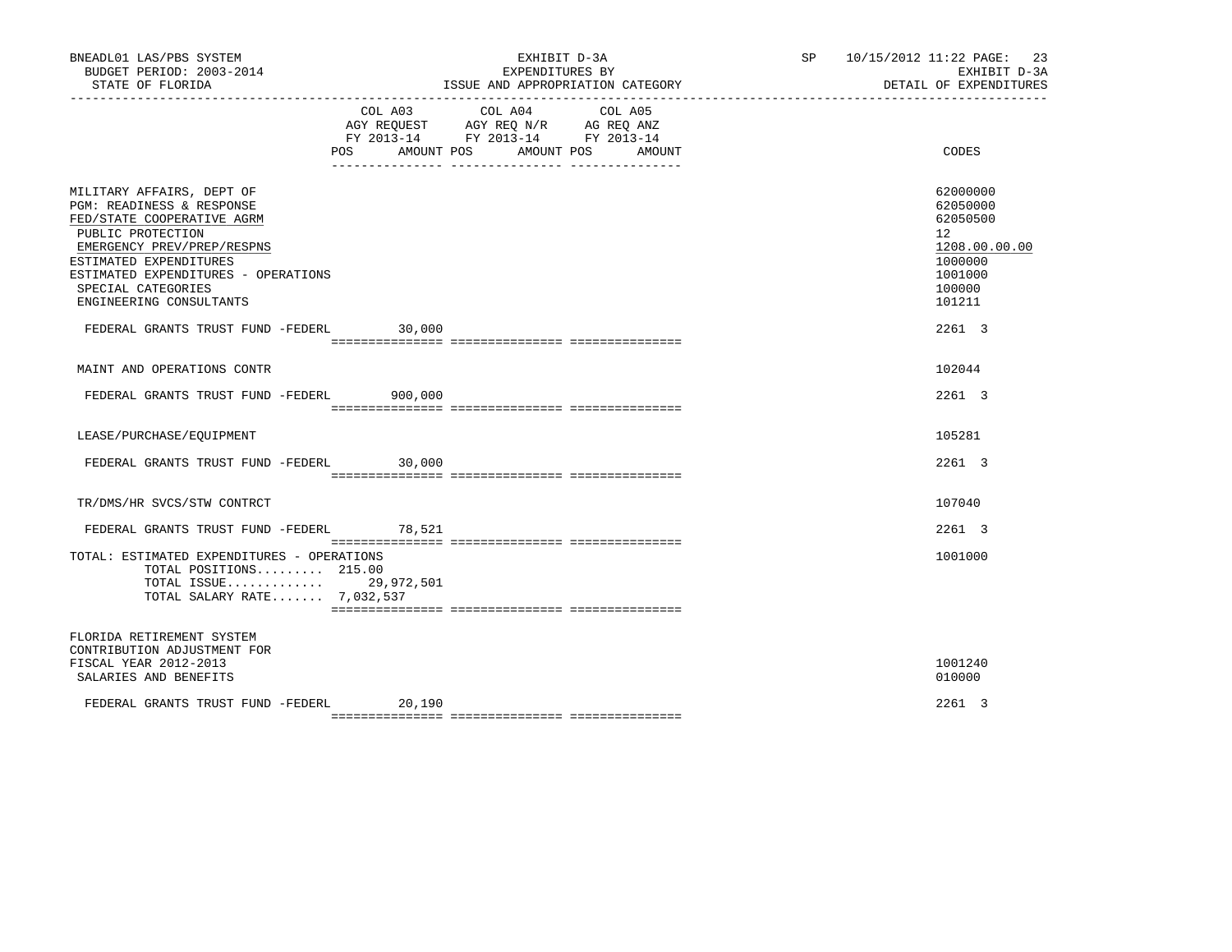| BNEADL01 LAS/PBS SYSTEM<br>BUDGET PERIOD: 2003-2014<br>STATE OF FLORIDA<br>------------------                                                                                                                                                                                                  |                              | EXHIBIT D-3A<br>EXPENDITURES BY<br>ISSUE AND APPROPRIATION CATEGORY                                                                                                                                                  | SP 10/15/2012 11:22 PAGE:<br>DETAIL OF EXPENDITURES                                                                   | 23<br>EXHIBIT D-3A |
|------------------------------------------------------------------------------------------------------------------------------------------------------------------------------------------------------------------------------------------------------------------------------------------------|------------------------------|----------------------------------------------------------------------------------------------------------------------------------------------------------------------------------------------------------------------|-----------------------------------------------------------------------------------------------------------------------|--------------------|
|                                                                                                                                                                                                                                                                                                | COL A03<br>POS<br>AMOUNT POS | COL A04<br>COL A05<br>$\begin{tabular}{lllllll} AGY & \texttt{REQUEST} & \texttt{AGY REQ} & \texttt{N/R} & \texttt{AG REQ} & \texttt{ANZ} \end{tabular}$<br>FY 2013-14 FY 2013-14 FY 2013-14<br>AMOUNT POS<br>AMOUNT | CODES                                                                                                                 |                    |
| MILITARY AFFAIRS, DEPT OF<br>PGM: READINESS & RESPONSE<br>FED/STATE COOPERATIVE AGRM<br>PUBLIC PROTECTION<br>EMERGENCY PREV/PREP/RESPNS<br>ESTIMATED EXPENDITURES<br>ESTIMATED EXPENDITURES - OPERATIONS<br>SPECIAL CATEGORIES<br>ENGINEERING CONSULTANTS<br>FEDERAL GRANTS TRUST FUND -FEDERL | 30,000                       |                                                                                                                                                                                                                      | 62000000<br>62050000<br>62050500<br>$12^{\circ}$<br>1208.00.00.00<br>1000000<br>1001000<br>100000<br>101211<br>2261 3 |                    |
| MAINT AND OPERATIONS CONTR                                                                                                                                                                                                                                                                     |                              |                                                                                                                                                                                                                      | 102044                                                                                                                |                    |
| FEDERAL GRANTS TRUST FUND -FEDERL 900,000                                                                                                                                                                                                                                                      |                              |                                                                                                                                                                                                                      | 2261 3                                                                                                                |                    |
| LEASE/PURCHASE/EQUIPMENT                                                                                                                                                                                                                                                                       |                              |                                                                                                                                                                                                                      | 105281                                                                                                                |                    |
| FEDERAL GRANTS TRUST FUND -FEDERL                                                                                                                                                                                                                                                              | 30,000                       |                                                                                                                                                                                                                      | 2261 3                                                                                                                |                    |
| TR/DMS/HR SVCS/STW CONTRCT                                                                                                                                                                                                                                                                     |                              |                                                                                                                                                                                                                      | 107040                                                                                                                |                    |
| FEDERAL GRANTS TRUST FUND -FEDERL                                                                                                                                                                                                                                                              | 78,521                       |                                                                                                                                                                                                                      | 2261 3                                                                                                                |                    |
| TOTAL: ESTIMATED EXPENDITURES - OPERATIONS<br>TOTAL POSITIONS 215.00<br>TOTAL ISSUE 29,972,501<br>TOTAL SALARY RATE 7,032,537                                                                                                                                                                  |                              |                                                                                                                                                                                                                      | 1001000                                                                                                               |                    |
| FLORIDA RETIREMENT SYSTEM<br>CONTRIBUTION ADJUSTMENT FOR<br>FISCAL YEAR 2012-2013<br>SALARIES AND BENEFITS                                                                                                                                                                                     |                              |                                                                                                                                                                                                                      | 1001240<br>010000                                                                                                     |                    |
| FEDERAL GRANTS TRUST FUND -FEDERL                                                                                                                                                                                                                                                              | 20,190                       |                                                                                                                                                                                                                      | 2261 3                                                                                                                |                    |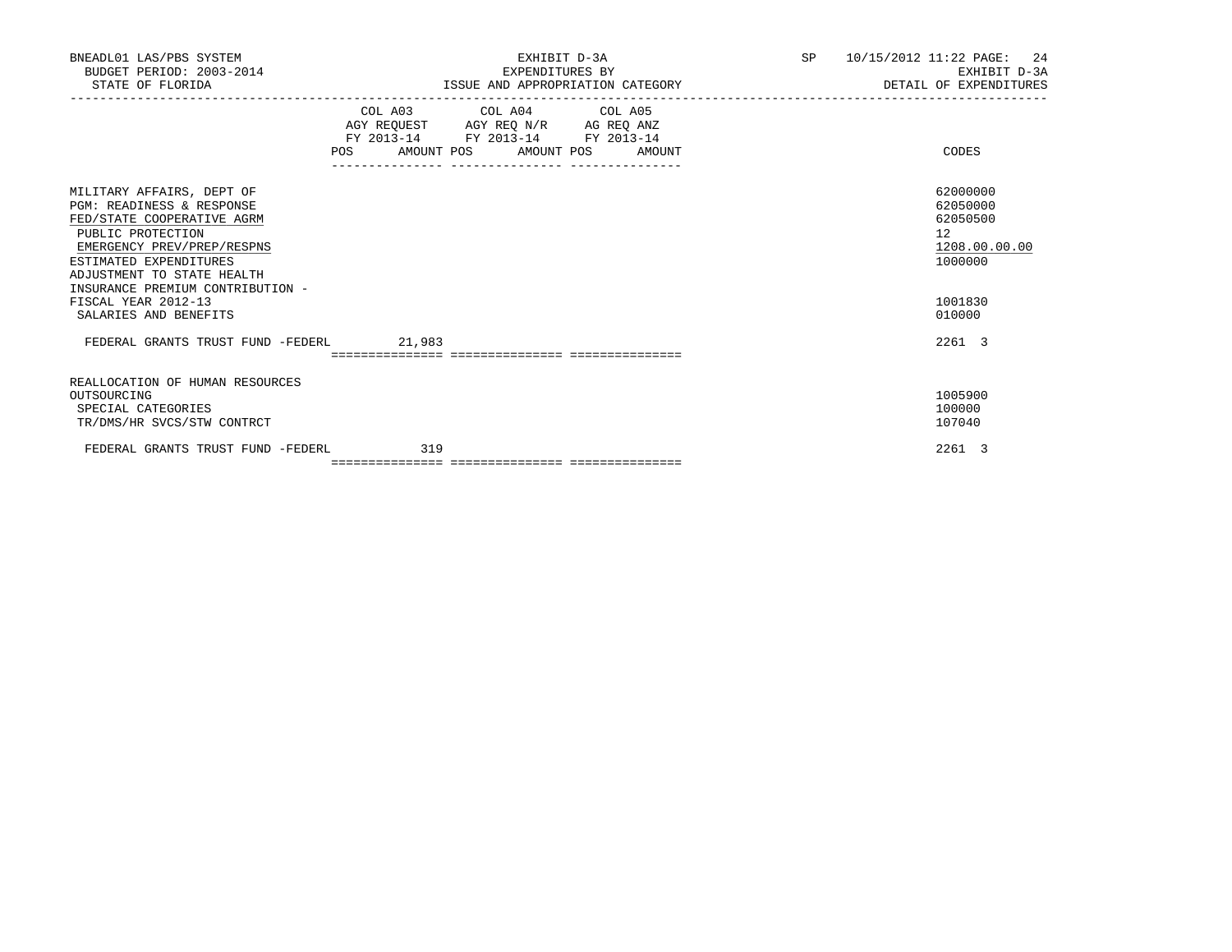| BNEADL01 LAS/PBS SYSTEM<br>BUDGET PERIOD: 2003-2014<br>STATE OF FLORIDA                                                                                                                                                                                                                        | EXHIBIT D-3A<br>EXPENDITURES BY<br>ISSUE AND APPROPRIATION CATEGORY                                                            |        | SP 10/15/2012 11:22 PAGE: 24<br>EXHIBIT D-3A<br>DETAIL OF EXPENDITURES                  |
|------------------------------------------------------------------------------------------------------------------------------------------------------------------------------------------------------------------------------------------------------------------------------------------------|--------------------------------------------------------------------------------------------------------------------------------|--------|-----------------------------------------------------------------------------------------|
|                                                                                                                                                                                                                                                                                                | COL A03 COL A04 COL A05<br>AGY REQUEST AGY REQ N/R AG REQ ANZ<br>FY 2013-14 FY 2013-14 FY 2013-14<br>POS AMOUNT POS AMOUNT POS | AMOUNT | CODES                                                                                   |
| MILITARY AFFAIRS, DEPT OF<br><b>PGM: READINESS &amp; RESPONSE</b><br>FED/STATE COOPERATIVE AGRM<br>PUBLIC PROTECTION<br>EMERGENCY PREV/PREP/RESPNS<br>ESTIMATED EXPENDITURES<br>ADJUSTMENT TO STATE HEALTH<br>INSURANCE PREMIUM CONTRIBUTION -<br>FISCAL YEAR 2012-13<br>SALARIES AND BENEFITS |                                                                                                                                |        | 62000000<br>62050000<br>62050500<br>12<br>1208.00.00.00<br>1000000<br>1001830<br>010000 |
| FEDERAL GRANTS TRUST FUND -FEDERL 21,983                                                                                                                                                                                                                                                       |                                                                                                                                |        | 2261 3                                                                                  |
| REALLOCATION OF HUMAN RESOURCES<br>OUTSOURCING<br>SPECIAL CATEGORIES<br>TR/DMS/HR SVCS/STW CONTRCT                                                                                                                                                                                             |                                                                                                                                |        | 1005900<br>100000<br>107040                                                             |
| FEDERAL GRANTS TRUST FUND -FEDERL                                                                                                                                                                                                                                                              | 319                                                                                                                            |        | 2261 3                                                                                  |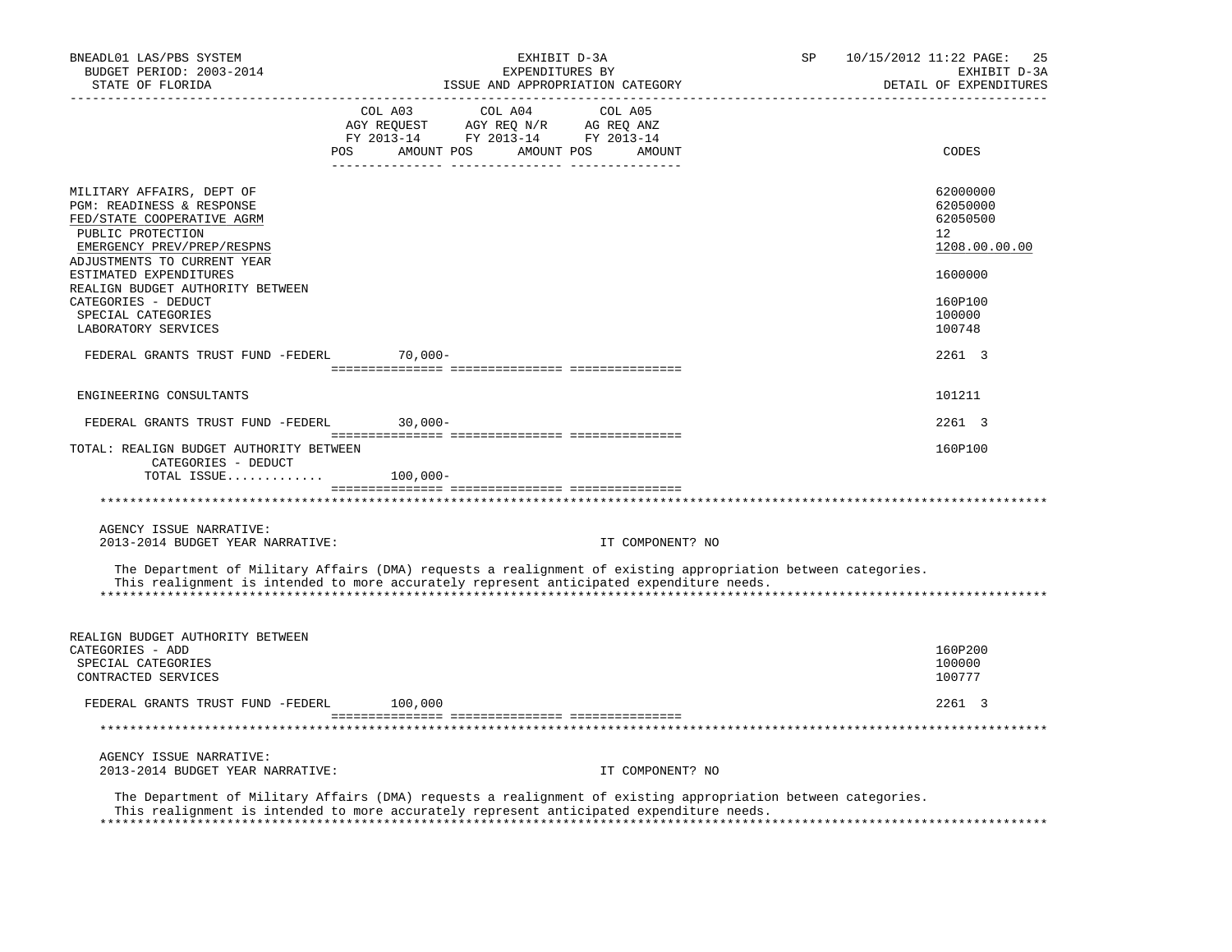| BNEADL01 LAS/PBS SYSTEM<br>BUDGET PERIOD: 2003-2014<br>STATE OF FLORIDA                                                                                                                                   | -------------------------------                                                                                       | EXHIBIT D-3A<br>EXPENDITURES BY<br>ISSUE AND APPROPRIATION CATEGORY |         |                  | SP | 10/15/2012 11:22 PAGE:<br>-25<br>EXHIBIT D-3A<br>DETAIL OF EXPENDITURES |
|-----------------------------------------------------------------------------------------------------------------------------------------------------------------------------------------------------------|-----------------------------------------------------------------------------------------------------------------------|---------------------------------------------------------------------|---------|------------------|----|-------------------------------------------------------------------------|
|                                                                                                                                                                                                           | COL A03<br>AGY REQUEST AGY REQ N/R AG REQ ANZ<br>FY 2013-14 FY 2013-14 FY 2013-14<br>POS AMOUNT POS AMOUNT POS AMOUNT | COL A04                                                             | COL A05 |                  |    | CODES                                                                   |
| MILITARY AFFAIRS, DEPT OF<br>PGM: READINESS & RESPONSE<br>FED/STATE COOPERATIVE AGRM<br>PUBLIC PROTECTION<br>EMERGENCY PREV/PREP/RESPNS<br>ADJUSTMENTS TO CURRENT YEAR                                    |                                                                                                                       |                                                                     |         |                  |    | 62000000<br>62050000<br>62050500<br>$12^{\circ}$<br>1208.00.00.00       |
| ESTIMATED EXPENDITURES<br>REALIGN BUDGET AUTHORITY BETWEEN<br>CATEGORIES - DEDUCT<br>SPECIAL CATEGORIES<br>LABORATORY SERVICES                                                                            |                                                                                                                       |                                                                     |         |                  |    | 1600000<br>160P100<br>100000<br>100748                                  |
| FEDERAL GRANTS TRUST FUND -FEDERL 70,000-                                                                                                                                                                 |                                                                                                                       |                                                                     |         |                  |    | 2261 3                                                                  |
| ENGINEERING CONSULTANTS                                                                                                                                                                                   |                                                                                                                       |                                                                     |         |                  |    | 101211                                                                  |
| FEDERAL GRANTS TRUST FUND -FEDERL 30,000-                                                                                                                                                                 |                                                                                                                       |                                                                     |         |                  |    | 2261 3                                                                  |
| TOTAL: REALIGN BUDGET AUTHORITY BETWEEN<br>CATEGORIES - DEDUCT<br>TOTAL ISSUE $100,000-$                                                                                                                  |                                                                                                                       |                                                                     |         |                  |    | 160P100                                                                 |
|                                                                                                                                                                                                           |                                                                                                                       |                                                                     |         |                  |    |                                                                         |
| AGENCY ISSUE NARRATIVE:<br>2013-2014 BUDGET YEAR NARRATIVE:                                                                                                                                               |                                                                                                                       |                                                                     |         | IT COMPONENT? NO |    |                                                                         |
| The Department of Military Affairs (DMA) requests a realignment of existing appropriation between categories.<br>This realignment is intended to more accurately represent anticipated expenditure needs. |                                                                                                                       |                                                                     |         |                  |    |                                                                         |
| REALIGN BUDGET AUTHORITY BETWEEN<br>CATEGORIES - ADD<br>SPECIAL CATEGORIES<br>CONTRACTED SERVICES                                                                                                         |                                                                                                                       |                                                                     |         |                  |    | 160P200<br>100000<br>100777                                             |
| FEDERAL GRANTS TRUST FUND -FEDERL 100,000                                                                                                                                                                 |                                                                                                                       |                                                                     |         |                  |    | 2261 3                                                                  |
|                                                                                                                                                                                                           |                                                                                                                       |                                                                     |         |                  |    |                                                                         |
| AGENCY ISSUE NARRATIVE:<br>2013-2014 BUDGET YEAR NARRATIVE:                                                                                                                                               |                                                                                                                       |                                                                     |         | IT COMPONENT? NO |    |                                                                         |
| The Department of Military Affairs (DMA) requests a realignment of existing appropriation between categories.<br>This realignment is intended to more accurately represent anticipated expenditure needs. |                                                                                                                       |                                                                     |         |                  |    | **********************************                                      |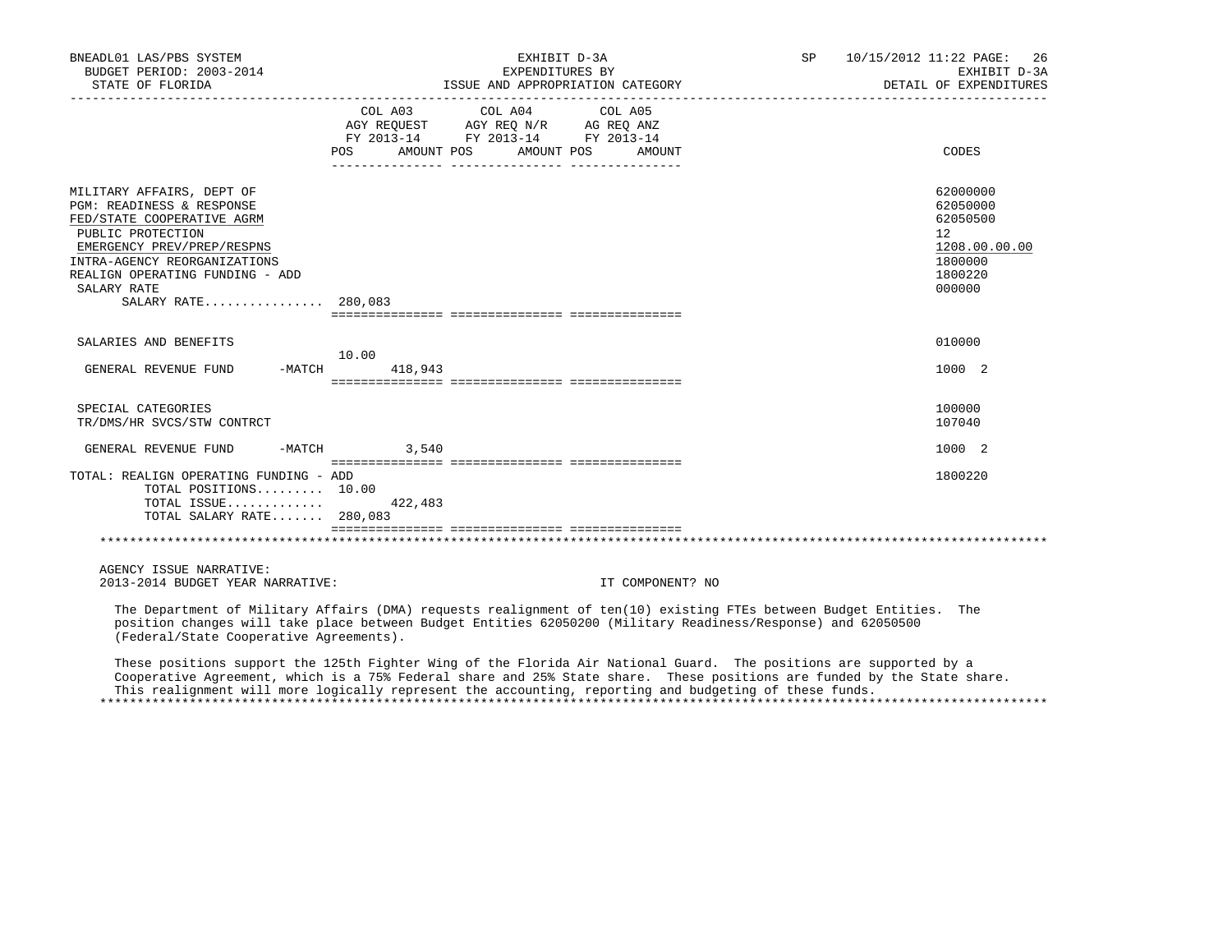| BNEADL01 LAS/PBS SYSTEM<br>BUDGET PERIOD: 2003-2014                                                                                                                                                                                              |                                                                                                                                 | EXHIBIT D-3A<br>EXPENDITURES BY                                                                                                                                                                                                                                                                                                                         | SP | 10/15/2012 11:22 PAGE: 26<br>EXHIBIT D-3A<br>DETAIL OF EXPENDITURES                     |
|--------------------------------------------------------------------------------------------------------------------------------------------------------------------------------------------------------------------------------------------------|---------------------------------------------------------------------------------------------------------------------------------|---------------------------------------------------------------------------------------------------------------------------------------------------------------------------------------------------------------------------------------------------------------------------------------------------------------------------------------------------------|----|-----------------------------------------------------------------------------------------|
|                                                                                                                                                                                                                                                  | FY 2013-14 FY 2013-14 FY 2013-14<br>POS AMOUNT POS AMOUNT POS                                                                   | AMOUNT                                                                                                                                                                                                                                                                                                                                                  |    | CODES                                                                                   |
| MILITARY AFFAIRS, DEPT OF<br>PGM: READINESS & RESPONSE<br>FED/STATE COOPERATIVE AGRM<br>PUBLIC PROTECTION<br>EMERGENCY PREV/PREP/RESPNS<br>INTRA-AGENCY REORGANIZATIONS<br>REALIGN OPERATING FUNDING - ADD<br>SALARY RATE<br>SALARY RATE 280,083 |                                                                                                                                 |                                                                                                                                                                                                                                                                                                                                                         |    | 62000000<br>62050000<br>62050500<br>12<br>1208.00.00.00<br>1800000<br>1800220<br>000000 |
| SALARIES AND BENEFITS                                                                                                                                                                                                                            | 10.00                                                                                                                           |                                                                                                                                                                                                                                                                                                                                                         |    | 010000                                                                                  |
| GENERAL REVENUE FUND -MATCH                                                                                                                                                                                                                      | 418,943                                                                                                                         |                                                                                                                                                                                                                                                                                                                                                         |    | 1000 2                                                                                  |
| SPECIAL CATEGORIES<br>TR/DMS/HR SVCS/STW CONTRCT                                                                                                                                                                                                 |                                                                                                                                 |                                                                                                                                                                                                                                                                                                                                                         |    | 100000<br>107040                                                                        |
| GENERAL REVENUE FUND                                                                                                                                                                                                                             | $-MATCH$ 3,540<br>accordinglates conditioned discussions and a serie of the serie of the serie of the serie of the serie of the |                                                                                                                                                                                                                                                                                                                                                         |    | 1000 2                                                                                  |
| TOTAL: REALIGN OPERATING FUNDING - ADD<br>TOTAL POSITIONS 10.00<br>TOTAL ISSUE $422,483$<br>TOTAL SALARY RATE 280,083                                                                                                                            |                                                                                                                                 |                                                                                                                                                                                                                                                                                                                                                         |    | 1800220                                                                                 |
|                                                                                                                                                                                                                                                  |                                                                                                                                 |                                                                                                                                                                                                                                                                                                                                                         |    |                                                                                         |
| AGENCY ISSUE NARRATIVE:<br>2013-2014 BUDGET YEAR NARRATIVE:                                                                                                                                                                                      |                                                                                                                                 | IT COMPONENT? NO                                                                                                                                                                                                                                                                                                                                        |    |                                                                                         |
| (Federal/State Cooperative Agreements).                                                                                                                                                                                                          |                                                                                                                                 | The Department of Military Affairs (DMA) requests realignment of ten(10) existing FTEs between Budget Entities. The<br>position changes will take place between Budget Entities 62050200 (Military Readiness/Response) and 62050500                                                                                                                     |    |                                                                                         |
|                                                                                                                                                                                                                                                  |                                                                                                                                 | These positions support the 125th Fighter Wing of the Florida Air National Guard. The positions are supported by a<br>Cooperative Agreement, which is a 75% Federal share and 25% State share. These positions are funded by the State share.<br>This realignment will more logically represent the accounting, reporting and budgeting of these funds. |    |                                                                                         |

\*\*\*\*\*\*\*\*\*\*\*\*\*\*\*\*\*\*\*\*\*\*\*\*\*\*\*\*\*\*\*\*\*\*\*\*\*\*\*\*\*\*\*\*\*\*\*\*\*\*\*\*\*\*\*\*\*\*\*\*\*\*\*\*\*\*\*\*\*\*\*\*\*\*\*\*\*\*\*\*\*\*\*\*\*\*\*\*\*\*\*\*\*\*\*\*\*\*\*\*\*\*\*\*\*\*\*\*\*\*\*\*\*\*\*\*\*\*\*\*\*\*\*\*\*\*\*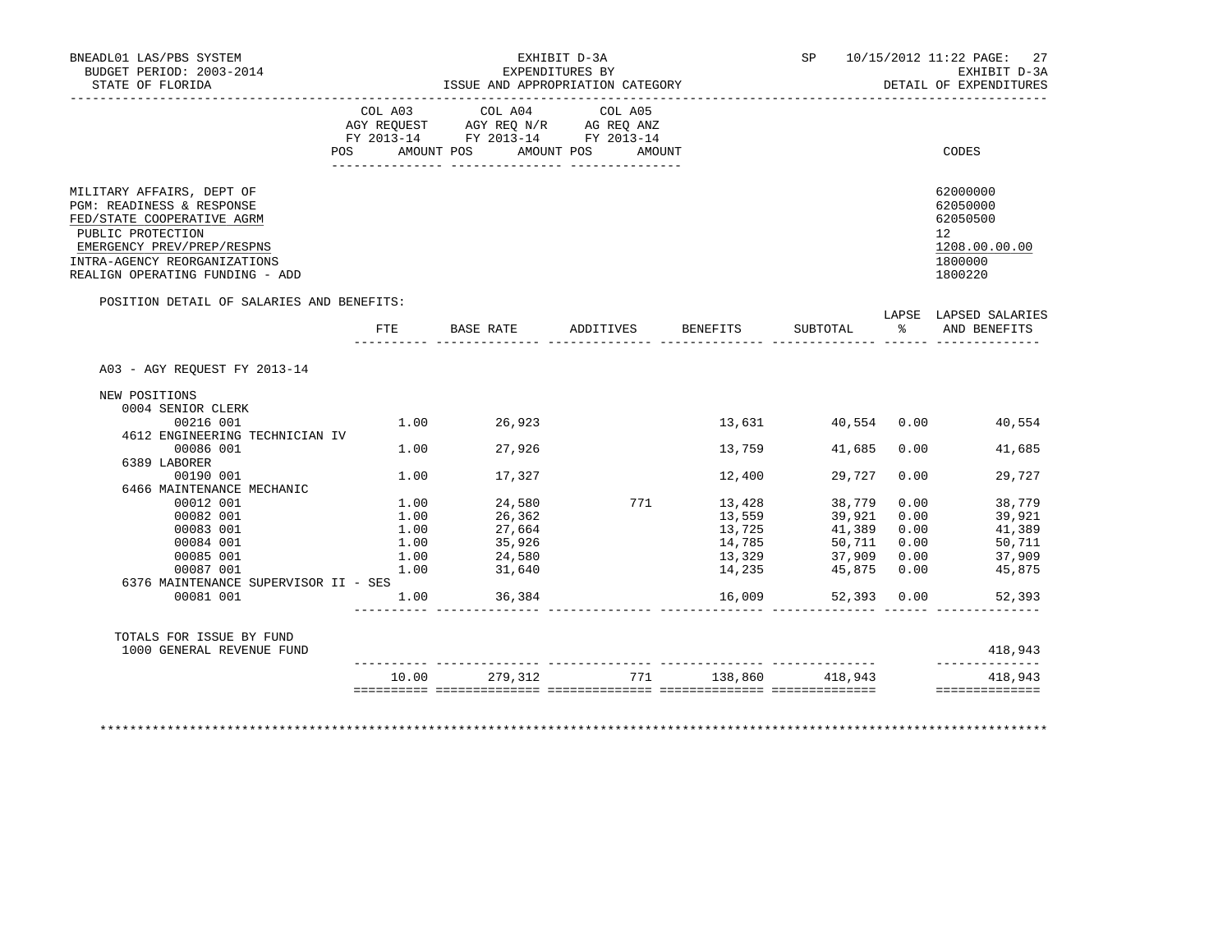| BNEADL01 LAS/PBS SYSTEM<br>BUDGET PERIOD: 2003-2014<br>STATE OF FLORIDA<br>_________________                                                                                                               |              |                                                                                   | EXHIBIT D-3A<br>EXPENDITURES BY<br>ISSUE AND APPROPRIATION CATEGORY |                  |                       |               | SP 10/15/2012 11:22 PAGE: 27<br>EXHIBIT D-3A<br>DETAIL OF EXPENDITURES        |
|------------------------------------------------------------------------------------------------------------------------------------------------------------------------------------------------------------|--------------|-----------------------------------------------------------------------------------|---------------------------------------------------------------------|------------------|-----------------------|---------------|-------------------------------------------------------------------------------|
|                                                                                                                                                                                                            | COL A03      | COL A04<br>AGY REQUEST AGY REQ N/R AG REQ ANZ<br>FY 2013-14 FY 2013-14 FY 2013-14 | COL A05                                                             |                  |                       |               |                                                                               |
|                                                                                                                                                                                                            |              |                                                                                   | POS AMOUNT POS AMOUNT POS AMOUNT                                    |                  |                       |               | CODES                                                                         |
| MILITARY AFFAIRS, DEPT OF<br>PGM: READINESS & RESPONSE<br>FED/STATE COOPERATIVE AGRM<br>PUBLIC PROTECTION<br>EMERGENCY PREV/PREP/RESPNS<br>INTRA-AGENCY REORGANIZATIONS<br>REALIGN OPERATING FUNDING - ADD |              |                                                                                   |                                                                     |                  |                       |               | 62000000<br>62050000<br>62050500<br>12<br>1208.00.00.00<br>1800000<br>1800220 |
| POSITION DETAIL OF SALARIES AND BENEFITS:                                                                                                                                                                  | FTE          |                                                                                   | BASE RATE ADDITIVES                                                 | BENEFITS         | SUBTOTAL              | $\frac{1}{2}$ | LAPSE LAPSED SALARIES<br>AND BENEFITS                                         |
| A03 - AGY REOUEST FY 2013-14                                                                                                                                                                               |              |                                                                                   |                                                                     |                  |                       |               |                                                                               |
| NEW POSITIONS                                                                                                                                                                                              |              |                                                                                   |                                                                     |                  |                       |               |                                                                               |
| 0004 SENIOR CLERK                                                                                                                                                                                          |              |                                                                                   |                                                                     |                  |                       |               |                                                                               |
| 00216 001                                                                                                                                                                                                  |              | $1.00$ 26,923                                                                     |                                                                     |                  |                       |               | 13,631 40,554 0.00 40,554                                                     |
| 4612 ENGINEERING TECHNICIAN IV                                                                                                                                                                             |              |                                                                                   |                                                                     |                  |                       |               |                                                                               |
| 00086 001                                                                                                                                                                                                  | 1.00         | 27,926                                                                            |                                                                     | 13,759           | 41,685                | 0.00          | 41,685                                                                        |
| 6389 LABORER                                                                                                                                                                                               |              |                                                                                   |                                                                     |                  |                       |               |                                                                               |
| 00190 001                                                                                                                                                                                                  |              | 1.00 17,327                                                                       |                                                                     | 12,400           | 29,727                | 0.00          | 29,727                                                                        |
| 6466 MAINTENANCE MECHANIC                                                                                                                                                                                  |              |                                                                                   |                                                                     |                  |                       |               |                                                                               |
| 00012 001                                                                                                                                                                                                  |              | $1.00$ $24,580$                                                                   | 771                                                                 | 13,428           | 38,779                | 0.00          | 38,779                                                                        |
| 00082 001                                                                                                                                                                                                  | 1.00         | 26,362                                                                            |                                                                     | 13,559           | 39,921                | 0.00          | 39,921                                                                        |
| 00083 001                                                                                                                                                                                                  | 1.00         | $27,664$<br>$35,926$                                                              |                                                                     | 13,725           | 41,389                | 0.00          | 41,389                                                                        |
| 00084 001                                                                                                                                                                                                  | 1.00         | 24,580                                                                            |                                                                     | 14,785<br>13,329 | 50,711                | 0.00          | 50,711<br>37,909                                                              |
| 00085 001<br>00087 001                                                                                                                                                                                     | 1.00<br>1.00 | 31,640                                                                            |                                                                     | 14,235           | 37,909<br>45,875 0.00 | 0.00          | 45,875                                                                        |
| 6376 MAINTENANCE SUPERVISOR II - SES                                                                                                                                                                       |              |                                                                                   |                                                                     |                  |                       |               |                                                                               |
| 00081 001                                                                                                                                                                                                  | 1.00         | 36,384                                                                            |                                                                     | 16,009           | 52,393 0.00           |               | 52,393                                                                        |
|                                                                                                                                                                                                            |              |                                                                                   |                                                                     |                  |                       |               |                                                                               |
| TOTALS FOR ISSUE BY FUND                                                                                                                                                                                   |              |                                                                                   |                                                                     |                  |                       |               |                                                                               |
| 1000 GENERAL REVENUE FUND                                                                                                                                                                                  |              |                                                                                   |                                                                     |                  |                       |               | 418,943<br>______________                                                     |
|                                                                                                                                                                                                            | 10.00        | 279,312                                                                           | 771                                                                 |                  | 138,860 418,943       |               | 418,943                                                                       |
|                                                                                                                                                                                                            |              |                                                                                   |                                                                     |                  |                       |               | ==============                                                                |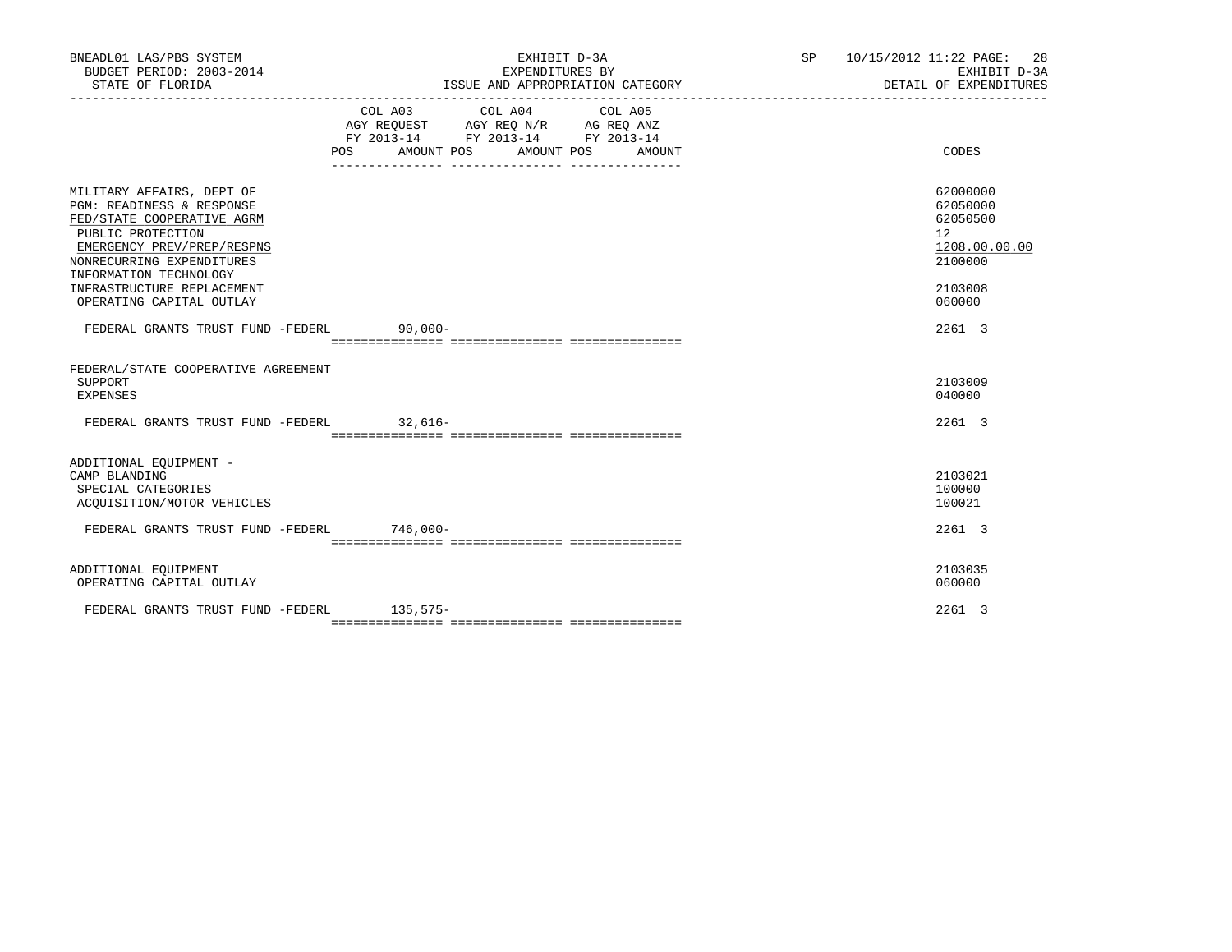| BNEADL01 LAS/PBS SYSTEM<br>BUDGET PERIOD: 2003-2014<br>STATE OF FLORIDA                                                                                                                                                                                  |            | EXHIBIT D-3A<br>EXPENDITURES BY<br>ISSUE AND APPROPRIATION CATEGORY                                                                   |  | SP 10/15/2012 11:22 PAGE: 28<br>EXHIBIT D-3A<br>DETAIL OF EXPENDITURES                               |
|----------------------------------------------------------------------------------------------------------------------------------------------------------------------------------------------------------------------------------------------------------|------------|---------------------------------------------------------------------------------------------------------------------------------------|--|------------------------------------------------------------------------------------------------------|
|                                                                                                                                                                                                                                                          |            | COL A03 COL A04 COL A05<br>AGY REQUEST AGY REQ N/R AG REQ ANZ<br>FY 2013-14 FY 2013-14 FY 2013-14<br>POS AMOUNT POS AMOUNT POS AMOUNT |  | CODES                                                                                                |
| MILITARY AFFAIRS, DEPT OF<br>PGM: READINESS & RESPONSE<br>FED/STATE COOPERATIVE AGRM<br>PUBLIC PROTECTION<br>EMERGENCY PREV/PREP/RESPNS<br>NONRECURRING EXPENDITURES<br>INFORMATION TECHNOLOGY<br>INFRASTRUCTURE REPLACEMENT<br>OPERATING CAPITAL OUTLAY |            |                                                                                                                                       |  | 62000000<br>62050000<br>62050500<br>12 <sup>°</sup><br>1208.00.00.00<br>2100000<br>2103008<br>060000 |
| FEDERAL GRANTS TRUST FUND -FEDERL                                                                                                                                                                                                                        | $90.000 -$ |                                                                                                                                       |  | 2261 3                                                                                               |
| FEDERAL/STATE COOPERATIVE AGREEMENT<br>SUPPORT<br><b>EXPENSES</b><br>FEDERAL GRANTS TRUST FUND -FEDERL 32,616-                                                                                                                                           |            |                                                                                                                                       |  | 2103009<br>040000<br>2261 3                                                                          |
|                                                                                                                                                                                                                                                          |            |                                                                                                                                       |  |                                                                                                      |
| ADDITIONAL EQUIPMENT -<br>CAMP BLANDING<br>SPECIAL CATEGORIES<br>ACOUISITION/MOTOR VEHICLES                                                                                                                                                              |            |                                                                                                                                       |  | 2103021<br>100000<br>100021                                                                          |
| FEDERAL GRANTS TRUST FUND -FEDERL 746,000-                                                                                                                                                                                                               |            |                                                                                                                                       |  | 2261 3                                                                                               |
| ADDITIONAL EQUIPMENT<br>OPERATING CAPITAL OUTLAY                                                                                                                                                                                                         |            |                                                                                                                                       |  | 2103035<br>060000                                                                                    |
| FEDERAL GRANTS TRUST FUND -FEDERL                                                                                                                                                                                                                        | $135,575-$ |                                                                                                                                       |  | 2261 3                                                                                               |
|                                                                                                                                                                                                                                                          |            |                                                                                                                                       |  |                                                                                                      |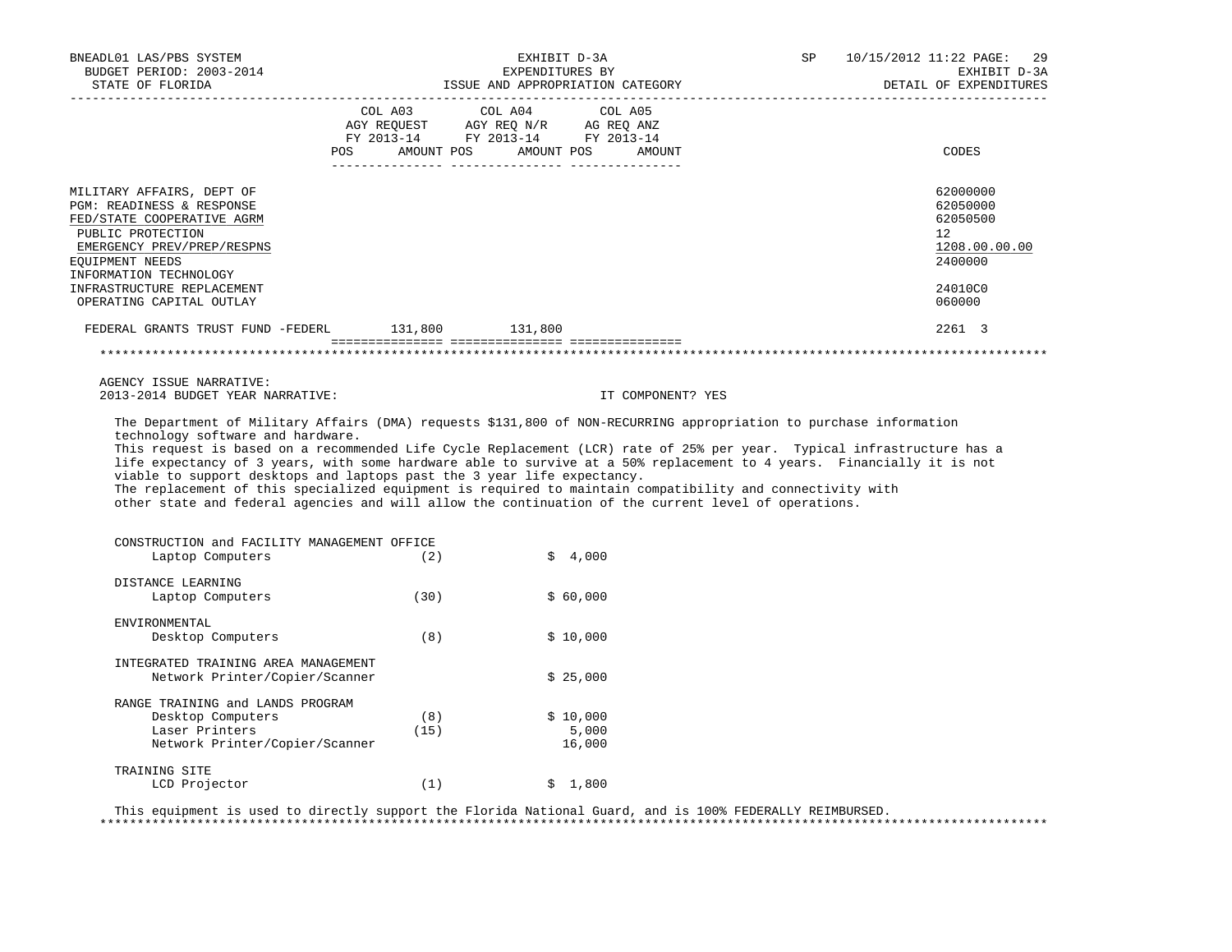| BNEADL01 LAS/PBS SYSTEM<br>BUDGET PERIOD: 2003-2014                     |                 | EXHIBIT D-3A<br>EXPENDITURES BY                                                                                                                                                                                                                                                                                                                                                            | SP | 10/15/2012 11:22 PAGE:<br>29<br>EXHIBIT D-3A |
|-------------------------------------------------------------------------|-----------------|--------------------------------------------------------------------------------------------------------------------------------------------------------------------------------------------------------------------------------------------------------------------------------------------------------------------------------------------------------------------------------------------|----|----------------------------------------------|
| STATE OF FLORIDA                                                        |                 |                                                                                                                                                                                                                                                                                                                                                                                            |    | DETAIL OF EXPENDITURES                       |
|                                                                         | COL A03 COL A04 | COL A05                                                                                                                                                                                                                                                                                                                                                                                    |    |                                              |
|                                                                         |                 | AGY REQUEST AGY REQ N/R AG REQ ANZ<br>FY 2013-14 FY 2013-14 FY 2013-14                                                                                                                                                                                                                                                                                                                     |    |                                              |
|                                                                         |                 | POS AMOUNT POS AMOUNT POS AMOUNT                                                                                                                                                                                                                                                                                                                                                           |    | CODES                                        |
|                                                                         |                 |                                                                                                                                                                                                                                                                                                                                                                                            |    |                                              |
| MILITARY AFFAIRS, DEPT OF                                               |                 |                                                                                                                                                                                                                                                                                                                                                                                            |    | 62000000                                     |
| PGM: READINESS & RESPONSE                                               |                 |                                                                                                                                                                                                                                                                                                                                                                                            |    | 62050000                                     |
| FED/STATE COOPERATIVE AGRM                                              |                 |                                                                                                                                                                                                                                                                                                                                                                                            |    | 62050500                                     |
| PUBLIC PROTECTION<br>EMERGENCY PREV/PREP/RESPNS                         |                 |                                                                                                                                                                                                                                                                                                                                                                                            |    | 12 <sup>°</sup><br>1208.00.00.00             |
| EQUIPMENT NEEDS                                                         |                 |                                                                                                                                                                                                                                                                                                                                                                                            |    | 2400000                                      |
| INFORMATION TECHNOLOGY                                                  |                 |                                                                                                                                                                                                                                                                                                                                                                                            |    |                                              |
| INFRASTRUCTURE REPLACEMENT                                              |                 |                                                                                                                                                                                                                                                                                                                                                                                            |    | 24010C0                                      |
| OPERATING CAPITAL OUTLAY                                                |                 |                                                                                                                                                                                                                                                                                                                                                                                            |    | 060000                                       |
| FEDERAL GRANTS TRUST FUND -FEDERL 131,800 131,800                       |                 |                                                                                                                                                                                                                                                                                                                                                                                            |    | 2261 3                                       |
|                                                                         |                 |                                                                                                                                                                                                                                                                                                                                                                                            |    |                                              |
|                                                                         |                 |                                                                                                                                                                                                                                                                                                                                                                                            |    |                                              |
| AGENCY ISSUE NARRATIVE:                                                 |                 |                                                                                                                                                                                                                                                                                                                                                                                            |    |                                              |
| 2013-2014 BUDGET YEAR NARRATIVE:<br>technology software and hardware.   |                 | IT COMPONENT? YES<br>The Department of Military Affairs (DMA) requests \$131,800 of NON-RECURRING appropriation to purchase information<br>This request is based on a recommended Life Cycle Replacement (LCR) rate of 25% per year. Typical infrastructure has a<br>life expectancy of 3 years, with some hardware able to survive at a 50% replacement to 4 years. Financially it is not |    |                                              |
| viable to support desktops and laptops past the 3 year life expectancy. |                 | The replacement of this specialized equipment is required to maintain compatibility and connectivity with<br>other state and federal agencies and will allow the continuation of the current level of operations.                                                                                                                                                                          |    |                                              |
|                                                                         |                 |                                                                                                                                                                                                                                                                                                                                                                                            |    |                                              |
| CONSTRUCTION and FACILITY MANAGEMENT OFFICE                             |                 |                                                                                                                                                                                                                                                                                                                                                                                            |    |                                              |
| Laptop Computers                                                        | (2)             | \$4,000                                                                                                                                                                                                                                                                                                                                                                                    |    |                                              |
| DISTANCE LEARNING                                                       |                 |                                                                                                                                                                                                                                                                                                                                                                                            |    |                                              |
| Laptop Computers                                                        | (30)            | \$60,000                                                                                                                                                                                                                                                                                                                                                                                   |    |                                              |
| ENVIRONMENTAL                                                           |                 |                                                                                                                                                                                                                                                                                                                                                                                            |    |                                              |
| Desktop Computers                                                       | (8)             | \$10,000                                                                                                                                                                                                                                                                                                                                                                                   |    |                                              |
| INTEGRATED TRAINING AREA MANAGEMENT                                     |                 |                                                                                                                                                                                                                                                                                                                                                                                            |    |                                              |
| Network Printer/Copier/Scanner                                          |                 | \$25,000                                                                                                                                                                                                                                                                                                                                                                                   |    |                                              |
| RANGE TRAINING and LANDS PROGRAM                                        |                 |                                                                                                                                                                                                                                                                                                                                                                                            |    |                                              |
| Desktop Computers                                                       | (8)             | \$10,000                                                                                                                                                                                                                                                                                                                                                                                   |    |                                              |
| Laser Printers<br>Network Printer/Copier/Scanner                        | (15)            | 5,000<br>16,000                                                                                                                                                                                                                                                                                                                                                                            |    |                                              |
| TRAINING SITE                                                           |                 |                                                                                                                                                                                                                                                                                                                                                                                            |    |                                              |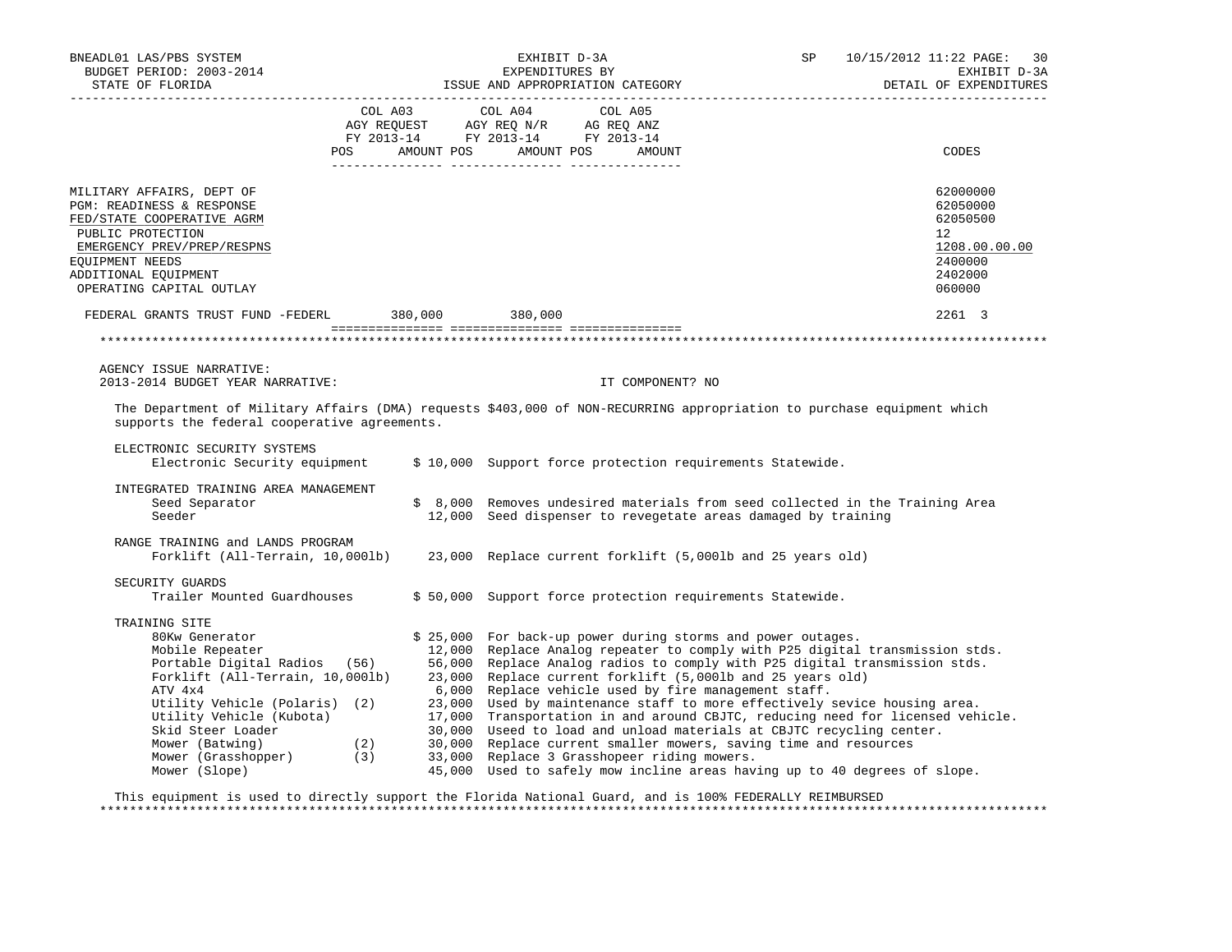| BNEADL01 LAS/PBS SYSTEM<br>BUDGET PERIOD: 2003-2014<br>STATE OF FLORIDA                                                                                                                                                                                                                                                   | EXHIBIT D-3A<br>EXPENDITURES BI<br>ISSUE AND APPROPRIATION CATEGORY                                                                                                                                                                                       | SP                                                                                                                                                                                                                                                                                                                                                                                                                                                                                                                                                                                                                                                                                | 10/15/2012 11:22 PAGE: 30<br>EXHIBIT D-3A<br>DETAIL OF EXPENDITURES<br>________________________________ |
|---------------------------------------------------------------------------------------------------------------------------------------------------------------------------------------------------------------------------------------------------------------------------------------------------------------------------|-----------------------------------------------------------------------------------------------------------------------------------------------------------------------------------------------------------------------------------------------------------|-----------------------------------------------------------------------------------------------------------------------------------------------------------------------------------------------------------------------------------------------------------------------------------------------------------------------------------------------------------------------------------------------------------------------------------------------------------------------------------------------------------------------------------------------------------------------------------------------------------------------------------------------------------------------------------|---------------------------------------------------------------------------------------------------------|
| POS                                                                                                                                                                                                                                                                                                                       | COL A03 COL A04 COL A05<br>$\begin{tabular}{lllllll} \bf AGY & \bf REQUEST & \bf AGY & \bf REQ & \tt N/R & \tt AG & \tt REQ & \tt ANZ \\ \bf FY & \tt 2013-14 & \tt FY & \tt 2013-14 & \tt FY & \tt 2013-14 \\ \end{tabular}$<br>AMOUNT POS<br>AMOUNT POS | AMOUNT                                                                                                                                                                                                                                                                                                                                                                                                                                                                                                                                                                                                                                                                            | CODES                                                                                                   |
| MILITARY AFFAIRS, DEPT OF<br>PGM: READINESS & RESPONSE<br>FED/STATE COOPERATIVE AGRM<br>PUBLIC PROTECTION<br>EMERGENCY PREV/PREP/RESPNS<br>EQUIPMENT NEEDS<br>ADDITIONAL EQUIPMENT<br>OPERATING CAPITAL OUTLAY                                                                                                            |                                                                                                                                                                                                                                                           |                                                                                                                                                                                                                                                                                                                                                                                                                                                                                                                                                                                                                                                                                   | 62000000<br>62050000<br>62050500<br>$12^{\circ}$<br>1208.00.00.00<br>2400000<br>2402000<br>060000       |
| FEDERAL GRANTS TRUST FUND -FEDERL 380,000 380,000                                                                                                                                                                                                                                                                         |                                                                                                                                                                                                                                                           |                                                                                                                                                                                                                                                                                                                                                                                                                                                                                                                                                                                                                                                                                   | 2261 3                                                                                                  |
|                                                                                                                                                                                                                                                                                                                           |                                                                                                                                                                                                                                                           |                                                                                                                                                                                                                                                                                                                                                                                                                                                                                                                                                                                                                                                                                   |                                                                                                         |
| AGENCY ISSUE NARRATIVE:<br>2013-2014 BUDGET YEAR NARRATIVE:<br>The Department of Military Affairs (DMA) requests \$403,000 of NON-RECURRING appropriation to purchase equipment which<br>supports the federal cooperative agreements.                                                                                     |                                                                                                                                                                                                                                                           | IT COMPONENT? NO                                                                                                                                                                                                                                                                                                                                                                                                                                                                                                                                                                                                                                                                  |                                                                                                         |
| ELECTRONIC SECURITY SYSTEMS<br>Electronic Security equipment                                                                                                                                                                                                                                                              |                                                                                                                                                                                                                                                           | \$ 10,000 Support force protection requirements Statewide.                                                                                                                                                                                                                                                                                                                                                                                                                                                                                                                                                                                                                        |                                                                                                         |
| INTEGRATED TRAINING AREA MANAGEMENT<br>Seed Separator<br>Seeder                                                                                                                                                                                                                                                           |                                                                                                                                                                                                                                                           | \$ 8,000 Removes undesired materials from seed collected in the Training Area<br>12,000 Seed dispenser to revegetate areas damaged by training                                                                                                                                                                                                                                                                                                                                                                                                                                                                                                                                    |                                                                                                         |
| RANGE TRAINING and LANDS PROGRAM<br>Forklift (All-Terrain, 10,0001b) 23,000 Replace current forklift (5,0001b and 25 years old)                                                                                                                                                                                           |                                                                                                                                                                                                                                                           |                                                                                                                                                                                                                                                                                                                                                                                                                                                                                                                                                                                                                                                                                   |                                                                                                         |
| SECURITY GUARDS<br>Trailer Mounted Guardhouses                                                                                                                                                                                                                                                                            |                                                                                                                                                                                                                                                           | \$50,000 Support force protection requirements Statewide.                                                                                                                                                                                                                                                                                                                                                                                                                                                                                                                                                                                                                         |                                                                                                         |
| TRAINING SITE<br>80Kw Generator<br>Mobile Repeater<br>Portable Digital Radios (56) 56,000<br>Forklift (All-Terrain, 10,000lb) 23,000<br>ATV 4x4<br>Utility Vehicle (Polaris) (2)<br>Utility Vehicle (Kubota)<br>Skid Steer Loader<br>Skid Steer Loader<br>Mower (Batwing) (2)<br>Mower (Grasshopper) (3)<br>Mower (Slope) | 12,000<br>6,000<br>23,000<br>17,000<br>30,000<br>30,000<br>33,000 Replace 3 Grasshopeer riding mowers.                                                                                                                                                    | \$ 25,000 For back-up power during storms and power outages.<br>Replace Analog repeater to comply with P25 digital transmission stds.<br>Replace Analog radios to comply with P25 digital transmission stds.<br>Replace current forklift (5,000lb and 25 years old)<br>Replace vehicle used by fire management staff.<br>Used by maintenance staff to more effectively sevice housing area.<br>Transportation in and around CBJTC, reducing need for licensed vehicle.<br>Useed to load and unload materials at CBJTC recycling center.<br>Replace current smaller mowers, saving time and resources<br>45,000 Used to safely mow incline areas having up to 40 degrees of slope. |                                                                                                         |

 This equipment is used to directly support the Florida National Guard, and is 100% FEDERALLY REIMBURSED \*\*\*\*\*\*\*\*\*\*\*\*\*\*\*\*\*\*\*\*\*\*\*\*\*\*\*\*\*\*\*\*\*\*\*\*\*\*\*\*\*\*\*\*\*\*\*\*\*\*\*\*\*\*\*\*\*\*\*\*\*\*\*\*\*\*\*\*\*\*\*\*\*\*\*\*\*\*\*\*\*\*\*\*\*\*\*\*\*\*\*\*\*\*\*\*\*\*\*\*\*\*\*\*\*\*\*\*\*\*\*\*\*\*\*\*\*\*\*\*\*\*\*\*\*\*\*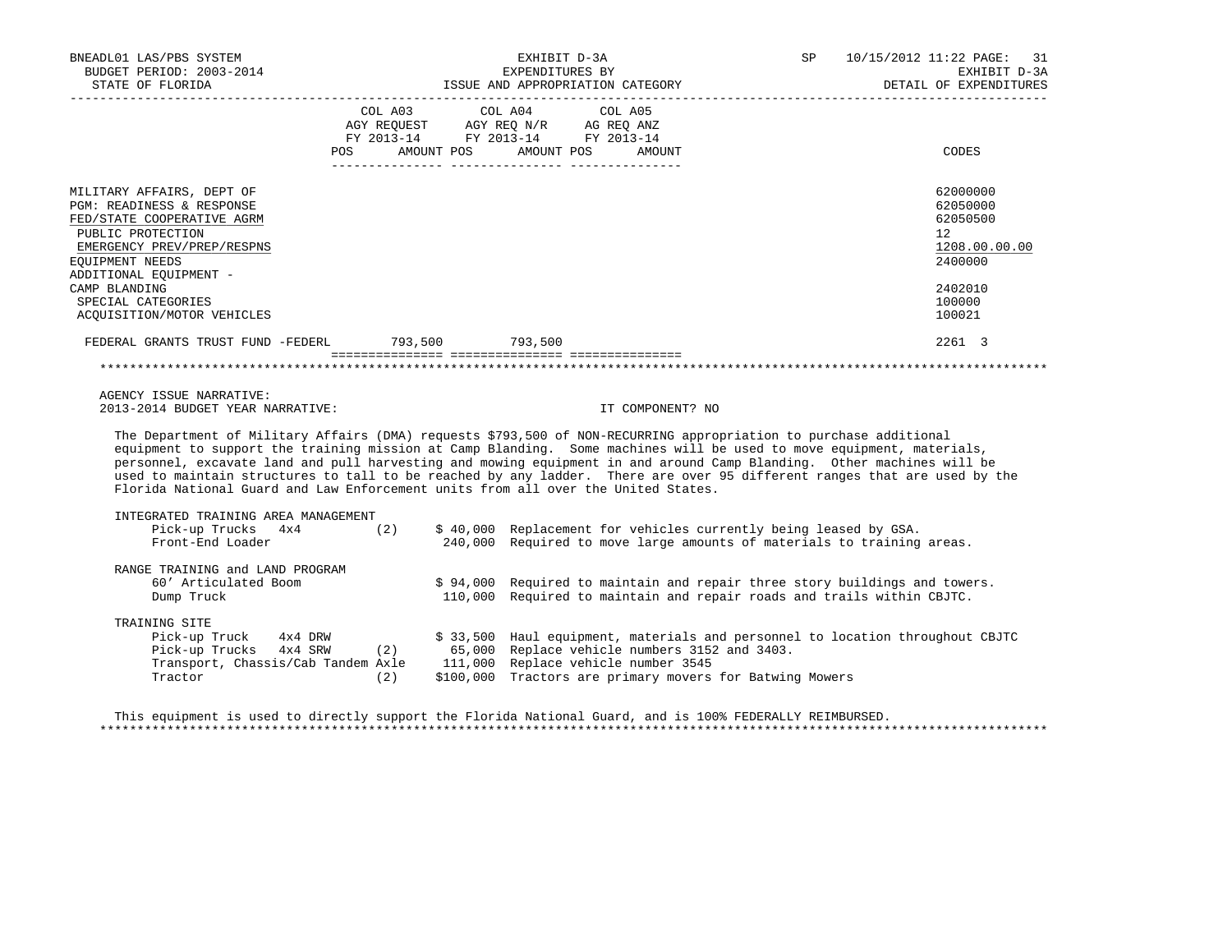| BNEADL01 LAS/PBS SYSTEM<br>BUDGET PERIOD: 2003-2014<br>STATE OF FLORIDA                                                                                                                                                                                                                                                                                                                                                                                                                                                                                                             |            | EXHIBIT D-3A<br>EXPENDITURES BY          | ISSUE AND APPROPRIATION CATEGORY                                                                                                                                                                                    | SP and the set of the set of the set of the set of the set of the set of the set of the set of the set of the set of the set of the set of the set of the set of the set of the set of the set of the set of the set of the se | 10/15/2012 11:22 PAGE: 31<br>EXHIBIT D-3A<br>DETAIL OF EXPENDITURES                                            |
|-------------------------------------------------------------------------------------------------------------------------------------------------------------------------------------------------------------------------------------------------------------------------------------------------------------------------------------------------------------------------------------------------------------------------------------------------------------------------------------------------------------------------------------------------------------------------------------|------------|------------------------------------------|---------------------------------------------------------------------------------------------------------------------------------------------------------------------------------------------------------------------|--------------------------------------------------------------------------------------------------------------------------------------------------------------------------------------------------------------------------------|----------------------------------------------------------------------------------------------------------------|
|                                                                                                                                                                                                                                                                                                                                                                                                                                                                                                                                                                                     | <b>POS</b> | COL A03 COL A04<br>AMOUNT POS AMOUNT POS | COL A05<br>AMOUNT                                                                                                                                                                                                   |                                                                                                                                                                                                                                | CODES                                                                                                          |
| MILITARY AFFAIRS, DEPT OF<br>PGM: READINESS & RESPONSE<br>FED/STATE COOPERATIVE AGRM<br>PUBLIC PROTECTION<br>EMERGENCY PREV/PREP/RESPNS<br>EOUIPMENT NEEDS<br>ADDITIONAL EQUIPMENT -<br>CAMP BLANDING<br>SPECIAL CATEGORIES<br>ACOUISITION/MOTOR VEHICLES                                                                                                                                                                                                                                                                                                                           |            |                                          |                                                                                                                                                                                                                     |                                                                                                                                                                                                                                | 62000000<br>62050000<br>62050500<br>12 <sup>°</sup><br>1208.00.00.00<br>2400000<br>2402010<br>100000<br>100021 |
| FEDERAL GRANTS TRUST FUND -FEDERL 793,500 793,500                                                                                                                                                                                                                                                                                                                                                                                                                                                                                                                                   |            |                                          |                                                                                                                                                                                                                     |                                                                                                                                                                                                                                | 2261 3                                                                                                         |
| AGENCY ISSUE NARRATIVE:<br>2013-2014 BUDGET YEAR NARRATIVE:                                                                                                                                                                                                                                                                                                                                                                                                                                                                                                                         |            |                                          | IT COMPONENT? NO                                                                                                                                                                                                    |                                                                                                                                                                                                                                |                                                                                                                |
| The Department of Military Affairs (DMA) requests \$793,500 of NON-RECURRING appropriation to purchase additional<br>equipment to support the training mission at Camp Blanding. Some machines will be used to move equipment, materials,<br>personnel, excavate land and pull harvesting and mowing equipment in and around Camp Blanding. Other machines will be<br>used to maintain structures to tall to be reached by any ladder. There are over 95 different ranges that are used by the<br>Florida National Guard and Law Enforcement units from all over the United States. |            |                                          |                                                                                                                                                                                                                     |                                                                                                                                                                                                                                |                                                                                                                |
| INTEGRATED TRAINING AREA MANAGEMENT<br>Pick-up Trucks 4x4 (2) \$ 40,000 Replacement for vehicles currently being leased by GSA.<br>Front-End Loader                                                                                                                                                                                                                                                                                                                                                                                                                                 |            |                                          | 240,000 Required to move large amounts of materials to training areas.                                                                                                                                              |                                                                                                                                                                                                                                |                                                                                                                |
| RANGE TRAINING and LAND PROGRAM<br>60' Articulated Boom<br>Dump Truck                                                                                                                                                                                                                                                                                                                                                                                                                                                                                                               |            | 110,000                                  | \$94,000 Required to maintain and repair three story buildings and towers.<br>Required to maintain and repair roads and trails within CBJTC.                                                                        |                                                                                                                                                                                                                                |                                                                                                                |
| TRAINING SITE<br>Pick-up Truck 4x4 DRW<br>Pick-up Trucks $4x4$ SRW (2) 65,000<br>Transport, Chassis/Cab Tandem Axle 111,000<br>Tractor                                                                                                                                                                                                                                                                                                                                                                                                                                              | (2)        |                                          | \$ 33,500 Haul equipment, materials and personnel to location throughout CBJTC<br>Replace vehicle numbers 3152 and 3403.<br>Replace vehicle number 3545<br>\$100,000 Tractors are primary movers for Batwing Mowers |                                                                                                                                                                                                                                |                                                                                                                |

 This equipment is used to directly support the Florida National Guard, and is 100% FEDERALLY REIMBURSED. \*\*\*\*\*\*\*\*\*\*\*\*\*\*\*\*\*\*\*\*\*\*\*\*\*\*\*\*\*\*\*\*\*\*\*\*\*\*\*\*\*\*\*\*\*\*\*\*\*\*\*\*\*\*\*\*\*\*\*\*\*\*\*\*\*\*\*\*\*\*\*\*\*\*\*\*\*\*\*\*\*\*\*\*\*\*\*\*\*\*\*\*\*\*\*\*\*\*\*\*\*\*\*\*\*\*\*\*\*\*\*\*\*\*\*\*\*\*\*\*\*\*\*\*\*\*\*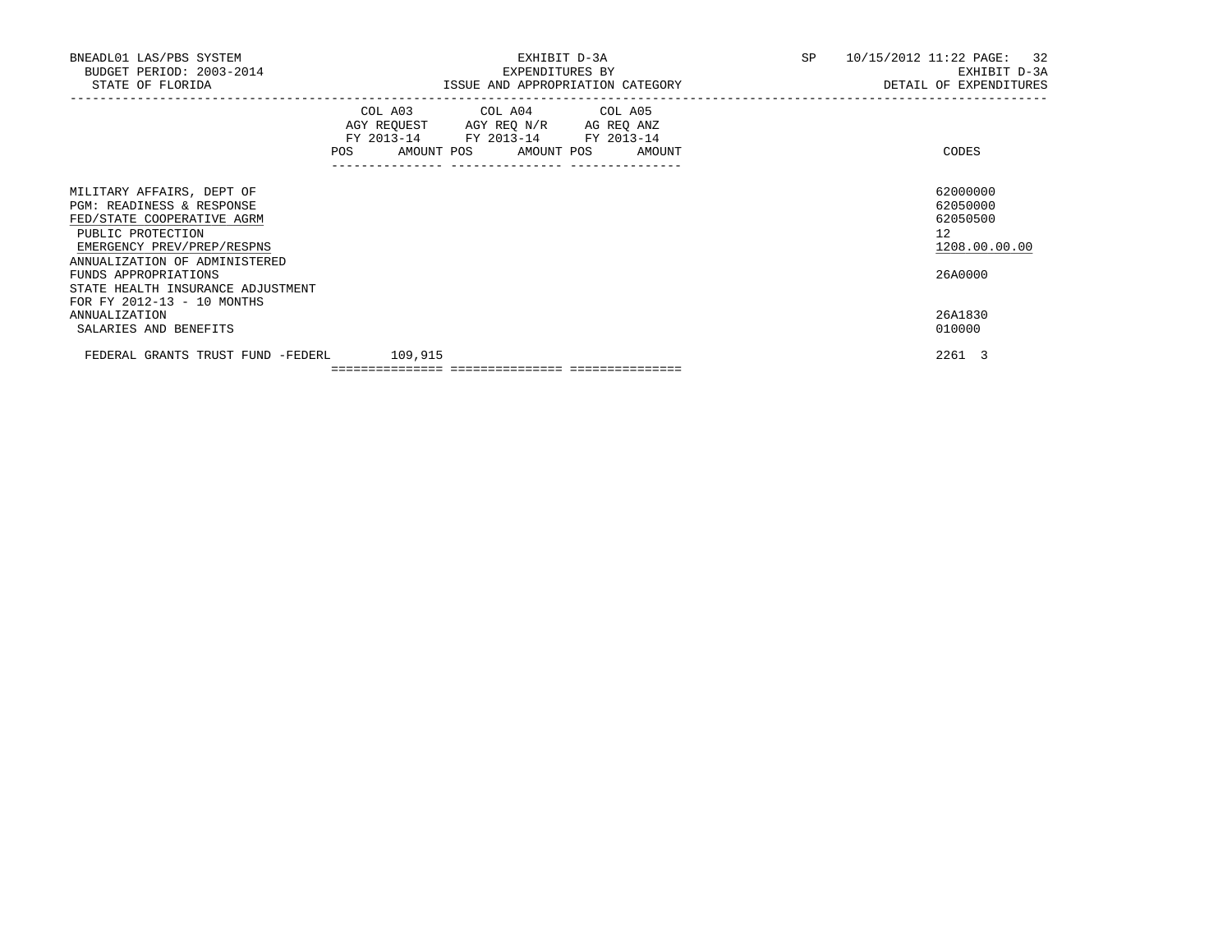| BNEADL01 LAS/PBS SYSTEM<br>BUDGET PERIOD: 2003-2014<br>STATE OF FLORIDA                                                                            | EXHIBIT D-3A<br>EXPENDITURES BY<br>ISSUE AND APPROPRIATION CATEGORY                                                                                                                                                                                                                    | SP<br>10/15/2012 11:22 PAGE: 32<br>EXHIBIT D-3A<br>DETAIL OF EXPENDITURES |
|----------------------------------------------------------------------------------------------------------------------------------------------------|----------------------------------------------------------------------------------------------------------------------------------------------------------------------------------------------------------------------------------------------------------------------------------------|---------------------------------------------------------------------------|
|                                                                                                                                                    | COL A03 COL A04 COL A05<br>AGY REQUEST AGY REQ N/R AG REQ ANZ<br>FY 2013-14 FY 2013-14 FY 2013-14<br>AMOUNT POS AMOUNT POS AMOUNT<br>POS FOR THE POST OF THE POST OF THE POST OF THE POST OF THE POST OF THE POST OF THE POST OF THE POST OF THE PO<br>------------- ----------------- | CODES                                                                     |
| MILITARY AFFAIRS, DEPT OF<br><b>PGM: READINESS &amp; RESPONSE</b><br>FED/STATE COOPERATIVE AGRM<br>PUBLIC PROTECTION<br>EMERGENCY PREV/PREP/RESPNS |                                                                                                                                                                                                                                                                                        | 62000000<br>62050000<br>62050500<br>12<br>1208.00.00.00                   |
| ANNUALIZATION OF ADMINISTERED<br>FUNDS APPROPRIATIONS<br>STATE HEALTH INSURANCE ADJUSTMENT<br>FOR FY 2012-13 - 10 MONTHS                           |                                                                                                                                                                                                                                                                                        | 26A0000                                                                   |
| <b>ANNUALIZATION</b><br>SALARIES AND BENEFITS                                                                                                      |                                                                                                                                                                                                                                                                                        | 26A1830<br>010000                                                         |
| FEDERAL GRANTS TRUST FUND -FEDERL                                                                                                                  | 109,915                                                                                                                                                                                                                                                                                | 2261 3                                                                    |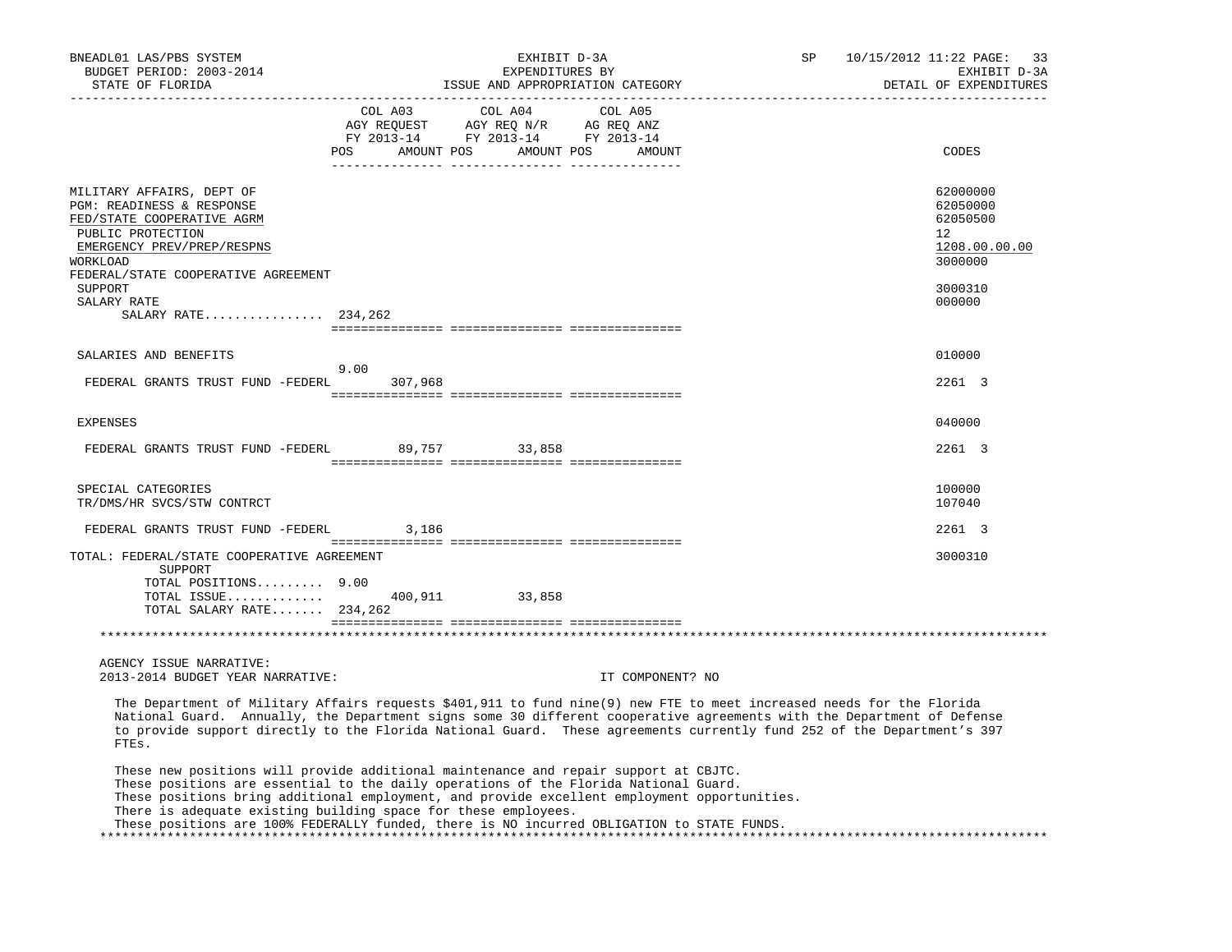| BNEADL01 LAS/PBS SYSTEM<br>BUDGET PERIOD: 2003-2014<br>STATE OF FLORIDA                                                                                                                    | SP<br>EXHIBIT D-3A<br>EXPENDITURES BY<br>ISSUE AND APPROPRIATION CATEGORY                                                                                                                                                                                                                                                                                                                                                                    | 10/15/2012 11:22 PAGE: 33<br>EXHIBIT D-3A<br>DETAIL OF EXPENDITURES          |
|--------------------------------------------------------------------------------------------------------------------------------------------------------------------------------------------|----------------------------------------------------------------------------------------------------------------------------------------------------------------------------------------------------------------------------------------------------------------------------------------------------------------------------------------------------------------------------------------------------------------------------------------------|------------------------------------------------------------------------------|
|                                                                                                                                                                                            | COL A03<br>COL A04<br>COL A05<br>COL AUS<br>AGY REQUEST AGY REQ N/R AG REQ ANZ<br>FY 2013-14 FY 2013-14 FY 2013-14<br>POS AMOUNT POS AMOUNT POS AMOUNT                                                                                                                                                                                                                                                                                       | CODES                                                                        |
| MILITARY AFFAIRS, DEPT OF<br>PGM: READINESS & RESPONSE<br>FED/STATE COOPERATIVE AGRM<br>PUBLIC PROTECTION<br>EMERGENCY PREV/PREP/RESPNS<br>WORKLOAD<br>FEDERAL/STATE COOPERATIVE AGREEMENT |                                                                                                                                                                                                                                                                                                                                                                                                                                              | 62000000<br>62050000<br>62050500<br>$12^{\circ}$<br>1208.00.00.00<br>3000000 |
| SUPPORT<br>SALARY RATE<br>SALARY RATE 234,262                                                                                                                                              |                                                                                                                                                                                                                                                                                                                                                                                                                                              | 3000310<br>000000                                                            |
|                                                                                                                                                                                            |                                                                                                                                                                                                                                                                                                                                                                                                                                              |                                                                              |
| SALARIES AND BENEFITS                                                                                                                                                                      | 9.00                                                                                                                                                                                                                                                                                                                                                                                                                                         | 010000                                                                       |
| FEDERAL GRANTS TRUST FUND -FEDERL 307,968                                                                                                                                                  |                                                                                                                                                                                                                                                                                                                                                                                                                                              | 2261 3                                                                       |
| <b>EXPENSES</b>                                                                                                                                                                            |                                                                                                                                                                                                                                                                                                                                                                                                                                              | 040000                                                                       |
| FEDERAL GRANTS TRUST FUND -FEDERL 89,757 33,858                                                                                                                                            |                                                                                                                                                                                                                                                                                                                                                                                                                                              | 2261 3                                                                       |
| SPECIAL CATEGORIES<br>TR/DMS/HR SVCS/STW CONTRCT                                                                                                                                           |                                                                                                                                                                                                                                                                                                                                                                                                                                              | 100000<br>107040                                                             |
| FEDERAL GRANTS TRUST FUND -FEDERL 3,186                                                                                                                                                    |                                                                                                                                                                                                                                                                                                                                                                                                                                              | 2261 3                                                                       |
| TOTAL: FEDERAL/STATE COOPERATIVE AGREEMENT<br>SUPPORT<br>TOTAL POSITIONS 9.00                                                                                                              |                                                                                                                                                                                                                                                                                                                                                                                                                                              | 3000310                                                                      |
| TOTAL SALARY RATE $234,262$                                                                                                                                                                | TOTAL ISSUE 400,911 33,858                                                                                                                                                                                                                                                                                                                                                                                                                   |                                                                              |
|                                                                                                                                                                                            |                                                                                                                                                                                                                                                                                                                                                                                                                                              |                                                                              |
| AGENCY ISSUE NARRATIVE:                                                                                                                                                                    |                                                                                                                                                                                                                                                                                                                                                                                                                                              |                                                                              |
| 2013-2014 BUDGET YEAR NARRATIVE:                                                                                                                                                           | IT COMPONENT? NO                                                                                                                                                                                                                                                                                                                                                                                                                             |                                                                              |
| FTEs.                                                                                                                                                                                      | The Department of Military Affairs requests \$401,911 to fund nine(9) new FTE to meet increased needs for the Florida<br>National Guard. Annually, the Department signs some 30 different cooperative agreements with the Department of Defense<br>to provide support directly to the Florida National Guard. These agreements currently fund 252 of the Department's 397                                                                    |                                                                              |
|                                                                                                                                                                                            | These new positions will provide additional maintenance and repair support at CBJTC.<br>These positions are essential to the daily operations of the Florida National Guard.<br>These positions bring additional employment, and provide excellent employment opportunities.<br>There is adequate existing building space for these employees.<br>These positions are 100% FEDERALLY funded, there is NO incurred OBLIGATION to STATE FUNDS. |                                                                              |

\*\*\*\*\*\*\*\*\*\*\*\*\*\*\*\*\*\*\*\*\*\*\*\*\*\*\*\*\*\*\*\*\*\*\*\*\*\*\*\*\*\*\*\*\*\*\*\*\*\*\*\*\*\*\*\*\*\*\*\*\*\*\*\*\*\*\*\*\*\*\*\*\*\*\*\*\*\*\*\*\*\*\*\*\*\*\*\*\*\*\*\*\*\*\*\*\*\*\*\*\*\*\*\*\*\*\*\*\*\*\*\*\*\*\*\*\*\*\*\*\*\*\*\*\*\*\*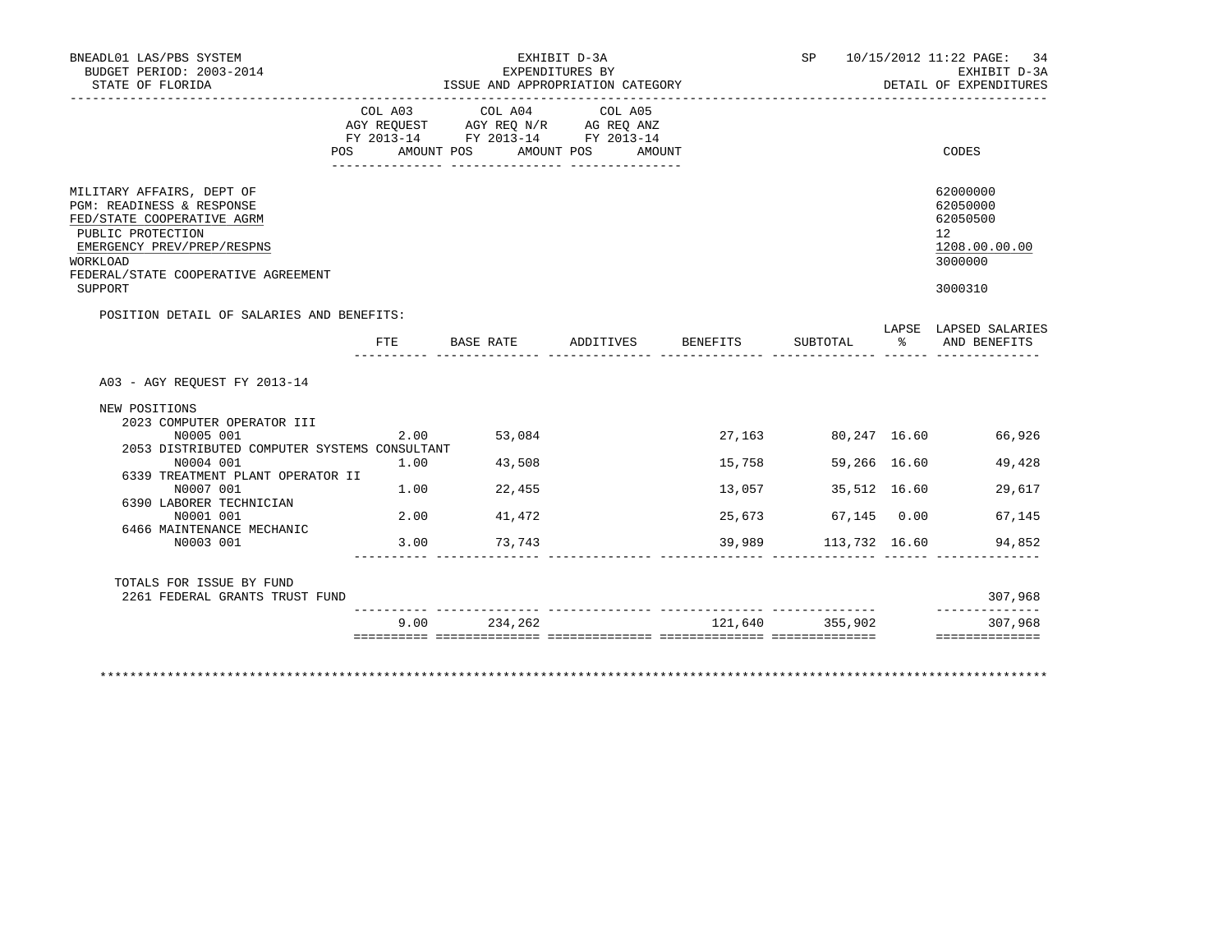|                                  | ISSUE AND APPROPRIATION CATEGORY                                                                                                                            | EXHIBIT D-3A<br>EXPENDITURES BY                             |                                                                        | SP                           |                                             | 10/15/2012 11:22 PAGE: 34<br>EXHIBIT D-3A<br>DETAIL OF EXPENDITURES           |
|----------------------------------|-------------------------------------------------------------------------------------------------------------------------------------------------------------|-------------------------------------------------------------|------------------------------------------------------------------------|------------------------------|---------------------------------------------|-------------------------------------------------------------------------------|
| COL A03                          | COL A04                                                                                                                                                     | COL A05                                                     |                                                                        |                              |                                             | CODES                                                                         |
|                                  |                                                                                                                                                             |                                                             |                                                                        |                              |                                             |                                                                               |
|                                  |                                                                                                                                                             |                                                             |                                                                        |                              |                                             | 62000000<br>62050000<br>62050500<br>12<br>1208.00.00.00<br>3000000<br>3000310 |
|                                  |                                                                                                                                                             |                                                             |                                                                        |                              |                                             |                                                                               |
|                                  |                                                                                                                                                             |                                                             |                                                                        | SUBTOTAL                     |                                             | LAPSE LAPSED SALARIES<br>AND BENEFITS                                         |
|                                  |                                                                                                                                                             |                                                             |                                                                        |                              |                                             | 66,926                                                                        |
|                                  |                                                                                                                                                             |                                                             |                                                                        |                              |                                             |                                                                               |
| 1.00                             | 43,508                                                                                                                                                      |                                                             | 15,758                                                                 | 59,266 16.60                 |                                             | 49,428                                                                        |
| 6339 TREATMENT PLANT OPERATOR II |                                                                                                                                                             |                                                             |                                                                        |                              |                                             |                                                                               |
|                                  | $1.00$ 22,455                                                                                                                                               |                                                             | 13,057                                                                 | 35,512 16.60                 |                                             | 29,617                                                                        |
| 2.00                             | 41,472                                                                                                                                                      |                                                             | 25,673                                                                 | 67,145 0.00                  |                                             | 67,145                                                                        |
|                                  | 3.00 73,743                                                                                                                                                 |                                                             | 39,989                                                                 | 113,732 16.60                |                                             | 94,852                                                                        |
| 2261 FEDERAL GRANTS TRUST FUND   |                                                                                                                                                             |                                                             |                                                                        |                              |                                             | 307,968<br>--------------                                                     |
|                                  | POS FOR THE POST OF THE STATE STATE STATE STATE STATE STATE STATE STATE STATE STATE STATE STATE STATE STATE ST<br>POSITION DETAIL OF SALARIES AND BENEFITS: | 2.00 53,084<br>2053 DISTRIBUTED COMPUTER SYSTEMS CONSULTANT | AGY REQUEST AGY REQ N/R AG REQ ANZ<br>FY 2013-14 FY 2013-14 FY 2013-14 | AMOUNT POS AMOUNT POS AMOUNT | FTE BASE RATE ADDITIVES BENEFITS<br>27, 163 | $\frac{1}{2}$<br>80,247 16.60                                                 |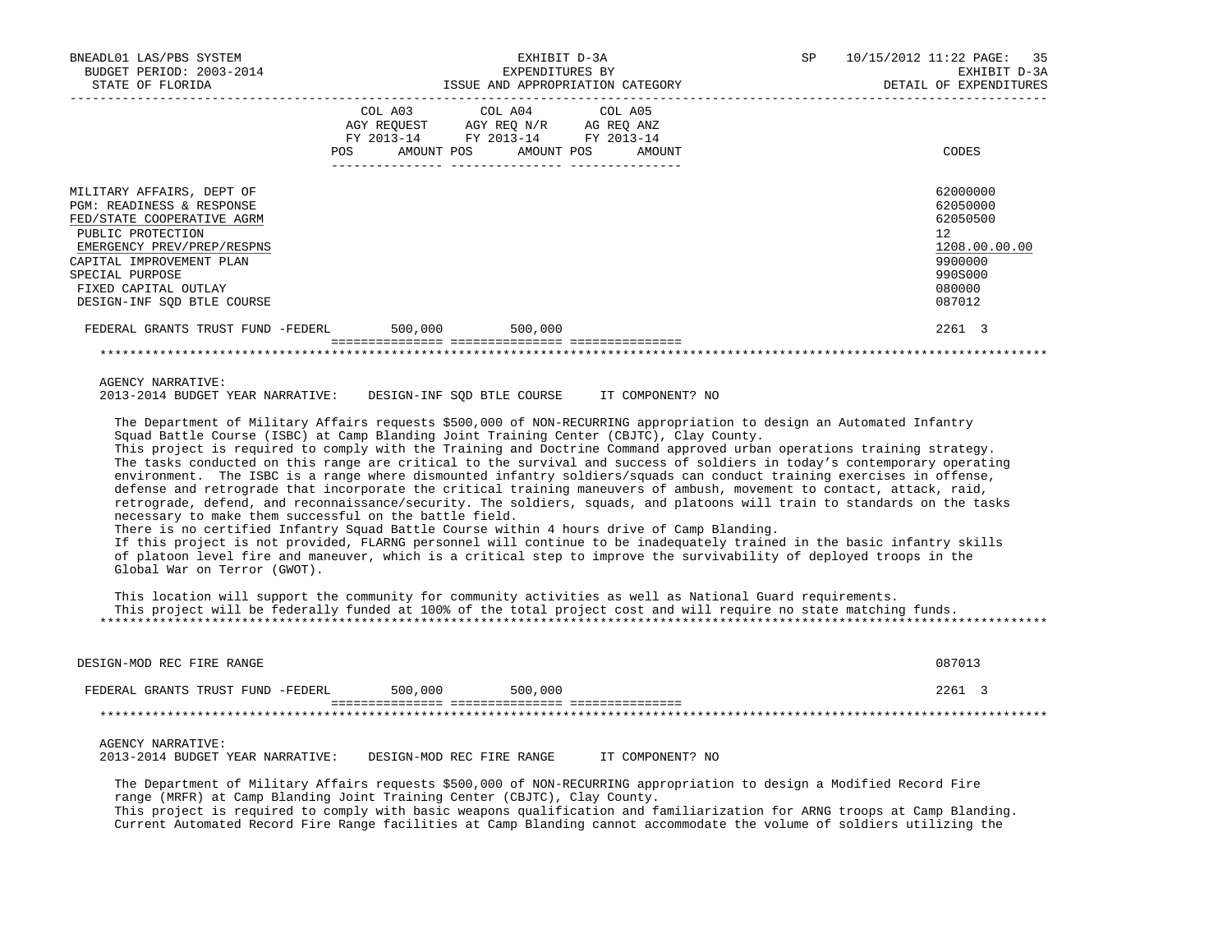| BNEADL01 LAS/PBS SYSTEM                                                                                                                                                                                                                                                                                                                                                                                                                                                                                                                                                                                                                                                                                                                                                                                                                                                                                                                                                                                                                                                                                                                                                                                                                                                                                                                                                                                                                                                                                                        | EXHIBIT D-3A                                                           |         | SP | 10/15/2012 11:22 PAGE:<br>35                                                                                |
|--------------------------------------------------------------------------------------------------------------------------------------------------------------------------------------------------------------------------------------------------------------------------------------------------------------------------------------------------------------------------------------------------------------------------------------------------------------------------------------------------------------------------------------------------------------------------------------------------------------------------------------------------------------------------------------------------------------------------------------------------------------------------------------------------------------------------------------------------------------------------------------------------------------------------------------------------------------------------------------------------------------------------------------------------------------------------------------------------------------------------------------------------------------------------------------------------------------------------------------------------------------------------------------------------------------------------------------------------------------------------------------------------------------------------------------------------------------------------------------------------------------------------------|------------------------------------------------------------------------|---------|----|-------------------------------------------------------------------------------------------------------------|
| BUDGET PERIOD: 2003-2014<br>STATE OF FLORIDA                                                                                                                                                                                                                                                                                                                                                                                                                                                                                                                                                                                                                                                                                                                                                                                                                                                                                                                                                                                                                                                                                                                                                                                                                                                                                                                                                                                                                                                                                   | EXPENDITURES BY                                                        |         |    | EXHIBIT D-3A<br>DETAIL OF EXPENDITURES                                                                      |
|                                                                                                                                                                                                                                                                                                                                                                                                                                                                                                                                                                                                                                                                                                                                                                                                                                                                                                                                                                                                                                                                                                                                                                                                                                                                                                                                                                                                                                                                                                                                |                                                                        |         |    |                                                                                                             |
|                                                                                                                                                                                                                                                                                                                                                                                                                                                                                                                                                                                                                                                                                                                                                                                                                                                                                                                                                                                                                                                                                                                                                                                                                                                                                                                                                                                                                                                                                                                                | COL A03 COL A04                                                        | COL A05 |    |                                                                                                             |
|                                                                                                                                                                                                                                                                                                                                                                                                                                                                                                                                                                                                                                                                                                                                                                                                                                                                                                                                                                                                                                                                                                                                                                                                                                                                                                                                                                                                                                                                                                                                | AGY REQUEST AGY REQ N/R AG REQ ANZ<br>FY 2013-14 FY 2013-14 FY 2013-14 |         |    |                                                                                                             |
|                                                                                                                                                                                                                                                                                                                                                                                                                                                                                                                                                                                                                                                                                                                                                                                                                                                                                                                                                                                                                                                                                                                                                                                                                                                                                                                                                                                                                                                                                                                                | POS AMOUNT POS AMOUNT POS AMOUNT                                       |         |    | CODES                                                                                                       |
|                                                                                                                                                                                                                                                                                                                                                                                                                                                                                                                                                                                                                                                                                                                                                                                                                                                                                                                                                                                                                                                                                                                                                                                                                                                                                                                                                                                                                                                                                                                                |                                                                        |         |    |                                                                                                             |
| MILITARY AFFAIRS, DEPT OF<br>PGM: READINESS & RESPONSE<br>FED/STATE COOPERATIVE AGRM<br>PUBLIC PROTECTION<br>EMERGENCY PREV/PREP/RESPNS<br>CAPITAL IMPROVEMENT PLAN<br>SPECIAL PURPOSE<br>FIXED CAPITAL OUTLAY<br>DESIGN-INF SQD BTLE COURSE<br>FEDERAL GRANTS TRUST FUND -FEDERL 500,000 500,000<br>AGENCY NARRATIVE:<br>2013-2014 BUDGET YEAR NARRATIVE: DESIGN-INF SQD BTLE COURSE IT COMPONENT? NO                                                                                                                                                                                                                                                                                                                                                                                                                                                                                                                                                                                                                                                                                                                                                                                                                                                                                                                                                                                                                                                                                                                         |                                                                        |         |    | 62000000<br>62050000<br>62050500<br>12<br>1208.00.00.00<br>9900000<br>990S000<br>080000<br>087012<br>2261 3 |
| The Department of Military Affairs requests \$500,000 of NON-RECURRING appropriation to design an Automated Infantry<br>Squad Battle Course (ISBC) at Camp Blanding Joint Training Center (CBJTC), Clay County.<br>This project is required to comply with the Training and Doctrine Command approved urban operations training strategy.<br>The tasks conducted on this range are critical to the survival and success of soldiers in today's contemporary operating<br>environment. The ISBC is a range where dismounted infantry soldiers/squads can conduct training exercises in offense,<br>defense and retrograde that incorporate the critical training maneuvers of ambush, movement to contact, attack, raid,<br>retrograde, defend, and reconnaissance/security. The soldiers, squads, and platoons will train to standards on the tasks<br>necessary to make them successful on the battle field.<br>There is no certified Infantry Squad Battle Course within 4 hours drive of Camp Blanding.<br>If this project is not provided, FLARNG personnel will continue to be inadequately trained in the basic infantry skills<br>of platoon level fire and maneuver, which is a critical step to improve the survivability of deployed troops in the<br>Global War on Terror (GWOT).<br>This location will support the community for community activities as well as National Guard requirements.<br>This project will be federally funded at 100% of the total project cost and will require no state matching funds. |                                                                        |         |    |                                                                                                             |
| DESIGN-MOD REC FIRE RANGE                                                                                                                                                                                                                                                                                                                                                                                                                                                                                                                                                                                                                                                                                                                                                                                                                                                                                                                                                                                                                                                                                                                                                                                                                                                                                                                                                                                                                                                                                                      |                                                                        |         |    | 087013                                                                                                      |
| FEDERAL GRANTS TRUST FUND -FEDERL 500,000 500,000                                                                                                                                                                                                                                                                                                                                                                                                                                                                                                                                                                                                                                                                                                                                                                                                                                                                                                                                                                                                                                                                                                                                                                                                                                                                                                                                                                                                                                                                              |                                                                        |         |    | 2261 3                                                                                                      |
|                                                                                                                                                                                                                                                                                                                                                                                                                                                                                                                                                                                                                                                                                                                                                                                                                                                                                                                                                                                                                                                                                                                                                                                                                                                                                                                                                                                                                                                                                                                                |                                                                        |         |    |                                                                                                             |
|                                                                                                                                                                                                                                                                                                                                                                                                                                                                                                                                                                                                                                                                                                                                                                                                                                                                                                                                                                                                                                                                                                                                                                                                                                                                                                                                                                                                                                                                                                                                |                                                                        |         |    |                                                                                                             |
| AGENCY NARRATIVE:<br>2013-2014 BUDGET YEAR NARRATIVE: DESIGN-MOD REC FIRE RANGE TT COMPONENT? NO                                                                                                                                                                                                                                                                                                                                                                                                                                                                                                                                                                                                                                                                                                                                                                                                                                                                                                                                                                                                                                                                                                                                                                                                                                                                                                                                                                                                                               |                                                                        |         |    |                                                                                                             |
| The Department of Military Affairs requests \$500,000 of NON-RECURRING appropriation to design a Modified Record Fire<br>range (MRFR) at Camp Blanding Joint Training Center (CBJTC), Clay County.<br>This project is required to comply with basic weapons qualification and familiarization for ARNG troops at Camp Blanding.<br>Current Automated Record Fire Range facilities at Camp Blanding cannot accommodate the volume of soldiers utilizing the                                                                                                                                                                                                                                                                                                                                                                                                                                                                                                                                                                                                                                                                                                                                                                                                                                                                                                                                                                                                                                                                     |                                                                        |         |    |                                                                                                             |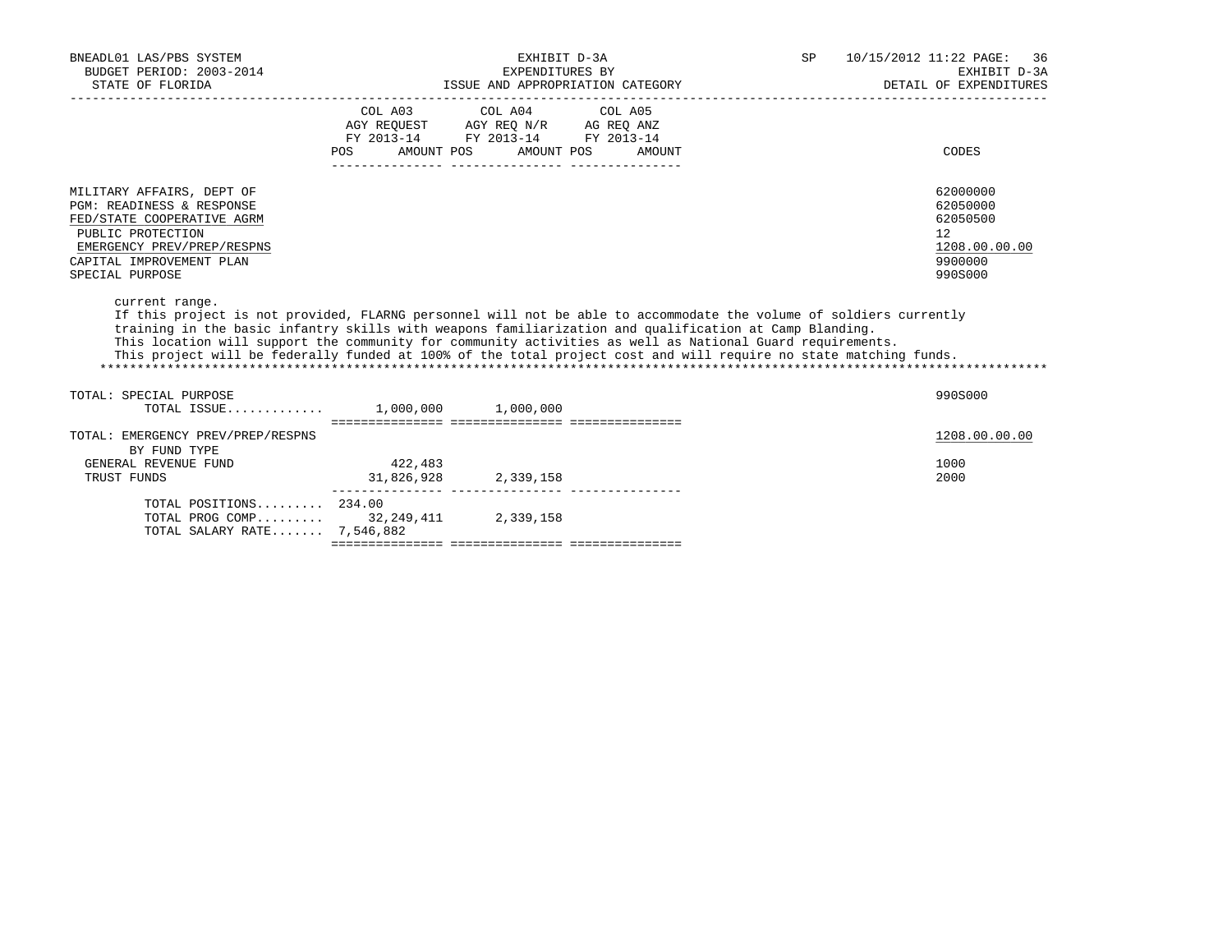| BNEADL01 LAS/PBS SYSTEM<br>BUDGET PERIOD: 2003-2014<br>STATE OF FLORIDA                                                                                                                                                                                                                                                                                                                                                                                                          |                       | EXHIBIT D-3A<br>EXPENDITURES BY                                                                                                | SP<br>ISSUE AND APPROPRIATION CATEGORY | 10/15/2012 11:22 PAGE: 36<br>EXHIBIT D-3A<br>DETAIL OF EXPENDITURES           |
|----------------------------------------------------------------------------------------------------------------------------------------------------------------------------------------------------------------------------------------------------------------------------------------------------------------------------------------------------------------------------------------------------------------------------------------------------------------------------------|-----------------------|--------------------------------------------------------------------------------------------------------------------------------|----------------------------------------|-------------------------------------------------------------------------------|
|                                                                                                                                                                                                                                                                                                                                                                                                                                                                                  |                       | COL A03 COL A04 COL A05<br>AGY REQUEST AGY REQ N/R AG REQ ANZ<br>FY 2013-14 FY 2013-14 FY 2013-14<br>POS AMOUNT POS AMOUNT POS | AMOUNT                                 | CODES                                                                         |
| MILITARY AFFAIRS, DEPT OF<br>PGM: READINESS & RESPONSE<br>FED/STATE COOPERATIVE AGRM<br>PUBLIC PROTECTION<br>EMERGENCY PREV/PREP/RESPNS<br>CAPITAL IMPROVEMENT PLAN<br>SPECIAL PURPOSE                                                                                                                                                                                                                                                                                           |                       |                                                                                                                                |                                        | 62000000<br>62050000<br>62050500<br>12<br>1208.00.00.00<br>9900000<br>990S000 |
| current range.<br>If this project is not provided, FLARNG personnel will not be able to accommodate the volume of soldiers currently<br>training in the basic infantry skills with weapons familiarization and qualification at Camp Blanding.<br>This location will support the community for community activities as well as National Guard requirements.<br>This project will be federally funded at 100% of the total project cost and will require no state matching funds. |                       |                                                                                                                                |                                        |                                                                               |
| TOTAL: SPECIAL PURPOSE<br>TOTAL ISSUE 1,000,000 1,000,000                                                                                                                                                                                                                                                                                                                                                                                                                        |                       |                                                                                                                                |                                        | 990S000                                                                       |
| TOTAL: EMERGENCY PREV/PREP/RESPNS<br>BY FUND TYPE<br>GENERAL REVENUE FUND<br>TRUST FUNDS                                                                                                                                                                                                                                                                                                                                                                                         | 422,483<br>31,826,928 | 2,339,158                                                                                                                      |                                        | 1208.00.00.00<br>1000<br>2000                                                 |
| TOTAL POSITIONS 234.00<br>TOTAL PROG COMP 32,249,411 2,339,158<br>TOTAL SALARY RATE 7,546,882                                                                                                                                                                                                                                                                                                                                                                                    |                       |                                                                                                                                |                                        |                                                                               |
|                                                                                                                                                                                                                                                                                                                                                                                                                                                                                  |                       |                                                                                                                                |                                        |                                                                               |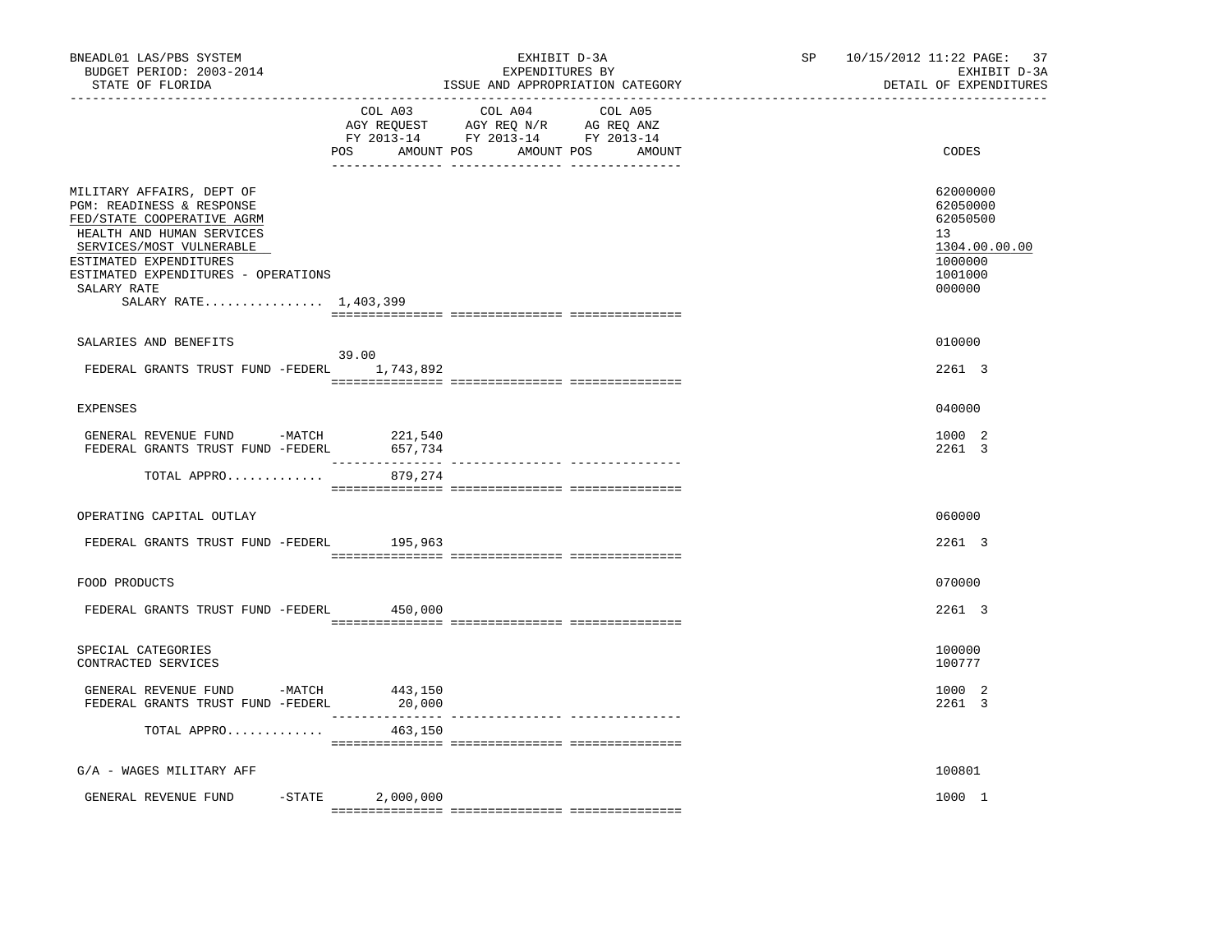| BNEADL01 LAS/PBS SYSTEM<br>BUDGET PERIOD: 2003-2014<br>STATE OF FLORIDA<br>-------------------                                                                                                                                                         |                    | EXHIBIT D-3A<br>EXPENDITURES BY<br>ISSUE AND APPROPRIATION CATEGORY                                                              | SP and the set of the set of the set of the set of the set of the set of the set of the set of the set of the set of the set of the set of the set of the set of the set of the set of the set of the set of the set of the se | 10/15/2012 11:22 PAGE: 37<br>EXHIBIT D-3A<br>DETAIL OF EXPENDITURES                     |
|--------------------------------------------------------------------------------------------------------------------------------------------------------------------------------------------------------------------------------------------------------|--------------------|----------------------------------------------------------------------------------------------------------------------------------|--------------------------------------------------------------------------------------------------------------------------------------------------------------------------------------------------------------------------------|-----------------------------------------------------------------------------------------|
|                                                                                                                                                                                                                                                        | COL A03            | COL A04<br>COL A05<br>AGY REQUEST AGY REQ N/R AG REQ ANZ<br>FY 2013-14 FY 2013-14 FY 2013-14<br>POS AMOUNT POS AMOUNT POS AMOUNT |                                                                                                                                                                                                                                | CODES                                                                                   |
| MILITARY AFFAIRS, DEPT OF<br>PGM: READINESS & RESPONSE<br>FED/STATE COOPERATIVE AGRM<br>HEALTH AND HUMAN SERVICES<br>SERVICES/MOST VULNERABLE<br>ESTIMATED EXPENDITURES<br>ESTIMATED EXPENDITURES - OPERATIONS<br>SALARY RATE<br>SALARY RATE 1,403,399 |                    |                                                                                                                                  |                                                                                                                                                                                                                                | 62000000<br>62050000<br>62050500<br>13<br>1304.00.00.00<br>1000000<br>1001000<br>000000 |
| SALARIES AND BENEFITS                                                                                                                                                                                                                                  |                    |                                                                                                                                  |                                                                                                                                                                                                                                | 010000                                                                                  |
| FEDERAL GRANTS TRUST FUND -FEDERL 1,743,892                                                                                                                                                                                                            | 39.00              |                                                                                                                                  |                                                                                                                                                                                                                                | 2261 3                                                                                  |
| EXPENSES                                                                                                                                                                                                                                               |                    |                                                                                                                                  |                                                                                                                                                                                                                                | 040000                                                                                  |
| GENERAL REVENUE FUND -MATCH<br>FEDERAL GRANTS TRUST FUND -FEDERL                                                                                                                                                                                       | 221,540<br>657,734 |                                                                                                                                  |                                                                                                                                                                                                                                | 1000 2<br>2261 3                                                                        |
| TOTAL APPRO                                                                                                                                                                                                                                            | 879,274            |                                                                                                                                  |                                                                                                                                                                                                                                |                                                                                         |
| OPERATING CAPITAL OUTLAY                                                                                                                                                                                                                               |                    |                                                                                                                                  |                                                                                                                                                                                                                                | 060000                                                                                  |
| FEDERAL GRANTS TRUST FUND -FEDERL 195,963                                                                                                                                                                                                              |                    |                                                                                                                                  |                                                                                                                                                                                                                                | 2261 3                                                                                  |
| FOOD PRODUCTS                                                                                                                                                                                                                                          |                    |                                                                                                                                  |                                                                                                                                                                                                                                | 070000                                                                                  |
| FEDERAL GRANTS TRUST FUND -FEDERL                                                                                                                                                                                                                      | 450,000            |                                                                                                                                  |                                                                                                                                                                                                                                | 2261 3                                                                                  |
| SPECIAL CATEGORIES<br>CONTRACTED SERVICES                                                                                                                                                                                                              |                    |                                                                                                                                  |                                                                                                                                                                                                                                | 100000<br>100777                                                                        |
| GENERAL REVENUE FUND -MATCH 443,150<br>FEDERAL GRANTS TRUST FUND -FEDERL                                                                                                                                                                               | 20,000             |                                                                                                                                  |                                                                                                                                                                                                                                | 1000 2<br>2261 3                                                                        |
| TOTAL APPRO                                                                                                                                                                                                                                            | 463,150            |                                                                                                                                  |                                                                                                                                                                                                                                |                                                                                         |
| G/A - WAGES MILITARY AFF                                                                                                                                                                                                                               |                    |                                                                                                                                  |                                                                                                                                                                                                                                | 100801                                                                                  |
| GENERAL REVENUE FUND -STATE                                                                                                                                                                                                                            | 2,000,000          |                                                                                                                                  |                                                                                                                                                                                                                                | 1000 1                                                                                  |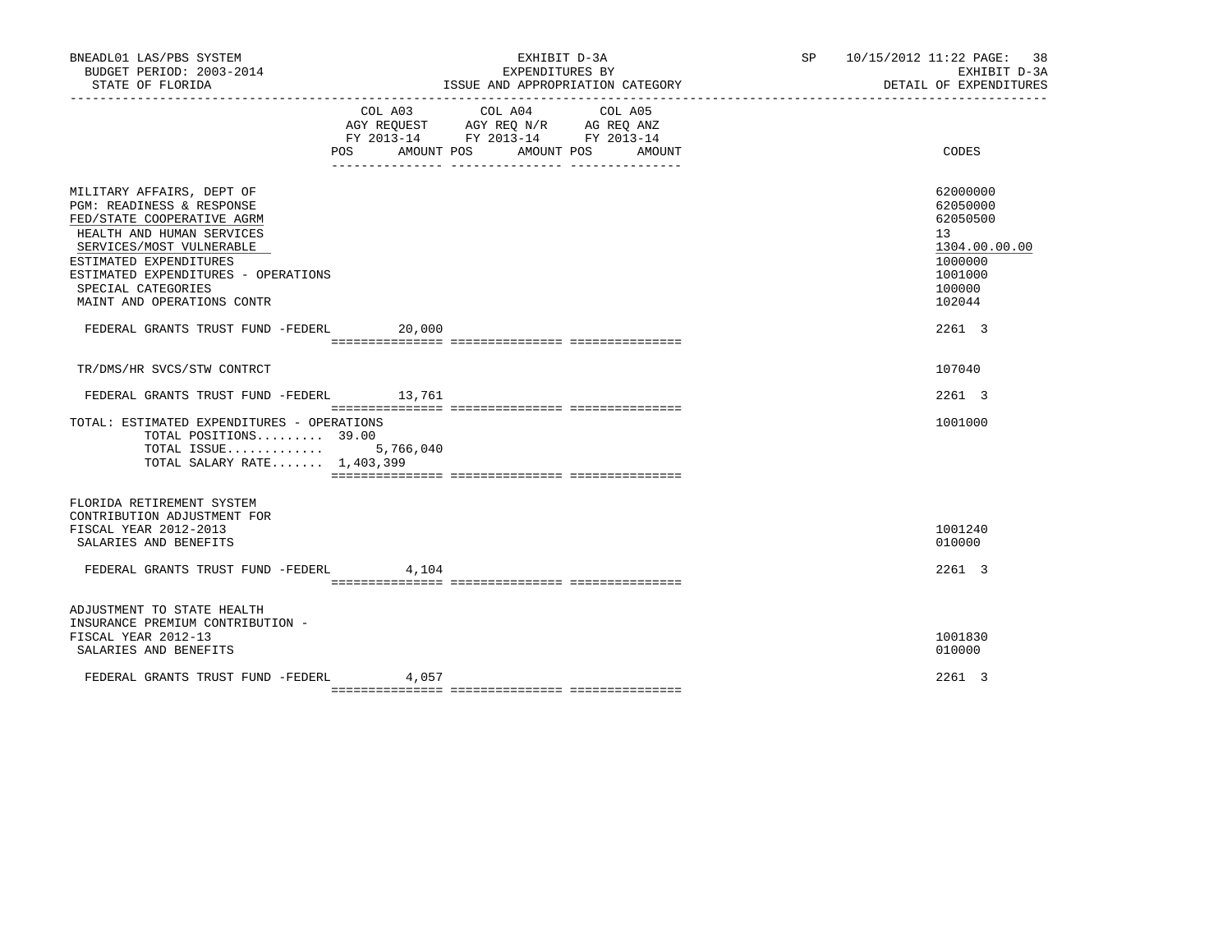| BNEADL01 LAS/PBS SYSTEM<br>BUDGET PERIOD: 2003-2014<br>STATE OF FLORIDA                                                                                                                                                                                                                                        |         | EXHIBIT D-3A<br>EXPENDITURES BY<br>ISSUE AND APPROPRIATION CATEGORY                                                              | SP 10/15/2012 11:22 PAGE: 38 | EXHIBIT D-3A<br>DETAIL OF EXPENDITURES                                                                      |
|----------------------------------------------------------------------------------------------------------------------------------------------------------------------------------------------------------------------------------------------------------------------------------------------------------------|---------|----------------------------------------------------------------------------------------------------------------------------------|------------------------------|-------------------------------------------------------------------------------------------------------------|
|                                                                                                                                                                                                                                                                                                                | COL A03 | COL A04<br>COL A05<br>AGY REQUEST AGY REQ N/R AG REQ ANZ<br>FY 2013-14 FY 2013-14 FY 2013-14<br>POS AMOUNT POS AMOUNT POS AMOUNT |                              | CODES                                                                                                       |
| MILITARY AFFAIRS, DEPT OF<br>PGM: READINESS & RESPONSE<br>FED/STATE COOPERATIVE AGRM<br>HEALTH AND HUMAN SERVICES<br>SERVICES/MOST VULNERABLE<br>ESTIMATED EXPENDITURES<br>ESTIMATED EXPENDITURES - OPERATIONS<br>SPECIAL CATEGORIES<br>MAINT AND OPERATIONS CONTR<br>FEDERAL GRANTS TRUST FUND -FEDERL 20,000 |         |                                                                                                                                  |                              | 62000000<br>62050000<br>62050500<br>13<br>1304.00.00.00<br>1000000<br>1001000<br>100000<br>102044<br>2261 3 |
| TR/DMS/HR SVCS/STW CONTRCT                                                                                                                                                                                                                                                                                     |         |                                                                                                                                  |                              | 107040                                                                                                      |
| FEDERAL GRANTS TRUST FUND -FEDERL 13,761                                                                                                                                                                                                                                                                       |         |                                                                                                                                  |                              | 2261 3                                                                                                      |
| TOTAL: ESTIMATED EXPENDITURES - OPERATIONS<br>TOTAL POSITIONS 39.00<br>TOTAL ISSUE $5,766,040$<br>TOTAL SALARY RATE 1,403,399                                                                                                                                                                                  |         |                                                                                                                                  |                              | 1001000                                                                                                     |
| FLORIDA RETIREMENT SYSTEM<br>CONTRIBUTION ADJUSTMENT FOR<br>FISCAL YEAR 2012-2013<br>SALARIES AND BENEFITS<br>FEDERAL GRANTS TRUST FUND -FEDERL 4,104                                                                                                                                                          |         |                                                                                                                                  |                              | 1001240<br>010000<br>2261 3                                                                                 |
| ADJUSTMENT TO STATE HEALTH<br>INSURANCE PREMIUM CONTRIBUTION -<br>FISCAL YEAR 2012-13<br>SALARIES AND BENEFITS                                                                                                                                                                                                 |         |                                                                                                                                  |                              | 1001830<br>010000                                                                                           |
| FEDERAL GRANTS TRUST FUND -FEDERL                                                                                                                                                                                                                                                                              | 4,057   |                                                                                                                                  |                              | 2261 3                                                                                                      |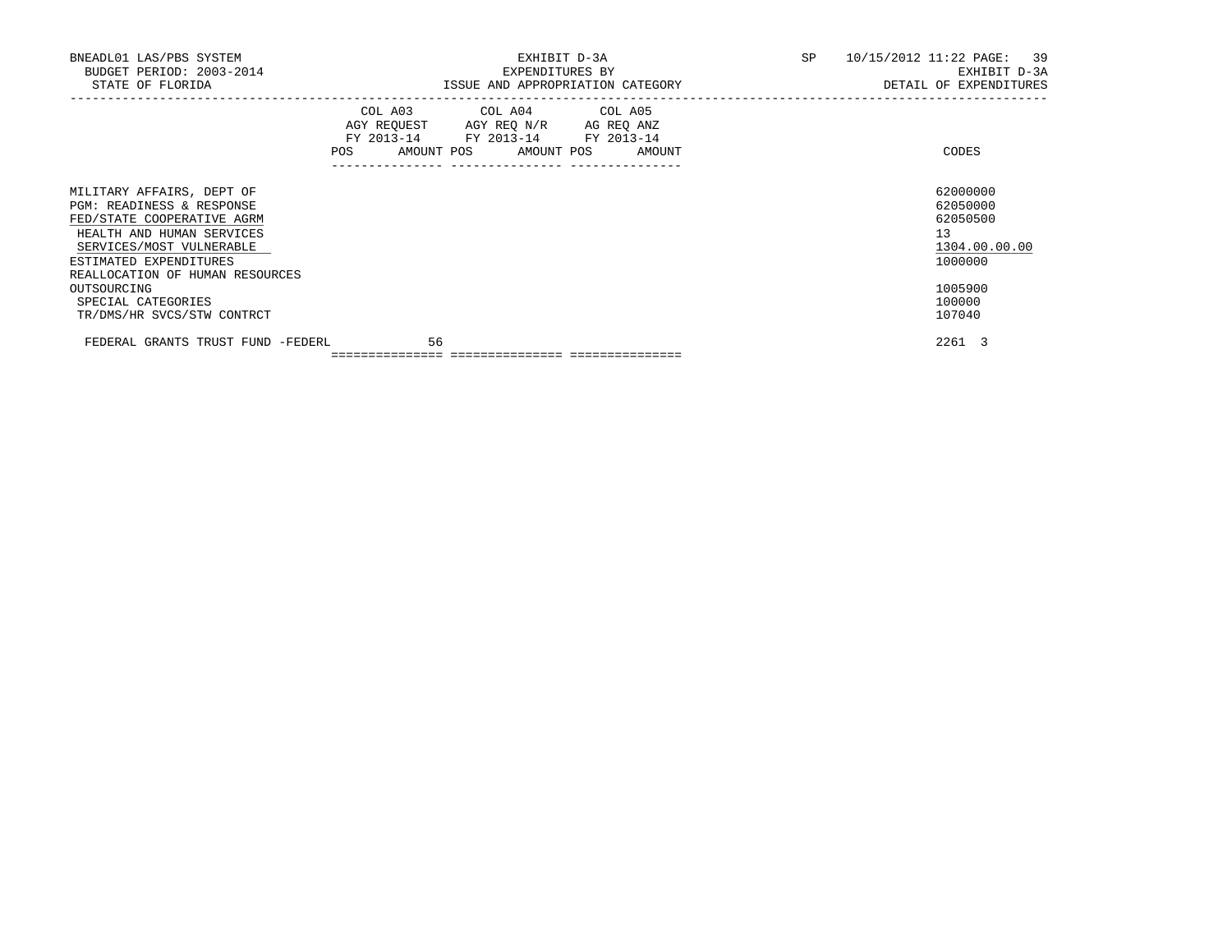| BNEADL01 LAS/PBS SYSTEM<br>BUDGET PERIOD: 2003-2014<br>STATE OF FLORIDA                                                                                                                                    |                                                                                                                | EXHIBIT D-3A<br>EXPENDITURES BY<br>ISSUE AND APPROPRIATION CATEGORY                                                               | SP | 10/15/2012 11:22 PAGE: 39<br>EXHIBIT D-3A<br>DETAIL OF EXPENDITURES |
|------------------------------------------------------------------------------------------------------------------------------------------------------------------------------------------------------------|----------------------------------------------------------------------------------------------------------------|-----------------------------------------------------------------------------------------------------------------------------------|----|---------------------------------------------------------------------|
|                                                                                                                                                                                                            | POS FOR THE POST OF THE STATE STATE STATE STATE STATE STATE STATE STATE STATE STATE STATE STATE STATE STATE ST | COL A03 COL A04 COL A05<br>AGY REQUEST AGY REQ N/R AG REQ ANZ<br>FY 2013-14 FY 2013-14 FY 2013-14<br>AMOUNT POS AMOUNT POS AMOUNT |    | CODES                                                               |
| MILITARY AFFAIRS, DEPT OF<br>PGM: READINESS & RESPONSE<br>FED/STATE COOPERATIVE AGRM<br>HEALTH AND HUMAN SERVICES<br>SERVICES/MOST VULNERABLE<br>ESTIMATED EXPENDITURES<br>REALLOCATION OF HUMAN RESOURCES |                                                                                                                |                                                                                                                                   |    | 62000000<br>62050000<br>62050500<br>13<br>1304.00.00.00<br>1000000  |
| OUTSOURCING<br>SPECIAL CATEGORIES<br>TR/DMS/HR SVCS/STW CONTRCT                                                                                                                                            |                                                                                                                |                                                                                                                                   |    | 1005900<br>100000<br>107040                                         |
| FEDERAL GRANTS TRUST FUND -FEDERL                                                                                                                                                                          | 56                                                                                                             |                                                                                                                                   |    | 2261 3                                                              |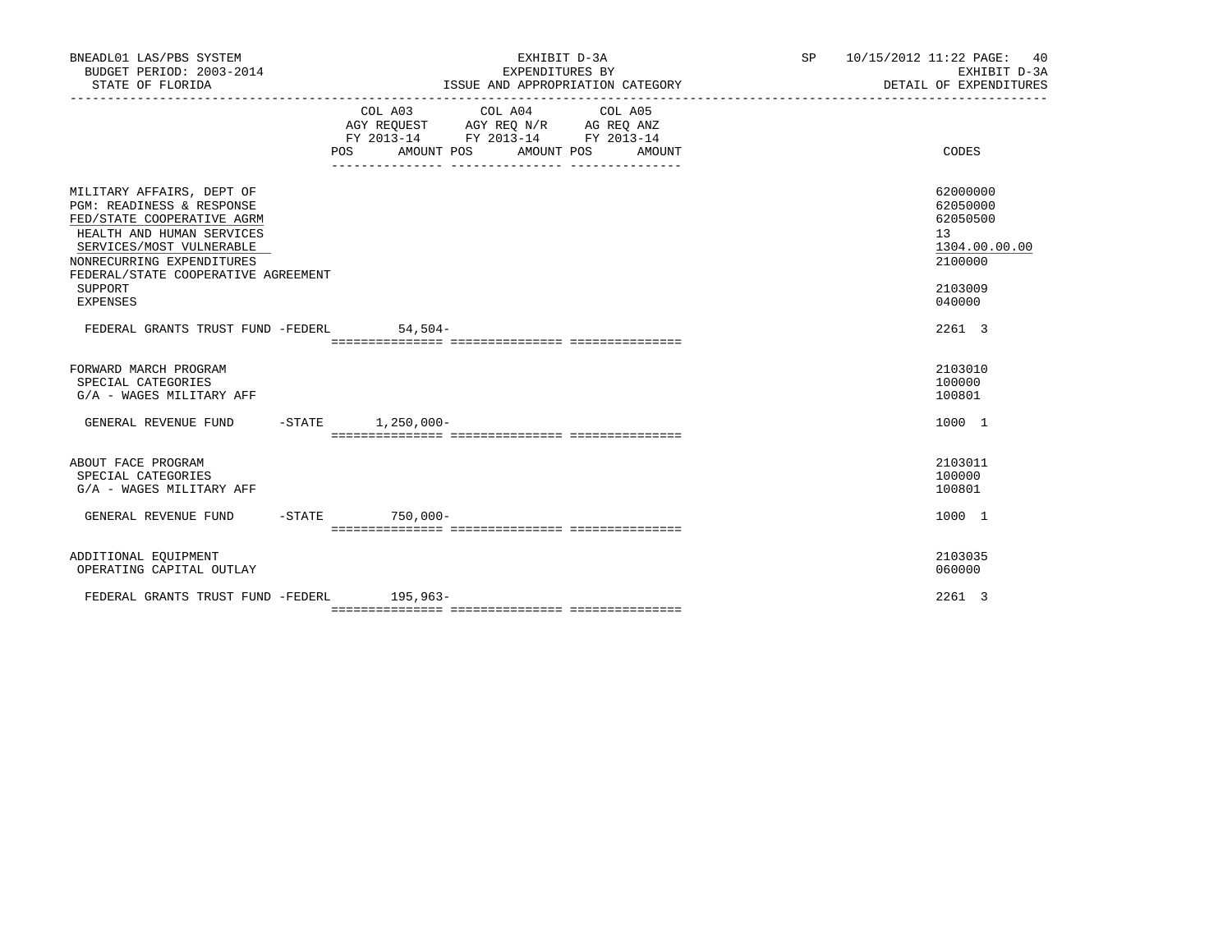| BNEADL01 LAS/PBS SYSTEM<br>BUDGET PERIOD: 2003-2014<br>STATE OF FLORIDA                                                                                                                                                                                    | EXHIBIT D-3A<br>EXPENDITURES BY<br>ISSUE AND APPROPRIATION CATEGORY                                                                                                                                                                                                                                                                                             | SP 10/15/2012 11:22 PAGE: 40<br>EXHIBIT D-3A<br>DETAIL OF EXPENDITURES                  |
|------------------------------------------------------------------------------------------------------------------------------------------------------------------------------------------------------------------------------------------------------------|-----------------------------------------------------------------------------------------------------------------------------------------------------------------------------------------------------------------------------------------------------------------------------------------------------------------------------------------------------------------|-----------------------------------------------------------------------------------------|
|                                                                                                                                                                                                                                                            | $\begin{tabular}{lllllllllll} &\multicolumn{4}{c}{\text{COL A03}} &\multicolumn{4}{c}{\text{COL A04}} &\multicolumn{4}{c}{\text{COL A05}} \\ \multicolumn{4}{c}{\text{AGY REQUEST}} &\multicolumn{4}{c}{\text{AGY REQ N/R}} &\multicolumn{4}{c}{\text{AG REQ ANZ}} \end{tabular}$<br>FY 2013-14 FY 2013-14 FY 2013-14<br>POS AMOUNT POS<br>AMOUNT POS<br>AMOUNT | CODES                                                                                   |
| MILITARY AFFAIRS, DEPT OF<br><b>PGM: READINESS &amp; RESPONSE</b><br>FED/STATE COOPERATIVE AGRM<br>HEALTH AND HUMAN SERVICES<br>SERVICES/MOST VULNERABLE<br>NONRECURRING EXPENDITURES<br>FEDERAL/STATE COOPERATIVE AGREEMENT<br>SUPPORT<br><b>EXPENSES</b> |                                                                                                                                                                                                                                                                                                                                                                 | 62000000<br>62050000<br>62050500<br>13<br>1304.00.00.00<br>2100000<br>2103009<br>040000 |
| FEDERAL GRANTS TRUST FUND -FEDERL                                                                                                                                                                                                                          | $54.504-$                                                                                                                                                                                                                                                                                                                                                       | 2261 3                                                                                  |
| FORWARD MARCH PROGRAM<br>SPECIAL CATEGORIES<br>G/A - WAGES MILITARY AFF                                                                                                                                                                                    |                                                                                                                                                                                                                                                                                                                                                                 | 2103010<br>100000<br>100801                                                             |
| GENERAL REVENUE FUND -STATE 1,250,000-                                                                                                                                                                                                                     |                                                                                                                                                                                                                                                                                                                                                                 | 1000 1                                                                                  |
| ABOUT FACE PROGRAM<br>SPECIAL CATEGORIES<br>G/A - WAGES MILITARY AFF                                                                                                                                                                                       |                                                                                                                                                                                                                                                                                                                                                                 | 2103011<br>100000<br>100801                                                             |
| GENERAL REVENUE FUND -STATE 750,000-                                                                                                                                                                                                                       |                                                                                                                                                                                                                                                                                                                                                                 | 1000 1                                                                                  |
| ADDITIONAL EQUIPMENT<br>OPERATING CAPITAL OUTLAY                                                                                                                                                                                                           |                                                                                                                                                                                                                                                                                                                                                                 | 2103035<br>060000                                                                       |
| FEDERAL GRANTS TRUST FUND -FEDERL 195,963-                                                                                                                                                                                                                 |                                                                                                                                                                                                                                                                                                                                                                 | 2261 3                                                                                  |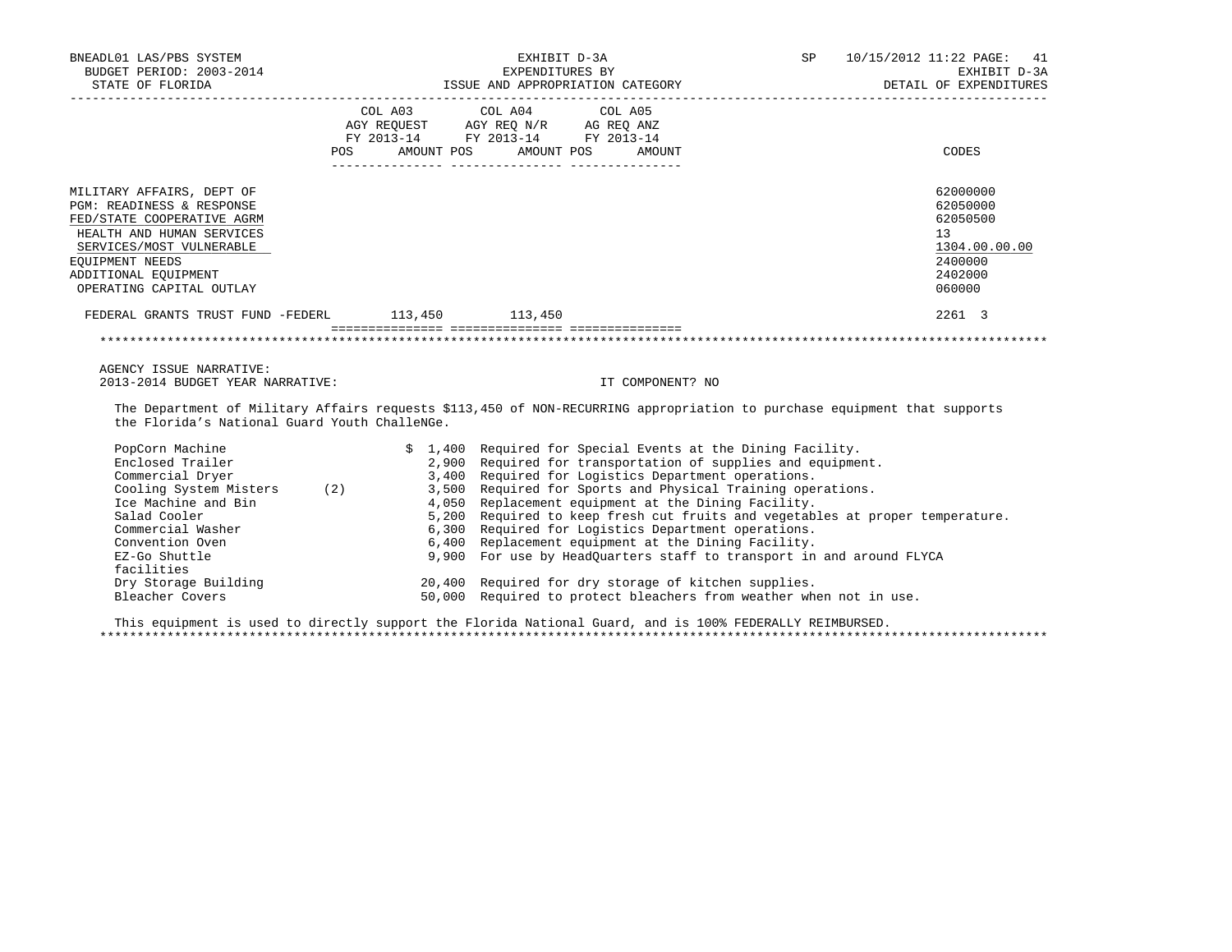| BNEADL01 LAS/PBS SYSTEM<br>BUDGET PERIOD: 2003-2014<br>STATE OF FLORIDA                                                                                                                                              | EXHIBIT D-3A<br>EXPENDITURES BY<br>ISSUE AND APPROPRIATION CATEGORY |                                                                                                                                                                                                                                                                                                                                                                                                                                                                                                                                                                                                                                                          | <b>SP</b><br>10/15/2012 11:22 PAGE: 41<br>EXHIBIT D-3A<br>DETAIL OF EXPENDITURES                                         |
|----------------------------------------------------------------------------------------------------------------------------------------------------------------------------------------------------------------------|---------------------------------------------------------------------|----------------------------------------------------------------------------------------------------------------------------------------------------------------------------------------------------------------------------------------------------------------------------------------------------------------------------------------------------------------------------------------------------------------------------------------------------------------------------------------------------------------------------------------------------------------------------------------------------------------------------------------------------------|--------------------------------------------------------------------------------------------------------------------------|
|                                                                                                                                                                                                                      |                                                                     | $\begin{tabular}{lllllllllll} &\multicolumn{4}{c}{\text{COL A03}} &\multicolumn{4}{c}{\text{COL A04}} &\multicolumn{4}{c}{\text{COL A05}} \\ \multicolumn{4}{c}{\text{AGY REQUEST}} &\multicolumn{4}{c}{\text{AGY REQ N/R}} &\multicolumn{4}{c}{\text{AG REC ANZ}} \\ \multicolumn{4}{c}{\text{FGY A03--14}} &\multicolumn{4}{c}{\text{FGY A04--14}} &\multicolumn{4}{c}{\text{FG A013--14}} \\ \multicolumn{4}{c}{\text{FY 2013--14}} &\multicolumn$<br>POS AMOUNT POS AMOUNT POS AMOUNT                                                                                                                                                                | CODES                                                                                                                    |
| MILITARY AFFAIRS, DEPT OF<br>PGM: READINESS & RESPONSE<br>FED/STATE COOPERATIVE AGRM<br>HEALTH AND HUMAN SERVICES<br>SERVICES/MOST VULNERABLE<br>EQUIPMENT NEEDS<br>ADDITIONAL EOUIPMENT<br>OPERATING CAPITAL OUTLAY |                                                                     |                                                                                                                                                                                                                                                                                                                                                                                                                                                                                                                                                                                                                                                          | 62000000<br>62050000<br>62050500<br>13<br>1304.00.00.00<br>2400000<br>2402000<br>060000                                  |
| FEDERAL GRANTS TRUST FUND -FEDERL 113,450 113,450                                                                                                                                                                    |                                                                     |                                                                                                                                                                                                                                                                                                                                                                                                                                                                                                                                                                                                                                                          | 2261 3                                                                                                                   |
|                                                                                                                                                                                                                      |                                                                     |                                                                                                                                                                                                                                                                                                                                                                                                                                                                                                                                                                                                                                                          |                                                                                                                          |
| AGENCY ISSUE NARRATIVE:<br>2013-2014 BUDGET YEAR NARRATIVE:                                                                                                                                                          |                                                                     | IT COMPONENT? NO                                                                                                                                                                                                                                                                                                                                                                                                                                                                                                                                                                                                                                         |                                                                                                                          |
| the Florida's National Guard Youth ChalleNGe.                                                                                                                                                                        |                                                                     |                                                                                                                                                                                                                                                                                                                                                                                                                                                                                                                                                                                                                                                          | The Department of Military Affairs requests \$113,450 of NON-RECURRING appropriation to purchase equipment that supports |
| PopCorn Machine<br>Enclosed Trailer<br>Commercial Dryer<br>Ice Machine and Bin<br>Salad Cooler<br>Commercial Washer<br>Convention Oven<br>EZ-Go Shuttle<br>facilities<br>Dry Storage Building<br>Bleacher Covers     |                                                                     | \$ 1,400 Required for Special Events at the Dining Facility.<br>2,900 Required for transportation of supplies and equipment.<br>3,400 Required for Logistics Department operations.<br>Cooling System Misters (2) 3,500 Required for Sports and Physical Training operations.<br>4,050 Replacement equipment at the Dining Facility.<br>6,300 Required for Logistics Department operations.<br>6,400 Replacement equipment at the Dining Facility.<br>9,900 For use by HeadOuarters staff to transport in and around FLYCA<br>20,400 Required for dry storage of kitchen supplies.<br>50,000 Required to protect bleachers from weather when not in use. | 5,200 Required to keep fresh cut fruits and vegetables at proper temperature.                                            |

 This equipment is used to directly support the Florida National Guard, and is 100% FEDERALLY REIMBURSED. \*\*\*\*\*\*\*\*\*\*\*\*\*\*\*\*\*\*\*\*\*\*\*\*\*\*\*\*\*\*\*\*\*\*\*\*\*\*\*\*\*\*\*\*\*\*\*\*\*\*\*\*\*\*\*\*\*\*\*\*\*\*\*\*\*\*\*\*\*\*\*\*\*\*\*\*\*\*\*\*\*\*\*\*\*\*\*\*\*\*\*\*\*\*\*\*\*\*\*\*\*\*\*\*\*\*\*\*\*\*\*\*\*\*\*\*\*\*\*\*\*\*\*\*\*\*\*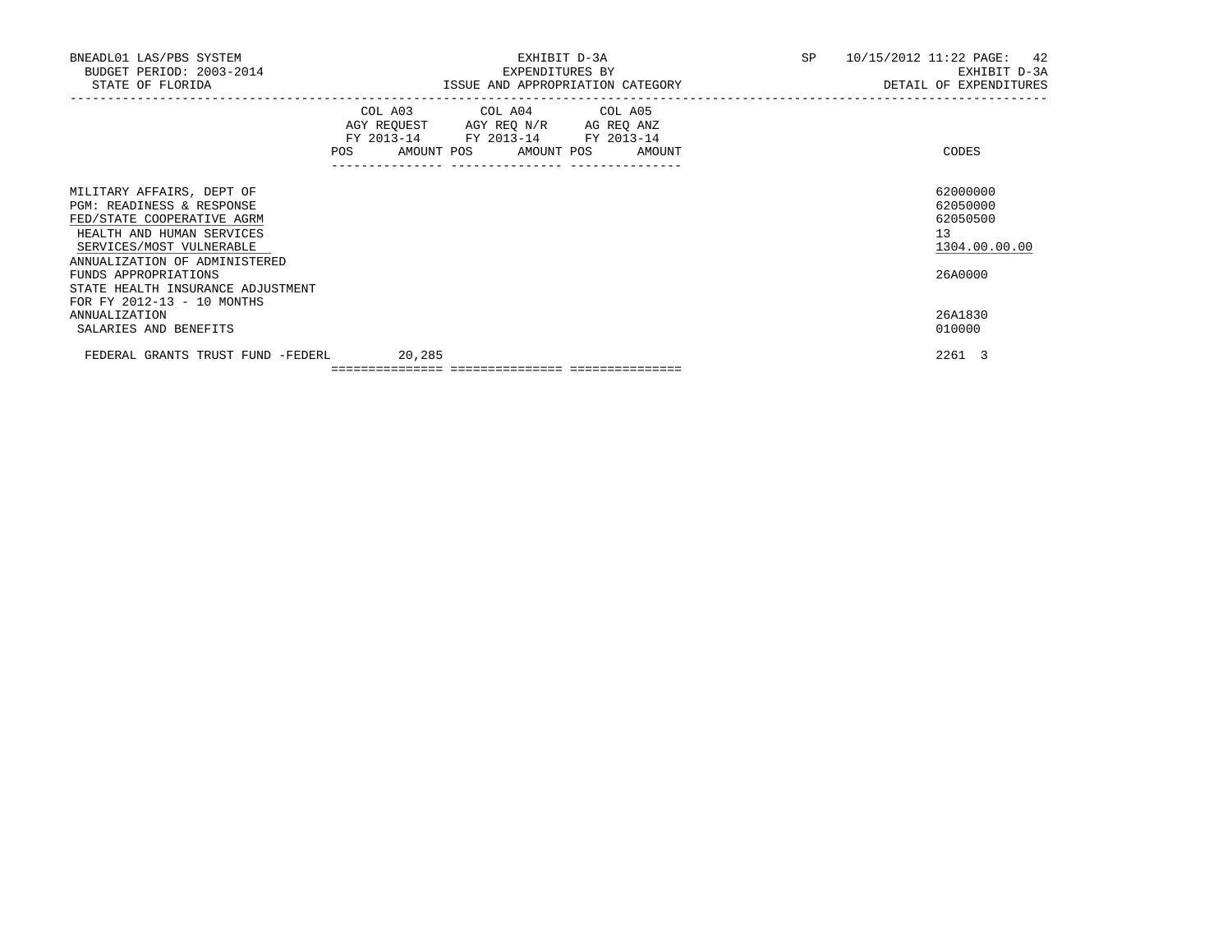| BNEADL01 LAS/PBS SYSTEM<br>BUDGET PERIOD: 2003-2014<br>STATE OF FLORIDA                                                                       | EXHIBIT D-3A<br>EXPENDITURES BY<br>ISSUE AND APPROPRIATION CATEGORY                                                                                                                         | SP <sub>2</sub> | $10/15/2012$ $11:22$ PAGE: 42<br>EXHIBIT D-3A<br>DETAIL OF EXPENDITURES |
|-----------------------------------------------------------------------------------------------------------------------------------------------|---------------------------------------------------------------------------------------------------------------------------------------------------------------------------------------------|-----------------|-------------------------------------------------------------------------|
|                                                                                                                                               | COL A03 COL A04 COL A05<br>AGY REQUEST AGY REQ N/R AG REQ ANZ<br>FY 2013-14 FY 2013-14 FY 2013-14<br>AMOUNT POS AMOUNT POS<br><b>POS</b><br>AMOUNT<br>_____________________________________ |                 | CODES                                                                   |
| MILITARY AFFAIRS, DEPT OF<br>PGM: READINESS & RESPONSE<br>FED/STATE COOPERATIVE AGRM<br>HEALTH AND HUMAN SERVICES<br>SERVICES/MOST VULNERABLE |                                                                                                                                                                                             |                 | 62000000<br>62050000<br>62050500<br>13 <sup>°</sup><br>1304.00.00.00    |
| ANNUALIZATION OF ADMINISTERED<br>FUNDS APPROPRIATIONS<br>STATE HEALTH INSURANCE ADJUSTMENT<br>FOR FY 2012-13 - 10 MONTHS                      |                                                                                                                                                                                             |                 | 26A0000                                                                 |
| ANNUALIZATION<br>SALARIES AND BENEFITS                                                                                                        |                                                                                                                                                                                             |                 | 26A1830<br>010000                                                       |
| FEDERAL GRANTS TRUST FUND -FEDERL                                                                                                             | 20,285                                                                                                                                                                                      |                 | 2261 3                                                                  |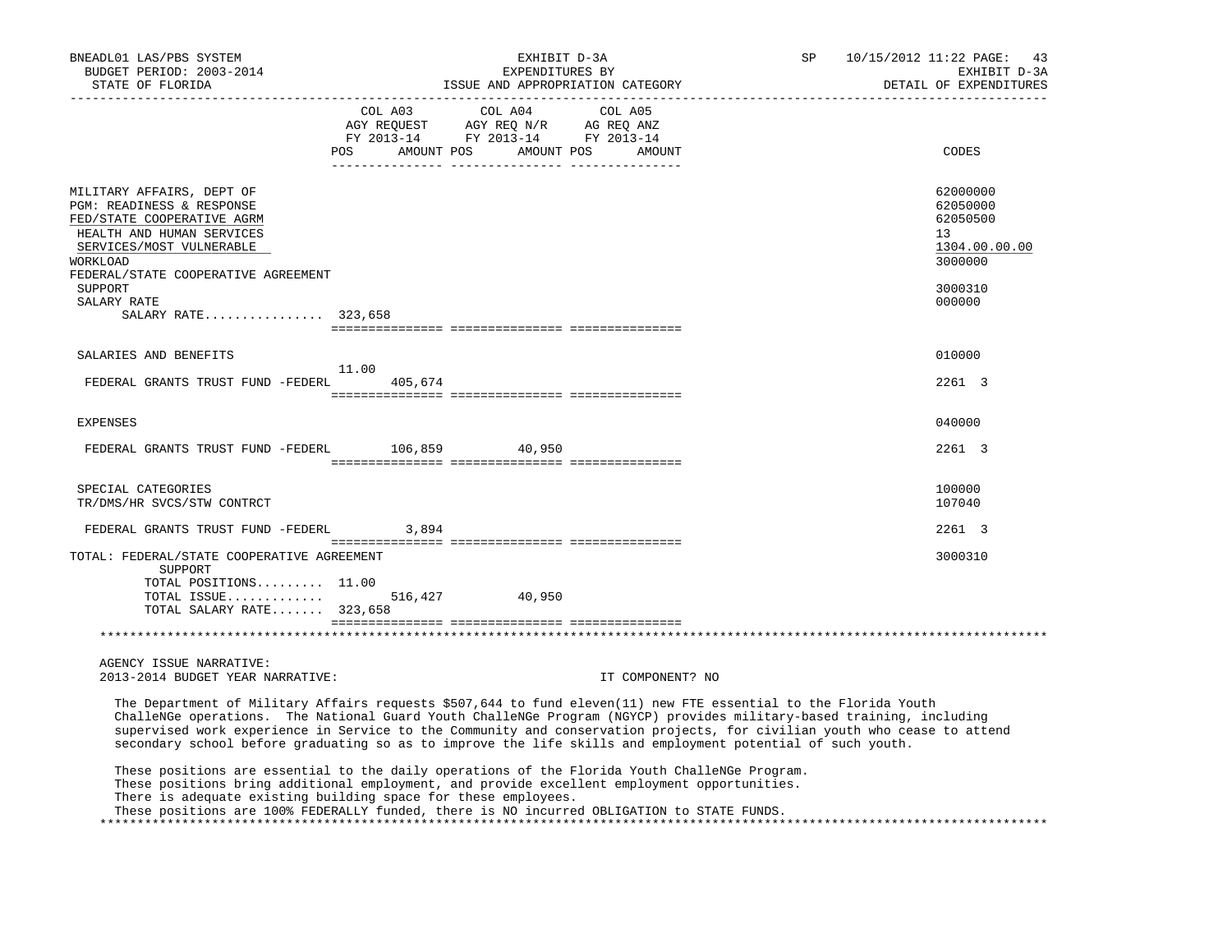| BNEADL01 LAS/PBS SYSTEM<br>BUDGET PERIOD: 2003-2014<br>STATE OF FLORIDA                                                                                                                          | EXHIBIT D-3A<br>EXPENDITURES BY                                                                                                                                                                                                                                                                                                                                                                                                                                                    | ISSUE AND APPROPRIATION CATEGORY | SP | 10/15/2012 11:22 PAGE:<br>43<br>EXHIBIT D-3A<br>DETAIL OF EXPENDITURES |
|--------------------------------------------------------------------------------------------------------------------------------------------------------------------------------------------------|------------------------------------------------------------------------------------------------------------------------------------------------------------------------------------------------------------------------------------------------------------------------------------------------------------------------------------------------------------------------------------------------------------------------------------------------------------------------------------|----------------------------------|----|------------------------------------------------------------------------|
|                                                                                                                                                                                                  | COL A03<br>COL A04<br>$\begin{tabular}{lllllll} \bf AGY \,\,\, REQUEST \,\, & \bf AGY \,\, REQ \,\, N/R & \bf AG \,\, REQ \,\, ANZ \\ \bf FY \,\, 2013-14 & \bf FY \,\, 2013-14 & \bf FY \,\, 2013-14 \\ \end{tabular}$<br>POS AMOUNT POS AMOUNT POS                                                                                                                                                                                                                               | COL A05<br>AMOUNT                |    | CODES                                                                  |
| MILITARY AFFAIRS, DEPT OF<br>PGM: READINESS & RESPONSE<br>FED/STATE COOPERATIVE AGRM<br>HEALTH AND HUMAN SERVICES<br>SERVICES/MOST VULNERABLE<br>WORKLOAD<br>FEDERAL/STATE COOPERATIVE AGREEMENT |                                                                                                                                                                                                                                                                                                                                                                                                                                                                                    |                                  |    | 62000000<br>62050000<br>62050500<br>13<br>1304.00.00.00<br>3000000     |
| SUPPORT<br>SALARY RATE<br>SALARY RATE 323,658                                                                                                                                                    |                                                                                                                                                                                                                                                                                                                                                                                                                                                                                    |                                  |    | 3000310<br>000000                                                      |
|                                                                                                                                                                                                  |                                                                                                                                                                                                                                                                                                                                                                                                                                                                                    |                                  |    |                                                                        |
| SALARIES AND BENEFITS                                                                                                                                                                            |                                                                                                                                                                                                                                                                                                                                                                                                                                                                                    |                                  |    | 010000                                                                 |
| FEDERAL GRANTS TRUST FUND -FEDERL                                                                                                                                                                | 11.00<br>405,674                                                                                                                                                                                                                                                                                                                                                                                                                                                                   |                                  |    | 2261 3                                                                 |
| <b>EXPENSES</b>                                                                                                                                                                                  |                                                                                                                                                                                                                                                                                                                                                                                                                                                                                    |                                  |    | 040000                                                                 |
| FEDERAL GRANTS TRUST FUND -FEDERL 106,859 40,950                                                                                                                                                 |                                                                                                                                                                                                                                                                                                                                                                                                                                                                                    |                                  |    | 2261 3                                                                 |
| SPECIAL CATEGORIES<br>TR/DMS/HR SVCS/STW CONTRCT                                                                                                                                                 |                                                                                                                                                                                                                                                                                                                                                                                                                                                                                    |                                  |    | 100000<br>107040                                                       |
| FEDERAL GRANTS TRUST FUND -FEDERL                                                                                                                                                                | 3,894                                                                                                                                                                                                                                                                                                                                                                                                                                                                              |                                  |    | 2261 3                                                                 |
| TOTAL: FEDERAL/STATE COOPERATIVE AGREEMENT<br>SUPPORT<br>TOTAL POSITIONS 11.00                                                                                                                   |                                                                                                                                                                                                                                                                                                                                                                                                                                                                                    |                                  |    | 3000310                                                                |
| TOTAL ISSUE<br>TOTAL SALARY RATE 323,658                                                                                                                                                         | 516,427 40,950                                                                                                                                                                                                                                                                                                                                                                                                                                                                     |                                  |    |                                                                        |
|                                                                                                                                                                                                  |                                                                                                                                                                                                                                                                                                                                                                                                                                                                                    |                                  |    |                                                                        |
| AGENCY ISSUE NARRATIVE:<br>2013-2014 BUDGET YEAR NARRATIVE:                                                                                                                                      |                                                                                                                                                                                                                                                                                                                                                                                                                                                                                    | IT COMPONENT? NO                 |    |                                                                        |
|                                                                                                                                                                                                  | The Department of Military Affairs requests \$507,644 to fund eleven(11) new FTE essential to the Florida Youth<br>ChalleNGe operations. The National Guard Youth ChalleNGe Program (NGYCP) provides military-based training, including<br>supervised work experience in Service to the Community and conservation projects, for civilian youth who cease to attend<br>secondary school before graduating so as to improve the life skills and employment potential of such youth. |                                  |    |                                                                        |
|                                                                                                                                                                                                  | These positions are essential to the daily operations of the Florida Youth ChalleNGe Program.<br>These positions bring additional employment, and provide excellent employment opportunities.<br>There is adequate existing building space for these employees.<br>These positions are 100% FEDERALLY funded, there is NO incurred OBLIGATION to STATE FUNDS.                                                                                                                      |                                  |    |                                                                        |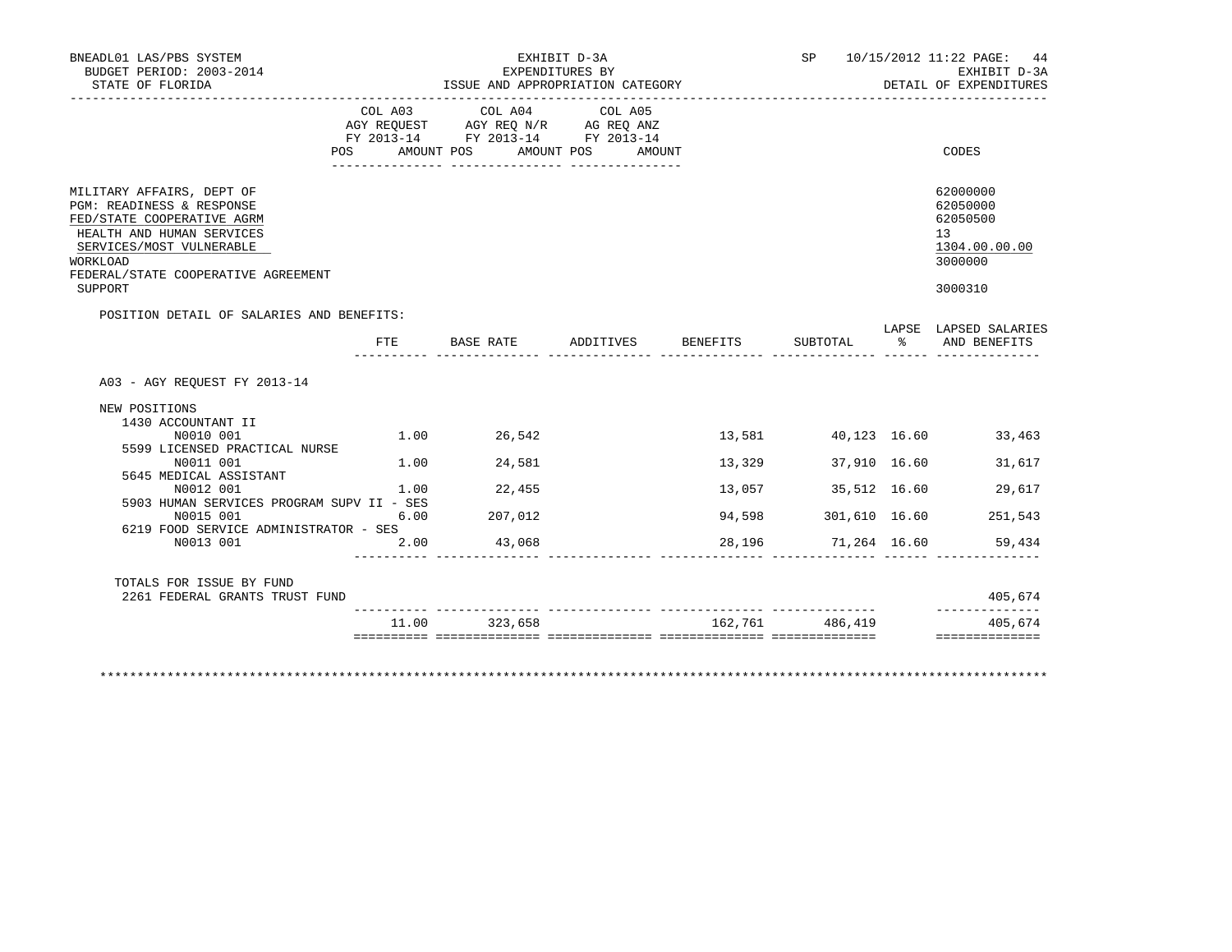| STATE OF FLORIDA                                                                                                                                                                                            | EXHIBIT D-3A<br>EXPENDITURES BY<br>ISSUE AND APPROPRIATION CATEGORY |                                                                                                                           |         |        |                     |              | SP 10/15/2012 11:22 PAGE: 44<br>EXHIBIT D-3A<br>DETAIL OF EXPENDITURES        |  |
|-------------------------------------------------------------------------------------------------------------------------------------------------------------------------------------------------------------|---------------------------------------------------------------------|---------------------------------------------------------------------------------------------------------------------------|---------|--------|---------------------|--------------|-------------------------------------------------------------------------------|--|
|                                                                                                                                                                                                             | POS                                                                 | COL A03 COL A04<br>AGY REQUEST AGY REQ N/R AG REQ ANZ<br>FY 2013-14 FY 2013-14 FY 2013-14<br>AMOUNT POS AMOUNT POS AMOUNT | COL A05 |        |                     |              | CODES                                                                         |  |
|                                                                                                                                                                                                             |                                                                     |                                                                                                                           |         |        |                     |              |                                                                               |  |
| MILITARY AFFAIRS, DEPT OF<br>PGM: READINESS & RESPONSE<br>FED/STATE COOPERATIVE AGRM<br>HEALTH AND HUMAN SERVICES<br>SERVICES/MOST VULNERABLE<br>WORKLOAD<br>FEDERAL/STATE COOPERATIVE AGREEMENT<br>SUPPORT |                                                                     |                                                                                                                           |         |        |                     |              | 62000000<br>62050000<br>62050500<br>13<br>1304.00.00.00<br>3000000<br>3000310 |  |
| POSITION DETAIL OF SALARIES AND BENEFITS:                                                                                                                                                                   |                                                                     |                                                                                                                           |         |        |                     |              |                                                                               |  |
|                                                                                                                                                                                                             |                                                                     | FTE BASE RATE ADDITIVES BENEFITS                                                                                          |         |        | SUBTOTAL            | ွေ           | LAPSE LAPSED SALARIES<br>AND BENEFITS                                         |  |
| A03 - AGY REOUEST FY 2013-14<br>NEW POSITIONS<br>1430 ACCOUNTANT II                                                                                                                                         |                                                                     |                                                                                                                           |         |        |                     |              |                                                                               |  |
| N0010 001                                                                                                                                                                                                   | 1.00                                                                | 26,542                                                                                                                    |         | 13,581 |                     |              | 40,123 16.60 33,463                                                           |  |
| 5599 LICENSED PRACTICAL NURSE                                                                                                                                                                               |                                                                     |                                                                                                                           |         |        |                     |              |                                                                               |  |
| N0011 001                                                                                                                                                                                                   | 1.00                                                                | 24,581                                                                                                                    |         | 13,329 | 37,910 16.60        |              | 31,617                                                                        |  |
|                                                                                                                                                                                                             |                                                                     | 22,455                                                                                                                    |         | 13,057 |                     | 35,512 16.60 | 29,617                                                                        |  |
| 5645 MEDICAL ASSISTANT<br>N0012 001                                                                                                                                                                         | 1.00                                                                |                                                                                                                           |         |        |                     |              |                                                                               |  |
| 5903 HUMAN SERVICES PROGRAM SUPV II - SES                                                                                                                                                                   |                                                                     |                                                                                                                           |         |        |                     |              |                                                                               |  |
| N0015 001                                                                                                                                                                                                   | 6.00                                                                | 207,012                                                                                                                   |         | 94,598 | 301,610 16.60       |              | 251,543                                                                       |  |
| 6219 FOOD SERVICE ADMINISTRATOR - SES                                                                                                                                                                       |                                                                     |                                                                                                                           |         |        |                     |              |                                                                               |  |
| N0013 001                                                                                                                                                                                                   | 2.00                                                                | 43,068                                                                                                                    |         |        | 28,196 71,264 16.60 |              | 59,434                                                                        |  |
| TOTALS FOR ISSUE BY FUND<br>2261 FEDERAL GRANTS TRUST FUND                                                                                                                                                  |                                                                     |                                                                                                                           |         |        |                     |              | 405,674<br>______________                                                     |  |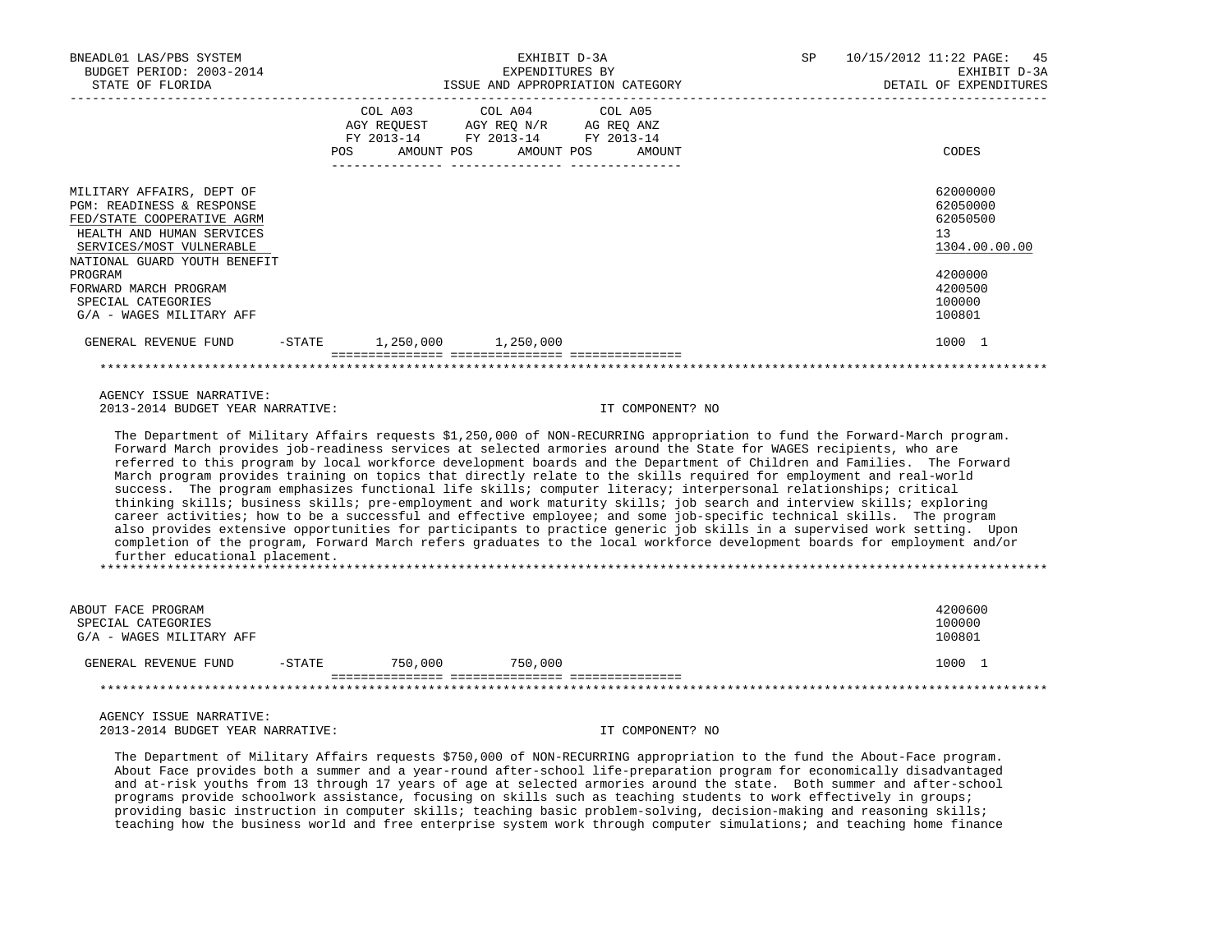| BNEADL01 LAS/PBS SYSTEM<br>BUDGET PERIOD: 2003-2014<br>STATE OF FLORIDA                                                                                                       |        |            | EXPENDITURES BY                                                                        | EXHIBIT D-3A<br>ISSUE AND APPROPRIATION CATEGORY | SP | 10/15/2012 11:22 PAGE: 45<br>EXHIBIT D-3A<br>DETAIL OF EXPENDITURES |
|-------------------------------------------------------------------------------------------------------------------------------------------------------------------------------|--------|------------|----------------------------------------------------------------------------------------|--------------------------------------------------|----|---------------------------------------------------------------------|
|                                                                                                                                                                               | POS    | FY 2013-14 | COL A03 COL A04 COL A05<br>AGY REQUEST AGY REQ N/R AG REQ ANZ<br>FY 2013-14 FY 2013-14 | AMOUNT POS AMOUNT POS AMOUNT                     |    | CODES                                                               |
| MILITARY AFFAIRS, DEPT OF<br>PGM: READINESS & RESPONSE<br>FED/STATE COOPERATIVE AGRM<br>HEALTH AND HUMAN SERVICES<br>SERVICES/MOST VULNERABLE<br>NATIONAL GUARD YOUTH BENEFIT |        |            |                                                                                        |                                                  |    | 62000000<br>62050000<br>62050500<br>13<br>1304.00.00.00             |
| PROGRAM<br>FORWARD MARCH PROGRAM<br>SPECIAL CATEGORIES<br>G/A - WAGES MILITARY AFF                                                                                            |        |            |                                                                                        |                                                  |    | 4200000<br>4200500<br>100000<br>100801                              |
| GENERAL REVENUE FUND                                                                                                                                                          | -STATE |            | 1,250,000 1,250,000                                                                    |                                                  |    | 1000 1                                                              |
|                                                                                                                                                                               |        |            |                                                                                        |                                                  |    |                                                                     |

 AGENCY ISSUE NARRATIVE: 2013-2014 BUDGET YEAR NARRATIVE: IT COMPONENT? NO

 The Department of Military Affairs requests \$1,250,000 of NON-RECURRING appropriation to fund the Forward-March program. Forward March provides job-readiness services at selected armories around the State for WAGES recipients, who are referred to this program by local workforce development boards and the Department of Children and Families. The Forward March program provides training on topics that directly relate to the skills required for employment and real-world success. The program emphasizes functional life skills; computer literacy; interpersonal relationships; critical thinking skills; business skills; pre-employment and work maturity skills; job search and interview skills; exploring career activities; how to be a successful and effective employee; and some job-specific technical skills. The program also provides extensive opportunities for participants to practice generic job skills in a supervised work setting. Upon completion of the program, Forward March refers graduates to the local workforce development boards for employment and/or further educational placement. \*\*\*\*\*\*\*\*\*\*\*\*\*\*\*\*\*\*\*\*\*\*\*\*\*\*\*\*\*\*\*\*\*\*\*\*\*\*\*\*\*\*\*\*\*\*\*\*\*\*\*\*\*\*\*\*\*\*\*\*\*\*\*\*\*\*\*\*\*\*\*\*\*\*\*\*\*\*\*\*\*\*\*\*\*\*\*\*\*\*\*\*\*\*\*\*\*\*\*\*\*\*\*\*\*\*\*\*\*\*\*\*\*\*\*\*\*\*\*\*\*\*\*\*\*\*\*

| ABOUT FACE PROGRAM<br>SPECIAL CATEGORIES<br>G/A - WAGES MILITARY AFF |           |         |         | 4200600<br>100000<br>100801 |
|----------------------------------------------------------------------|-----------|---------|---------|-----------------------------|
| GENERAL REVENUE FUND                                                 | $-$ STATE | 750,000 | 750,000 | 1000                        |
|                                                                      |           |         |         |                             |

 AGENCY ISSUE NARRATIVE: 2013-2014 BUDGET YEAR NARRATIVE: IT COMPONENT? NO

 The Department of Military Affairs requests \$750,000 of NON-RECURRING appropriation to the fund the About-Face program. About Face provides both a summer and a year-round after-school life-preparation program for economically disadvantaged and at-risk youths from 13 through 17 years of age at selected armories around the state. Both summer and after-school programs provide schoolwork assistance, focusing on skills such as teaching students to work effectively in groups; providing basic instruction in computer skills; teaching basic problem-solving, decision-making and reasoning skills; teaching how the business world and free enterprise system work through computer simulations; and teaching home finance